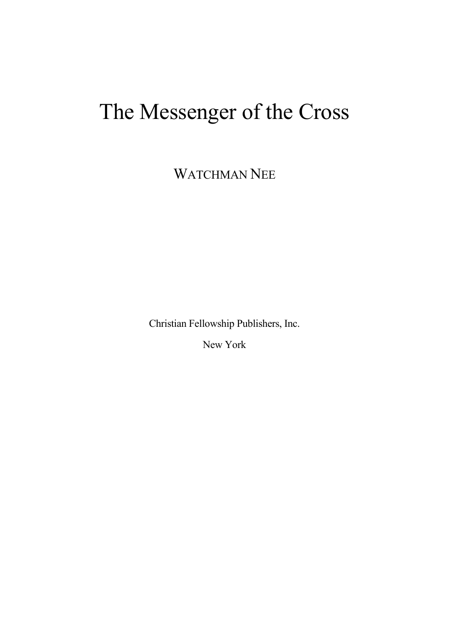# The Messenger of the Cross

WATCHMAN NEE

Christian Fellowship Publishers, Inc.

New York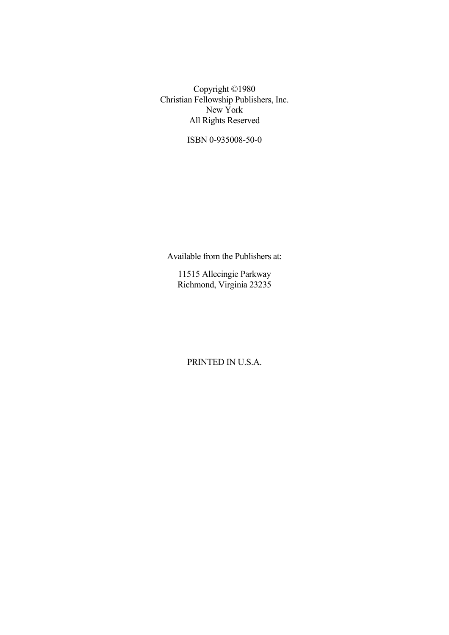Copyright ©1980 Christian Fellowship Publishers, Inc. New York All Rights Reserved

ISBN 0-935008-50-0

Available from the Publishers at:

11515 Allecingie Parkway Richmond, Virginia 23235

PRINTED IN U.S.A.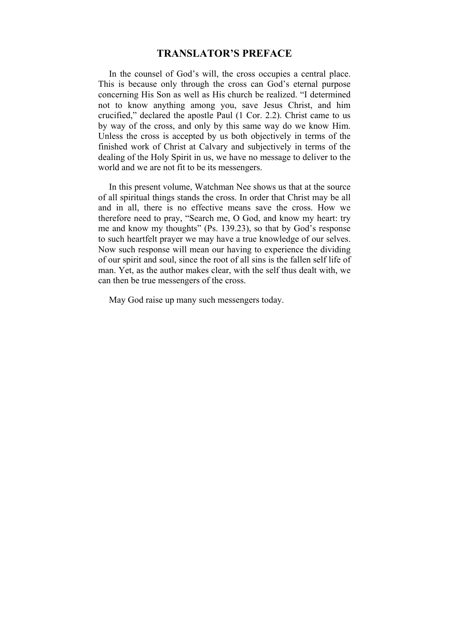### **TRANSLATOR'S PREFACE**

In the counsel of God's will, the cross occupies a central place. This is because only through the cross can God's eternal purpose concerning His Son as well as His church be realized. "I determined not to know anything among you, save Jesus Christ, and him crucified," declared the apostle Paul (1 Cor. 2.2). Christ came to us by way of the cross, and only by this same way do we know Him. Unless the cross is accepted by us both objectively in terms of the finished work of Christ at Calvary and subjectively in terms of the dealing of the Holy Spirit in us, we have no message to deliver to the world and we are not fit to be its messengers.

In this present volume, Watchman Nee shows us that at the source of all spiritual things stands the cross. In order that Christ may be all and in all, there is no effective means save the cross. How we therefore need to pray, "Search me, O God, and know my heart: try me and know my thoughts" (Ps. 139.23), so that by God's response to such heartfelt prayer we may have a true knowledge of our selves. Now such response will mean our having to experience the dividing of our spirit and soul, since the root of all sins is the fallen self life of man. Yet, as the author makes clear, with the self thus dealt with, we can then be true messengers of the cross.

May God raise up many such messengers today.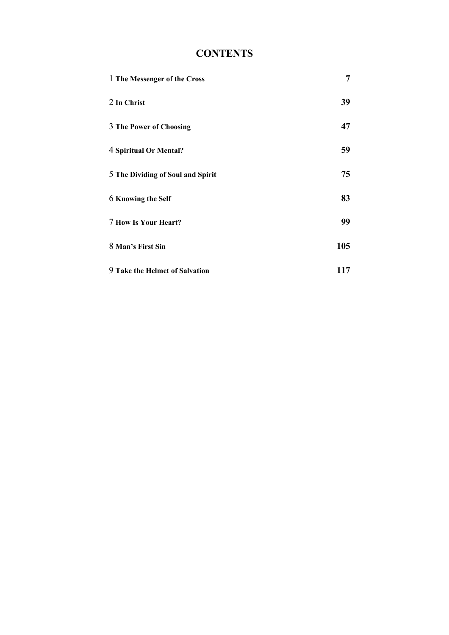## **CONTENTS**

| 1 The Messenger of the Cross      | $\overline{7}$ |
|-----------------------------------|----------------|
| 2 In Christ                       | 39             |
| 3 The Power of Choosing           | 47             |
| 4 Spiritual Or Mental?            | 59             |
| 5 The Dividing of Soul and Spirit | 75             |
| 6 Knowing the Self                | 83             |
| 7 How Is Your Heart?              | 99             |
| 8 Man's First Sin                 | 105            |
| 9 Take the Helmet of Salvation    | 117            |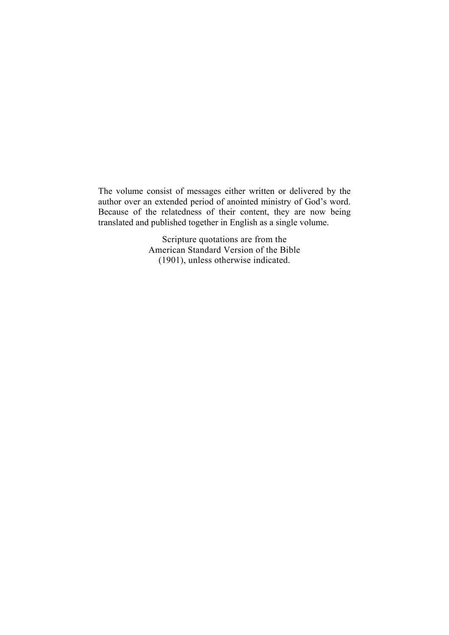The volume consist of messages either written or delivered by the author over an extended period of anointed ministry of God's word. Because of the relatedness of their content, they are now being translated and published together in English as a single volume.

> Scripture quotations are from the American Standard Version of the Bible (1901), unless otherwise indicated.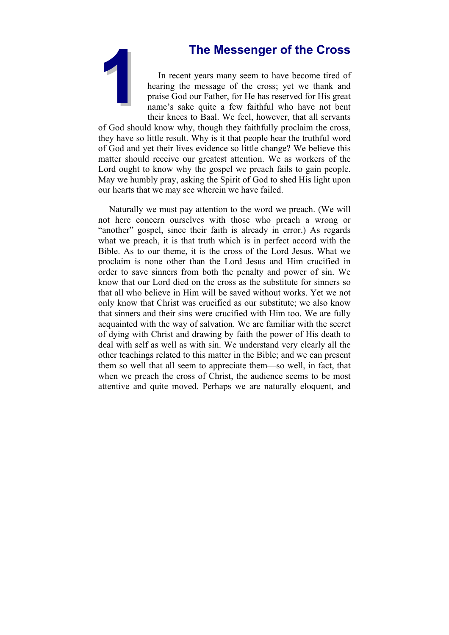

<span id="page-6-0"></span>**1The Messenger of the Cross**<br>In recent years many seem to have become tired of<br>hearing the message of the cross; yet we thank and<br>praise God our Father, for He has reserved for His great<br>name's sake quite a few faithful w In recent years many seem to have become tired of hearing the message of the cross; yet we thank and praise God our Father, for He has reserved for His great name's sake quite a few faithful who have not bent their knees to Baal. We feel, however, that all servants

of God should know why, though they faithfully proclaim the cross, they have so little result. Why is it that people hear the truthful word of God and yet their lives evidence so little change? We believe this matter should receive our greatest attention. We as workers of the Lord ought to know why the gospel we preach fails to gain people. May we humbly pray, asking the Spirit of God to shed His light upon our hearts that we may see wherein we have failed.

Naturally we must pay attention to the word we preach. (We will not here concern ourselves with those who preach a wrong or "another" gospel, since their faith is already in error.) As regards what we preach, it is that truth which is in perfect accord with the Bible. As to our theme, it is the cross of the Lord Jesus. What we proclaim is none other than the Lord Jesus and Him crucified in order to save sinners from both the penalty and power of sin. We know that our Lord died on the cross as the substitute for sinners so that all who believe in Him will be saved without works. Yet we not only know that Christ was crucified as our substitute; we also know that sinners and their sins were crucified with Him too. We are fully acquainted with the way of salvation. We are familiar with the secret of dying with Christ and drawing by faith the power of His death to deal with self as well as with sin. We understand very clearly all the other teachings related to this matter in the Bible; and we can present them so well that all seem to appreciate them—so well, in fact, that when we preach the cross of Christ, the audience seems to be most attentive and quite moved. Perhaps we are naturally eloquent, and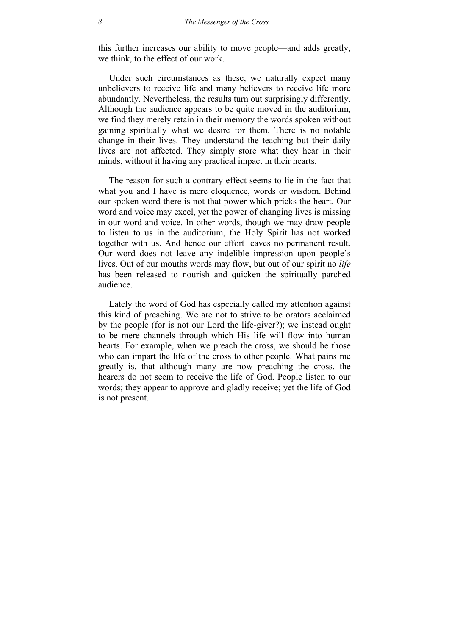this further increases our ability to move people—and adds greatly, we think, to the effect of our work.

Under such circumstances as these, we naturally expect many unbelievers to receive life and many believers to receive life more abundantly. Nevertheless, the results turn out surprisingly differently. Although the audience appears to be quite moved in the auditorium, we find they merely retain in their memory the words spoken without gaining spiritually what we desire for them. There is no notable change in their lives. They understand the teaching but their daily lives are not affected. They simply store what they hear in their minds, without it having any practical impact in their hearts.

The reason for such a contrary effect seems to lie in the fact that what you and I have is mere eloquence, words or wisdom. Behind our spoken word there is not that power which pricks the heart. Our word and voice may excel, yet the power of changing lives is missing in our word and voice. In other words, though we may draw people to listen to us in the auditorium, the Holy Spirit has not worked together with us. And hence our effort leaves no permanent result. Our word does not leave any indelible impression upon people's lives. Out of our mouths words may flow, but out of our spirit no *life* has been released to nourish and quicken the spiritually parched audience.

Lately the word of God has especially called my attention against this kind of preaching. We are not to strive to be orators acclaimed by the people (for is not our Lord the life-giver?); we instead ought to be mere channels through which His life will flow into human hearts. For example, when we preach the cross, we should be those who can impart the life of the cross to other people. What pains me greatly is, that although many are now preaching the cross, the hearers do not seem to receive the life of God. People listen to our words; they appear to approve and gladly receive; yet the life of God is not present.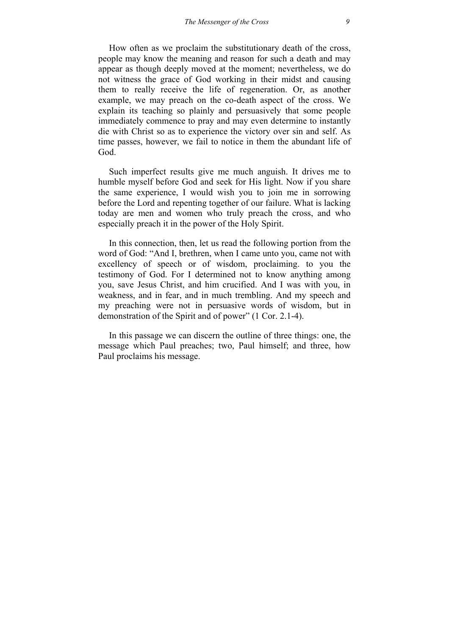How often as we proclaim the substitutionary death of the cross, people may know the meaning and reason for such a death and may appear as though deeply moved at the moment; nevertheless, we do not witness the grace of God working in their midst and causing them to really receive the life of regeneration. Or, as another example, we may preach on the co-death aspect of the cross. We explain its teaching so plainly and persuasively that some people immediately commence to pray and may even determine to instantly die with Christ so as to experience the victory over sin and self. As time passes, however, we fail to notice in them the abundant life of God.

Such imperfect results give me much anguish. It drives me to humble myself before God and seek for His light. Now if you share the same experience, I would wish you to join me in sorrowing before the Lord and repenting together of our failure. What is lacking today are men and women who truly preach the cross, and who especially preach it in the power of the Holy Spirit.

In this connection, then, let us read the following portion from the word of God: "And I, brethren, when I came unto you, came not with excellency of speech or of wisdom, proclaiming. to you the testimony of God. For I determined not to know anything among you, save Jesus Christ, and him crucified. And I was with you, in weakness, and in fear, and in much trembling. And my speech and my preaching were not in persuasive words of wisdom, but in demonstration of the Spirit and of power" (1 Cor. 2.1-4).

In this passage we can discern the outline of three things: one, the message which Paul preaches; two, Paul himself; and three, how Paul proclaims his message.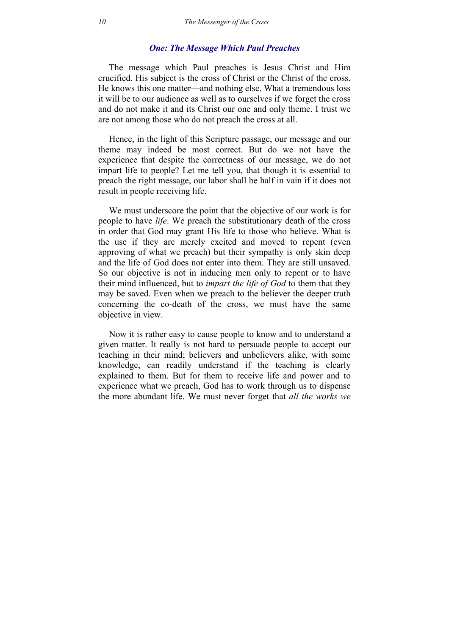#### *One: The Message Which Paul Preaches*

The message which Paul preaches is Jesus Christ and Him crucified. His subject is the cross of Christ or the Christ of the cross. He knows this one matter—and nothing else. What a tremendous loss it will be to our audience as well as to ourselves if we forget the cross and do not make it and its Christ our one and only theme. I trust we are not among those who do not preach the cross at all.

Hence, in the light of this Scripture passage, our message and our theme may indeed be most correct. But do we not have the experience that despite the correctness of our message, we do not impart life to people? Let me tell you, that though it is essential to preach the right message, our labor shall be half in vain if it does not result in people receiving life.

We must underscore the point that the objective of our work is for people to have *life*. We preach the substitutionary death of the cross in order that God may grant His life to those who believe. What is the use if they are merely excited and moved to repent (even approving of what we preach) but their sympathy is only skin deep and the life of God does not enter into them. They are still unsaved. So our objective is not in inducing men only to repent or to have their mind influenced, but to *impart the life of God* to them that they may be saved. Even when we preach to the believer the deeper truth concerning the co-death of the cross, we must have the same objective in view.

Now it is rather easy to cause people to know and to understand a given matter. It really is not hard to persuade people to accept our teaching in their mind; believers and unbelievers alike, with some knowledge, can readily understand if the teaching is clearly explained to them. But for them to receive life and power and to experience what we preach, God has to work through us to dispense the more abundant life. We must never forget that *all the works we*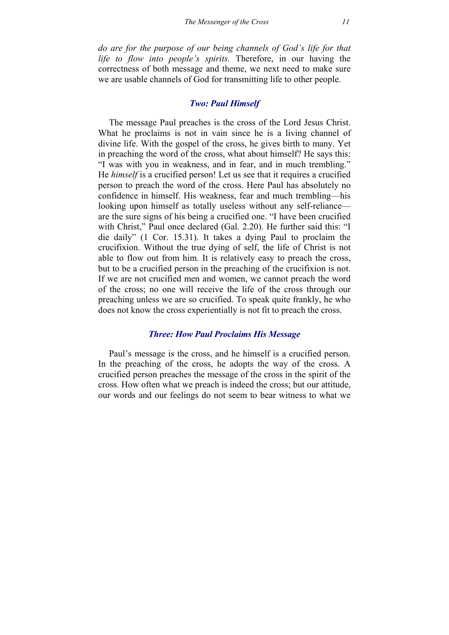*do are for the purpose of our being channels of God's life for that life to flow into people's spirits.* Therefore, in our having the correctness of both message and theme, we next need to make sure we are usable channels of God for transmitting life to other people.

#### *Two: Paul Himself*

The message Paul preaches is the cross of the Lord Jesus Christ. What he proclaims is not in vain since he is a living channel of divine life. With the gospel of the cross, he gives birth to many. Yet in preaching the word of the cross, what about himself? He says this: "I was with you in weakness, and in fear, and in much trembling." He *himself* is a crucified person! Let us see that it requires a crucified person to preach the word of the cross. Here Paul has absolutely no confidence in himself. His weakness, fear and much trembling—his looking upon himself as totally useless without any self-reliance are the sure signs of his being a crucified one. "I have been crucified with Christ," Paul once declared (Gal. 2.20). He further said this: "I die daily" (1 Cor. 15.31). It takes a dying Paul to proclaim the crucifixion. Without the true dying of self, the life of Christ is not able to flow out from him. It is relatively easy to preach the cross, but to be a crucified person in the preaching of the crucifixion is not. If we are not crucified men and women, we cannot preach the word of the cross; no one will receive the life of the cross through our preaching unless we are so crucified. To speak quite frankly, he who does not know the cross experientially is not fit to preach the cross.

#### *Three: How Paul Proclaims His Message*

Paul's message is the cross, and he himself is a crucified person. In the preaching of the cross, he adopts the way of the cross. A crucified person preaches the message of the cross in the spirit of the cross. How often what we preach is indeed the cross; but our attitude, our words and our feelings do not seem to bear witness to what we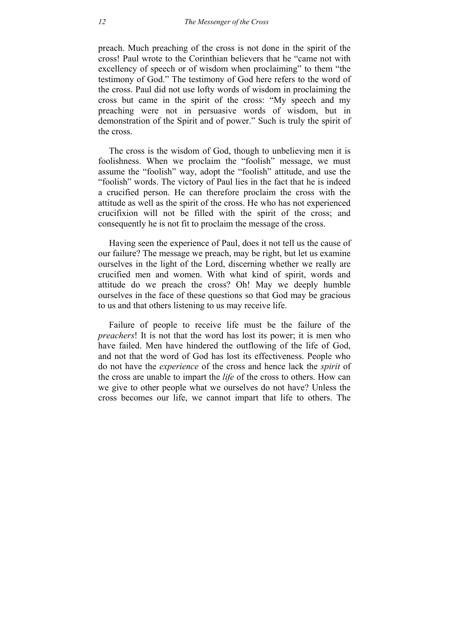preach. Much preaching of the cross is not done in the spirit of the cross! Paul wrote to the Corinthian believers that he "came not with excellency of speech or of wisdom when proclaiming" to them "the testimony of God." The testimony of God here refers to the word of the cross. Paul did not use lofty words of wisdom in proclaiming the cross but came in the spirit of the cross: "My speech and my preaching were not in persuasive words of wisdom, but in demonstration of the Spirit and of power." Such is truly the spirit of the cross.

The cross is the wisdom of God, though to unbelieving men it is foolishness. When we proclaim the "foolish" message, we must assume the "foolish" way, adopt the "foolish" attitude, and use the "foolish" words. The victory of Paul lies in the fact that he is indeed a crucified person. He can therefore proclaim the cross with the attitude as well as the spirit of the cross. He who has not experienced crucifixion will not be filled with the spirit of the cross; and consequently he is not fit to proclaim the message of the cross.

Having seen the experience of Paul, does it not tell us the cause of our failure? The message we preach, may be right, but let us examine ourselves in the light of the Lord, discerning whether we really are crucified men and women. With what kind of spirit, words and attitude do we preach the cross? Oh! May we deeply humble ourselves in the face of these questions so that God may be gracious to us and that others listening to us may receive life.

Failure of people to receive life must be the failure of the *preachers*! It is not that the word has lost its power; it is men who have failed. Men have hindered the outflowing of the life of God, and not that the word of God has lost its effectiveness. People who do not have the *experience* of the cross and hence lack the *spirit* of the cross are unable to impart the *life* of the cross to others. How can we give to other people what we ourselves do not have? Unless the cross becomes our life, we cannot impart that life to others. The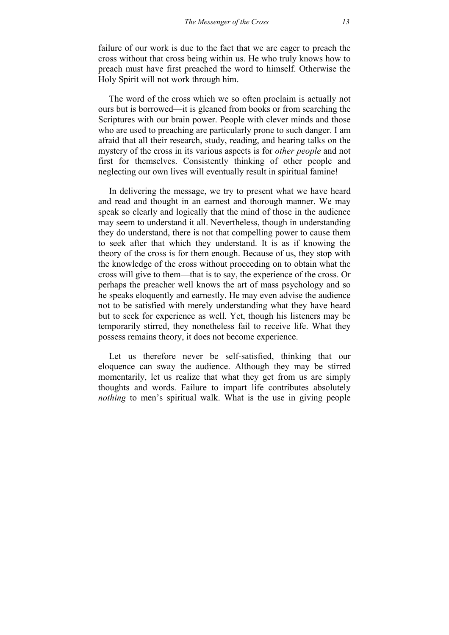failure of our work is due to the fact that we are eager to preach the cross without that cross being within us. He who truly knows how to preach must have first preached the word to himself. Otherwise the Holy Spirit will not work through him.

The word of the cross which we so often proclaim is actually not ours but is borrowed—it is gleaned from books or from searching the Scriptures with our brain power. People with clever minds and those who are used to preaching are particularly prone to such danger. I am afraid that all their research, study, reading, and hearing talks on the mystery of the cross in its various aspects is for *other people* and not first for themselves. Consistently thinking of other people and neglecting our own lives will eventually result in spiritual famine!

In delivering the message, we try to present what we have heard and read and thought in an earnest and thorough manner. We may speak so clearly and logically that the mind of those in the audience may seem to understand it all. Nevertheless, though in understanding they do understand, there is not that compelling power to cause them to seek after that which they understand. It is as if knowing the theory of the cross is for them enough. Because of us, they stop with the knowledge of the cross without proceeding on to obtain what the cross will give to them—that is to say, the experience of the cross. Or perhaps the preacher well knows the art of mass psychology and so he speaks eloquently and earnestly. He may even advise the audience not to be satisfied with merely understanding what they have heard but to seek for experience as well. Yet, though his listeners may be temporarily stirred, they nonetheless fail to receive life. What they possess remains theory, it does not become experience.

Let us therefore never be self-satisfied, thinking that our eloquence can sway the audience. Although they may be stirred momentarily, let us realize that what they get from us are simply thoughts and words. Failure to impart life contributes absolutely *nothing* to men's spiritual walk. What is the use in giving people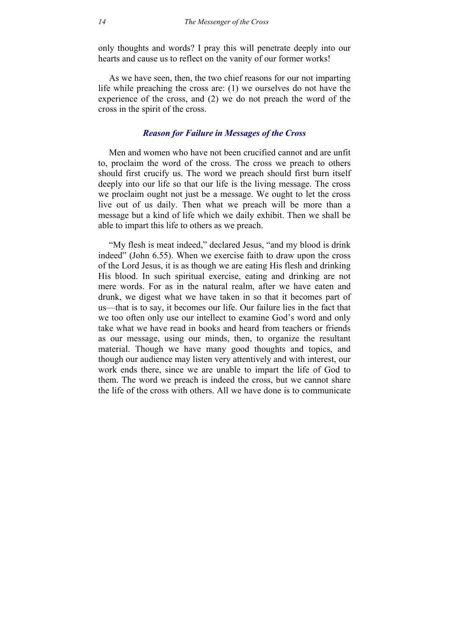only thoughts and words? I pray this will penetrate deeply into our hearts and cause us to reflect on the vanity of our former works!

As we have seen, then, the two chief reasons for our not imparting life while preaching the cross are: (1) we ourselves do not have the experience of the cross, and (2) we do not preach the word of the cross in the spirit of the cross.

#### *Reason for Failure in Messages of the Cross*

Men and women who have not been crucified cannot and are unfit to, proclaim the word of the cross. The cross we preach to others should first crucify us. The word we preach should first burn itself deeply into our life so that our life is the living message. The cross we proclaim ought not just be a message. We ought to let the cross live out of us daily. Then what we preach will be more than a message but a kind of life which we daily exhibit. Then we shall be able to impart this life to others as we preach.

"My flesh is meat indeed," declared Jesus, "and my blood is drink indeed" (John 6.55). When we exercise faith to draw upon the cross of the Lord Jesus, it is as though we are eating His flesh and drinking His blood. In such spiritual exercise, eating and drinking are not mere words. For as in the natural realm, after we have eaten and drunk, we digest what we have taken in so that it becomes part of us—that is to say, it becomes our life. Our failure lies in the fact that we too often only use our intellect to examine God's word and only take what we have read in books and heard from teachers or friends as our message, using our minds, then, to organize the resultant material. Though we have many good thoughts and topics, and though our audience may listen very attentively and with interest, our work ends there, since we are unable to impart the life of God to them. The word we preach is indeed the cross, but we cannot share the life of the cross with others. All we have done is to communicate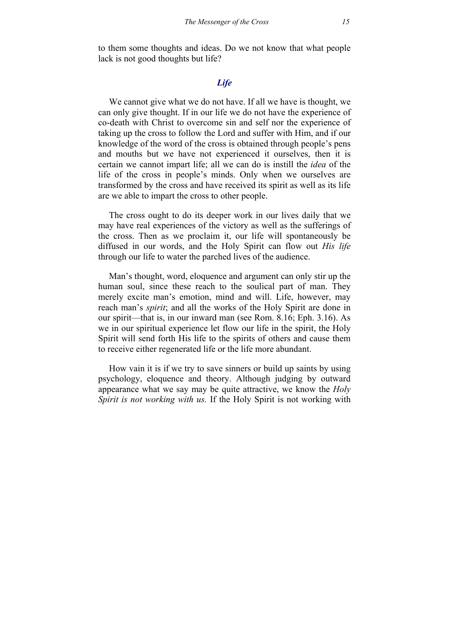to them some thoughts and ideas. Do we not know that what people lack is not good thoughts but life?

#### *Life*

We cannot give what we do not have. If all we have is thought, we can only give thought. If in our life we do not have the experience of co-death with Christ to overcome sin and self nor the experience of taking up the cross to follow the Lord and suffer with Him, and if our knowledge of the word of the cross is obtained through people's pens and mouths but we have not experienced it ourselves, then it is certain we cannot impart life; all we can do is instill the *idea* of the life of the cross in people's minds. Only when we ourselves are transformed by the cross and have received its spirit as well as its life are we able to impart the cross to other people.

The cross ought to do its deeper work in our lives daily that we may have real experiences of the victory as well as the sufferings of the cross. Then as we proclaim it, our life will spontaneously be diffused in our words, and the Holy Spirit can flow out *His life*  through our life to water the parched lives of the audience.

Man's thought, word, eloquence and argument can only stir up the human soul, since these reach to the soulical part of man. They merely excite man's emotion, mind and will. Life, however, may reach man's *spirit*; and all the works of the Holy Spirit are done in our spirit—that is, in our inward man (see Rom. 8.16; Eph. 3.16). As we in our spiritual experience let flow our life in the spirit, the Holy Spirit will send forth His life to the spirits of others and cause them to receive either regenerated life or the life more abundant.

How vain it is if we try to save sinners or build up saints by using psychology, eloquence and theory. Although judging by outward appearance what we say may be quite attractive, we know the *Holy Spirit is not working with us.* If the Holy Spirit is not working with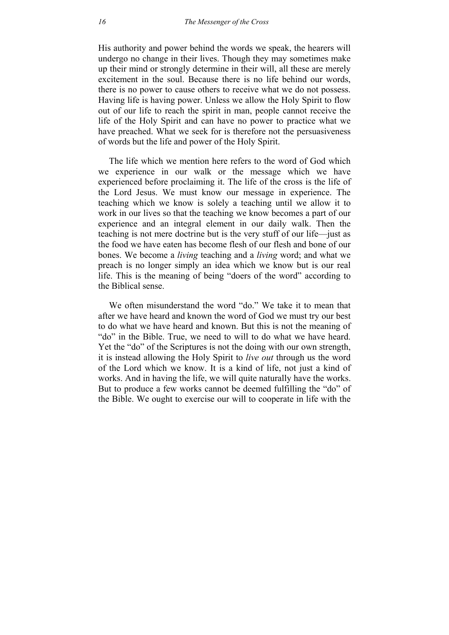His authority and power behind the words we speak, the hearers will undergo no change in their lives. Though they may sometimes make up their mind or strongly determine in their will, all these are merely excitement in the soul. Because there is no life behind our words, there is no power to cause others to receive what we do not possess. Having life is having power. Unless we allow the Holy Spirit to flow out of our life to reach the spirit in man, people cannot receive the life of the Holy Spirit and can have no power to practice what we have preached. What we seek for is therefore not the persuasiveness of words but the life and power of the Holy Spirit.

The life which we mention here refers to the word of God which we experience in our walk or the message which we have experienced before proclaiming it. The life of the cross is the life of the Lord Jesus. We must know our message in experience. The teaching which we know is solely a teaching until we allow it to work in our lives so that the teaching we know becomes a part of our experience and an integral element in our daily walk. Then the teaching is not mere doctrine but is the very stuff of our life—just as the food we have eaten has become flesh of our flesh and bone of our bones. We become a *living* teaching and a *living* word; and what we preach is no longer simply an idea which we know but is our real life. This is the meaning of being "doers of the word" according to the Biblical sense.

We often misunderstand the word "do." We take it to mean that after we have heard and known the word of God we must try our best to do what we have heard and known. But this is not the meaning of "do" in the Bible. True, we need to will to do what we have heard. Yet the "do" of the Scriptures is not the doing with our own strength, it is instead allowing the Holy Spirit to *live out* through us the word of the Lord which we know. It is a kind of life, not just a kind of works. And in having the life, we will quite naturally have the works. But to produce a few works cannot be deemed fulfilling the "do" of the Bible. We ought to exercise our will to cooperate in life with the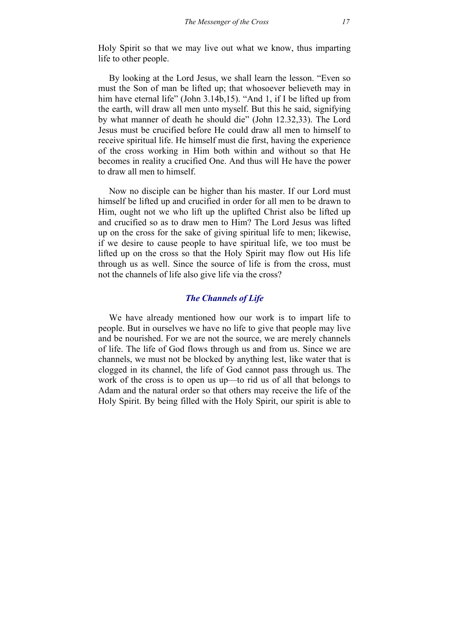Holy Spirit so that we may live out what we know, thus imparting life to other people.

By looking at the Lord Jesus, we shall learn the lesson. "Even so must the Son of man be lifted up; that whosoever believeth may in him have eternal life" (John 3.14b, 15). "And 1, if I be lifted up from the earth, will draw all men unto myself. But this he said, signifying by what manner of death he should die" (John 12.32,33). The Lord Jesus must be crucified before He could draw all men to himself to receive spiritual life. He himself must die first, having the experience of the cross working in Him both within and without so that He becomes in reality a crucified One. And thus will He have the power to draw all men to himself.

Now no disciple can be higher than his master. If our Lord must himself be lifted up and crucified in order for all men to be drawn to Him, ought not we who lift up the uplifted Christ also be lifted up and crucified so as to draw men to Him? The Lord Jesus was lifted up on the cross for the sake of giving spiritual life to men; likewise, if we desire to cause people to have spiritual life, we too must be lifted up on the cross so that the Holy Spirit may flow out His life through us as well. Since the source of life is from the cross, must not the channels of life also give life via the cross?

#### *The Channels of Life*

We have already mentioned how our work is to impart life to people. But in ourselves we have no life to give that people may live and be nourished. For we are not the source, we are merely channels of life. The life of God flows through us and from us. Since we are channels, we must not be blocked by anything lest, like water that is clogged in its channel, the life of God cannot pass through us. The work of the cross is to open us up—to rid us of all that belongs to Adam and the natural order so that others may receive the life of the Holy Spirit. By being filled with the Holy Spirit, our spirit is able to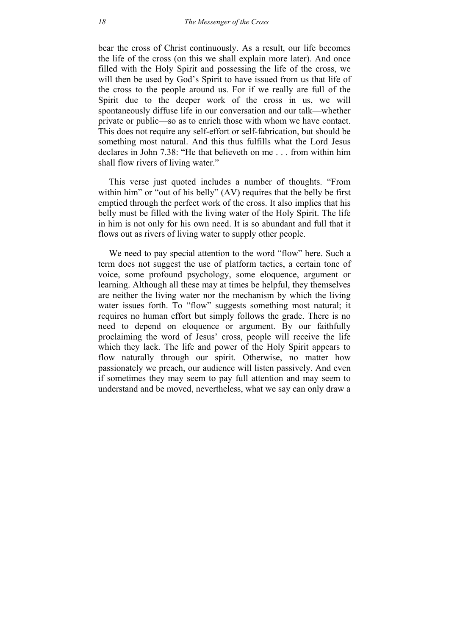bear the cross of Christ continuously. As a result, our life becomes the life of the cross (on this we shall explain more later). And once filled with the Holy Spirit and possessing the life of the cross, we will then be used by God's Spirit to have issued from us that life of the cross to the people around us. For if we really are full of the Spirit due to the deeper work of the cross in us, we will spontaneously diffuse life in our conversation and our talk—whether private or public—so as to enrich those with whom we have contact. This does not require any self-effort or self-fabrication, but should be something most natural. And this thus fulfills what the Lord Jesus declares in John 7.38: "He that believeth on me . . . from within him shall flow rivers of living water."

This verse just quoted includes a number of thoughts. "From within him" or "out of his belly" (AV) requires that the belly be first emptied through the perfect work of the cross. It also implies that his belly must be filled with the living water of the Holy Spirit. The life in him is not only for his own need. It is so abundant and full that it flows out as rivers of living water to supply other people.

We need to pay special attention to the word "flow" here. Such a term does not suggest the use of platform tactics, a certain tone of voice, some profound psychology, some eloquence, argument or learning. Although all these may at times be helpful, they themselves are neither the living water nor the mechanism by which the living water issues forth. To "flow" suggests something most natural; it requires no human effort but simply follows the grade. There is no need to depend on eloquence or argument. By our faithfully proclaiming the word of Jesus' cross, people will receive the life which they lack. The life and power of the Holy Spirit appears to flow naturally through our spirit. Otherwise, no matter how passionately we preach, our audience will listen passively. And even if sometimes they may seem to pay full attention and may seem to understand and be moved, nevertheless, what we say can only draw a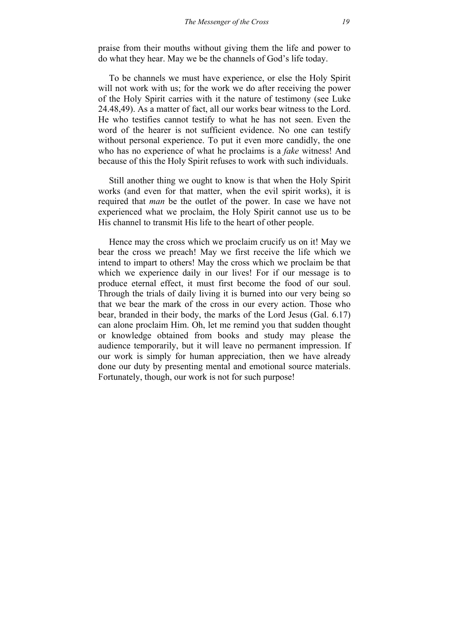praise from their mouths without giving them the life and power to do what they hear. May we be the channels of God's life today.

To be channels we must have experience, or else the Holy Spirit will not work with us; for the work we do after receiving the power of the Holy Spirit carries with it the nature of testimony (see Luke 24.48,49). As a matter of fact, all our works bear witness to the Lord. He who testifies cannot testify to what he has not seen. Even the word of the hearer is not sufficient evidence. No one can testify without personal experience. To put it even more candidly, the one who has no experience of what he proclaims is a *fake* witness! And because of this the Holy Spirit refuses to work with such individuals.

Still another thing we ought to know is that when the Holy Spirit works (and even for that matter, when the evil spirit works), it is required that *man* be the outlet of the power. In case we have not experienced what we proclaim, the Holy Spirit cannot use us to be His channel to transmit His life to the heart of other people.

Hence may the cross which we proclaim crucify us on it! May we bear the cross we preach! May we first receive the life which we intend to impart to others! May the cross which we proclaim be that which we experience daily in our lives! For if our message is to produce eternal effect, it must first become the food of our soul. Through the trials of daily living it is burned into our very being so that we bear the mark of the cross in our every action. Those who bear, branded in their body, the marks of the Lord Jesus (Gal. 6.17) can alone proclaim Him. Oh, let me remind you that sudden thought or knowledge obtained from books and study may please the audience temporarily, but it will leave no permanent impression. If our work is simply for human appreciation, then we have already done our duty by presenting mental and emotional source materials. Fortunately, though, our work is not for such purpose!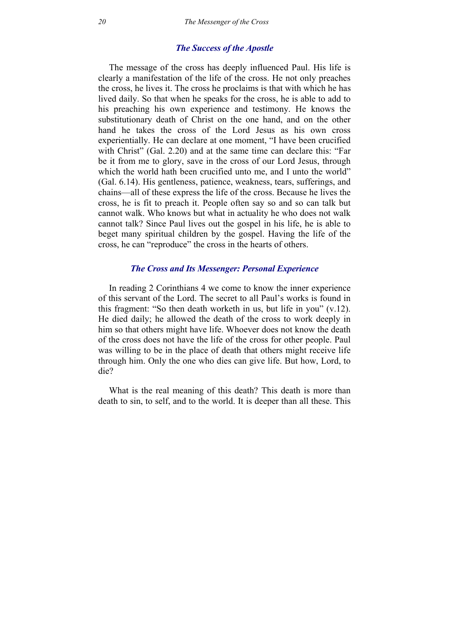#### *The Success of the Apostle*

The message of the cross has deeply influenced Paul. His life is clearly a manifestation of the life of the cross. He not only preaches the cross, he lives it. The cross he proclaims is that with which he has lived daily. So that when he speaks for the cross, he is able to add to his preaching his own experience and testimony. He knows the substitutionary death of Christ on the one hand, and on the other hand he takes the cross of the Lord Jesus as his own cross experientially. He can declare at one moment, "I have been crucified with Christ" (Gal. 2.20) and at the same time can declare this: "Far be it from me to glory, save in the cross of our Lord Jesus, through which the world hath been crucified unto me, and I unto the world" (Gal. 6.14). His gentleness, patience, weakness, tears, sufferings, and chains—all of these express the life of the cross. Because he lives the cross, he is fit to preach it. People often say so and so can talk but cannot walk. Who knows but what in actuality he who does not walk cannot talk? Since Paul lives out the gospel in his life, he is able to beget many spiritual children by the gospel. Having the life of the cross, he can "reproduce" the cross in the hearts of others.

#### *The Cross and Its Messenger: Personal Experience*

In reading 2 Corinthians 4 we come to know the inner experience of this servant of the Lord. The secret to all Paul's works is found in this fragment: "So then death worketh in us, but life in you" (v.12). He died daily; he allowed the death of the cross to work deeply in him so that others might have life. Whoever does not know the death of the cross does not have the life of the cross for other people. Paul was willing to be in the place of death that others might receive life through him. Only the one who dies can give life. But how, Lord, to die?

What is the real meaning of this death? This death is more than death to sin, to self, and to the world. It is deeper than all these. This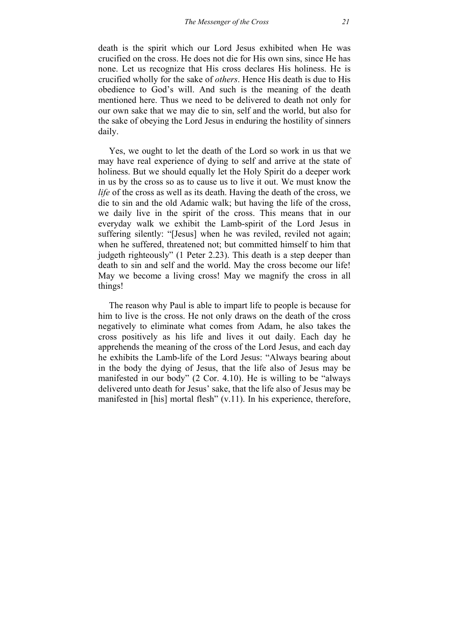death is the spirit which our Lord Jesus exhibited when He was crucified on the cross. He does not die for His own sins, since He has none. Let us recognize that His cross declares His holiness. He is crucified wholly for the sake of *others*. Hence His death is due to His obedience to God's will. And such is the meaning of the death mentioned here. Thus we need to be delivered to death not only for our own sake that we may die to sin, self and the world, but also for the sake of obeying the Lord Jesus in enduring the hostility of sinners daily.

Yes, we ought to let the death of the Lord so work in us that we may have real experience of dying to self and arrive at the state of holiness. But we should equally let the Holy Spirit do a deeper work in us by the cross so as to cause us to live it out. We must know the *life* of the cross as well as its death. Having the death of the cross, we die to sin and the old Adamic walk; but having the life of the cross, we daily live in the spirit of the cross. This means that in our everyday walk we exhibit the Lamb-spirit of the Lord Jesus in suffering silently: "[Jesus] when he was reviled, reviled not again; when he suffered, threatened not; but committed himself to him that judgeth righteously" (1 Peter 2.23). This death is a step deeper than death to sin and self and the world. May the cross become our life! May we become a living cross! May we magnify the cross in all things!

The reason why Paul is able to impart life to people is because for him to live is the cross. He not only draws on the death of the cross negatively to eliminate what comes from Adam, he also takes the cross positively as his life and lives it out daily. Each day he apprehends the meaning of the cross of the Lord Jesus, and each day he exhibits the Lamb-life of the Lord Jesus: "Always bearing about in the body the dying of Jesus, that the life also of Jesus may be manifested in our body" (2 Cor. 4.10). He is willing to be "always delivered unto death for Jesus' sake, that the life also of Jesus may be manifested in [his] mortal flesh" (v.11). In his experience, therefore,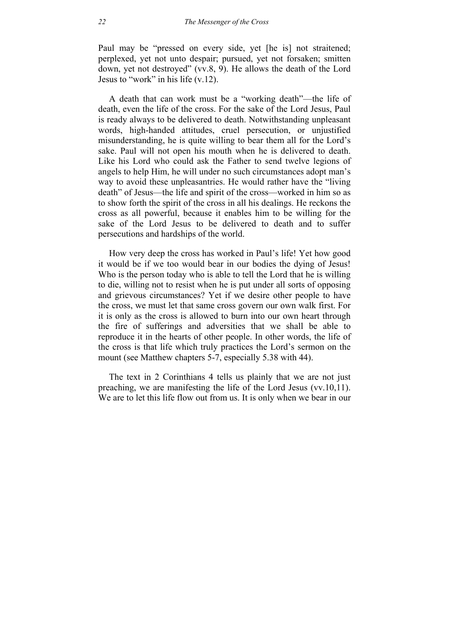Paul may be "pressed on every side, yet [he is] not straitened; perplexed, yet not unto despair; pursued, yet not forsaken; smitten down, yet not destroyed" (vv.8, 9). He allows the death of the Lord Jesus to "work" in his life (v.12).

A death that can work must be a "working death"—the life of death, even the life of the cross. For the sake of the Lord Jesus, Paul is ready always to be delivered to death. Notwithstanding unpleasant words, high-handed attitudes, cruel persecution, or unjustified misunderstanding, he is quite willing to bear them all for the Lord's sake. Paul will not open his mouth when he is delivered to death. Like his Lord who could ask the Father to send twelve legions of angels to help Him, he will under no such circumstances adopt man's way to avoid these unpleasantries. He would rather have the "living death" of Jesus—the life and spirit of the cross—worked in him so as to show forth the spirit of the cross in all his dealings. He reckons the cross as all powerful, because it enables him to be willing for the sake of the Lord Jesus to be delivered to death and to suffer persecutions and hardships of the world.

How very deep the cross has worked in Paul's life! Yet how good it would be if we too would bear in our bodies the dying of Jesus! Who is the person today who is able to tell the Lord that he is willing to die, willing not to resist when he is put under all sorts of opposing and grievous circumstances? Yet if we desire other people to have the cross, we must let that same cross govern our own walk first. For it is only as the cross is allowed to burn into our own heart through the fire of sufferings and adversities that we shall be able to reproduce it in the hearts of other people. In other words, the life of the cross is that life which truly practices the Lord's sermon on the mount (see Matthew chapters 5-7, especially 5.38 with 44).

The text in 2 Corinthians 4 tells us plainly that we are not just preaching, we are manifesting the life of the Lord Jesus (vv.10,11). We are to let this life flow out from us. It is only when we bear in our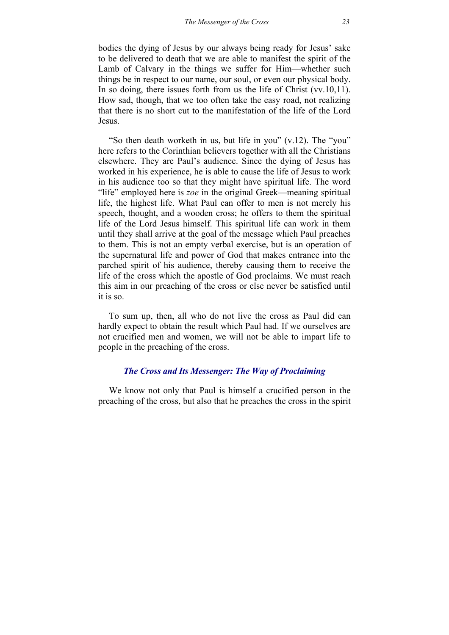bodies the dying of Jesus by our always being ready for Jesus' sake to be delivered to death that we are able to manifest the spirit of the Lamb of Calvary in the things we suffer for Him—whether such things be in respect to our name, our soul, or even our physical body. In so doing, there issues forth from us the life of Christ (vv.10,11). How sad, though, that we too often take the easy road, not realizing that there is no short cut to the manifestation of the life of the Lord Jesus.

"So then death worketh in us, but life in you" (v.12). The "you" here refers to the Corinthian believers together with all the Christians elsewhere. They are Paul's audience. Since the dying of Jesus has worked in his experience, he is able to cause the life of Jesus to work in his audience too so that they might have spiritual life. The word "life" employed here is *zoe* in the original Greek—meaning spiritual life, the highest life. What Paul can offer to men is not merely his speech, thought, and a wooden cross; he offers to them the spiritual life of the Lord Jesus himself. This spiritual life can work in them until they shall arrive at the goal of the message which Paul preaches to them. This is not an empty verbal exercise, but is an operation of the supernatural life and power of God that makes entrance into the parched spirit of his audience, thereby causing them to receive the life of the cross which the apostle of God proclaims. We must reach this aim in our preaching of the cross or else never be satisfied until it is so.

To sum up, then, all who do not live the cross as Paul did can hardly expect to obtain the result which Paul had. If we ourselves are not crucified men and women, we will not be able to impart life to people in the preaching of the cross.

#### *The Cross and Its Messenger: The Way of Proclaiming*

We know not only that Paul is himself a crucified person in the preaching of the cross, but also that he preaches the cross in the spirit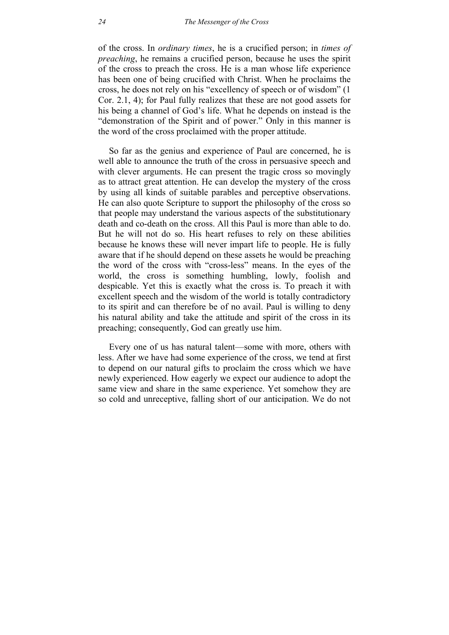of the cross. In *ordinary times*, he is a crucified person; in *times of preaching*, he remains a crucified person, because he uses the spirit of the cross to preach the cross. He is a man whose life experience has been one of being crucified with Christ. When he proclaims the cross, he does not rely on his "excellency of speech or of wisdom" (1 Cor. 2.1, 4); for Paul fully realizes that these are not good assets for his being a channel of God's life. What he depends on instead is the "demonstration of the Spirit and of power." Only in this manner is the word of the cross proclaimed with the proper attitude.

So far as the genius and experience of Paul are concerned, he is well able to announce the truth of the cross in persuasive speech and with clever arguments. He can present the tragic cross so movingly as to attract great attention. He can develop the mystery of the cross by using all kinds of suitable parables and perceptive observations. He can also quote Scripture to support the philosophy of the cross so that people may understand the various aspects of the substitutionary death and co-death on the cross. All this Paul is more than able to do. But he will not do so. His heart refuses to rely on these abilities because he knows these will never impart life to people. He is fully aware that if he should depend on these assets he would be preaching the word of the cross with "cross-less" means. In the eyes of the world, the cross is something humbling, lowly, foolish and despicable. Yet this is exactly what the cross is. To preach it with excellent speech and the wisdom of the world is totally contradictory to its spirit and can therefore be of no avail. Paul is willing to deny his natural ability and take the attitude and spirit of the cross in its preaching; consequently, God can greatly use him.

Every one of us has natural talent—some with more, others with less. After we have had some experience of the cross, we tend at first to depend on our natural gifts to proclaim the cross which we have newly experienced. How eagerly we expect our audience to adopt the same view and share in the same experience. Yet somehow they are so cold and unreceptive, falling short of our anticipation. We do not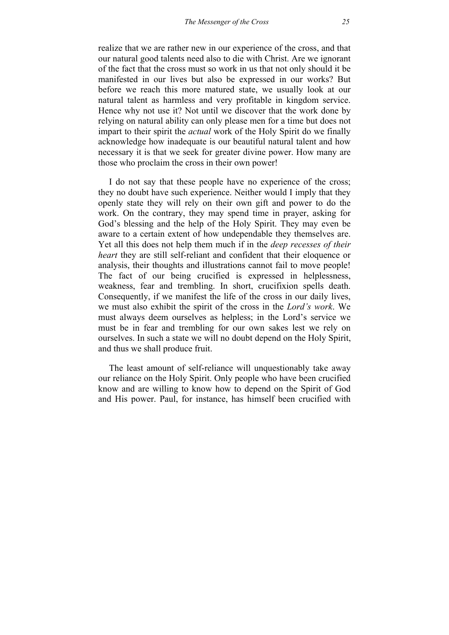realize that we are rather new in our experience of the cross, and that our natural good talents need also to die with Christ. Are we ignorant of the fact that the cross must so work in us that not only should it be manifested in our lives but also be expressed in our works? But before we reach this more matured state, we usually look at our natural talent as harmless and very profitable in kingdom service. Hence why not use it? Not until we discover that the work done by relying on natural ability can only please men for a time but does not impart to their spirit the *actual* work of the Holy Spirit do we finally acknowledge how inadequate is our beautiful natural talent and how necessary it is that we seek for greater divine power. How many are those who proclaim the cross in their own power!

I do not say that these people have no experience of the cross; they no doubt have such experience. Neither would I imply that they openly state they will rely on their own gift and power to do the work. On the contrary, they may spend time in prayer, asking for God's blessing and the help of the Holy Spirit. They may even be aware to a certain extent of how undependable they themselves are. Yet all this does not help them much if in the *deep recesses of their heart* they are still self-reliant and confident that their eloquence or analysis, their thoughts and illustrations cannot fail to move people! The fact of our being crucified is expressed in helplessness, weakness, fear and trembling. In short, crucifixion spells death. Consequently, if we manifest the life of the cross in our daily lives, we must also exhibit the spirit of the cross in the *Lord's work*. We must always deem ourselves as helpless; in the Lord's service we must be in fear and trembling for our own sakes lest we rely on ourselves. In such a state we will no doubt depend on the Holy Spirit, and thus we shall produce fruit.

The least amount of self-reliance will unquestionably take away our reliance on the Holy Spirit. Only people who have been crucified know and are willing to know how to depend on the Spirit of God and His power. Paul, for instance, has himself been crucified with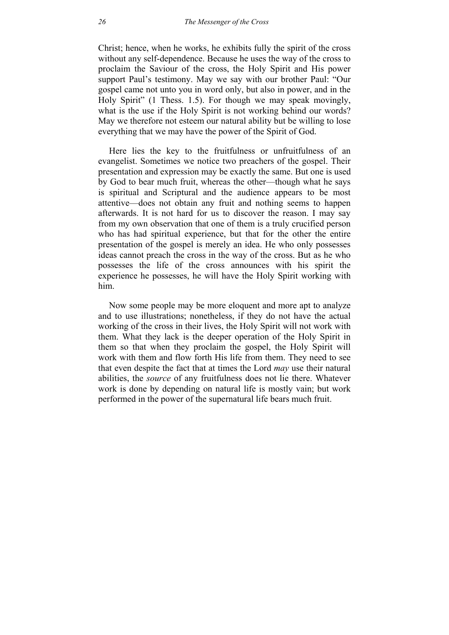Christ; hence, when he works, he exhibits fully the spirit of the cross without any self-dependence. Because he uses the way of the cross to proclaim the Saviour of the cross, the Holy Spirit and His power support Paul's testimony. May we say with our brother Paul: "Our gospel came not unto you in word only, but also in power, and in the Holy Spirit" (1 Thess. 1.5). For though we may speak movingly, what is the use if the Holy Spirit is not working behind our words? May we therefore not esteem our natural ability but be willing to lose everything that we may have the power of the Spirit of God.

Here lies the key to the fruitfulness or unfruitfulness of an evangelist. Sometimes we notice two preachers of the gospel. Their presentation and expression may be exactly the same. But one is used by God to bear much fruit, whereas the other—though what he says is spiritual and Scriptural and the audience appears to be most attentive—does not obtain any fruit and nothing seems to happen afterwards. It is not hard for us to discover the reason. I may say from my own observation that one of them is a truly crucified person who has had spiritual experience, but that for the other the entire presentation of the gospel is merely an idea. He who only possesses ideas cannot preach the cross in the way of the cross. But as he who possesses the life of the cross announces with his spirit the experience he possesses, he will have the Holy Spirit working with him.

Now some people may be more eloquent and more apt to analyze and to use illustrations; nonetheless, if they do not have the actual working of the cross in their lives, the Holy Spirit will not work with them. What they lack is the deeper operation of the Holy Spirit in them so that when they proclaim the gospel, the Holy Spirit will work with them and flow forth His life from them. They need to see that even despite the fact that at times the Lord *may* use their natural abilities, the *source* of any fruitfulness does not lie there. Whatever work is done by depending on natural life is mostly vain; but work performed in the power of the supernatural life bears much fruit.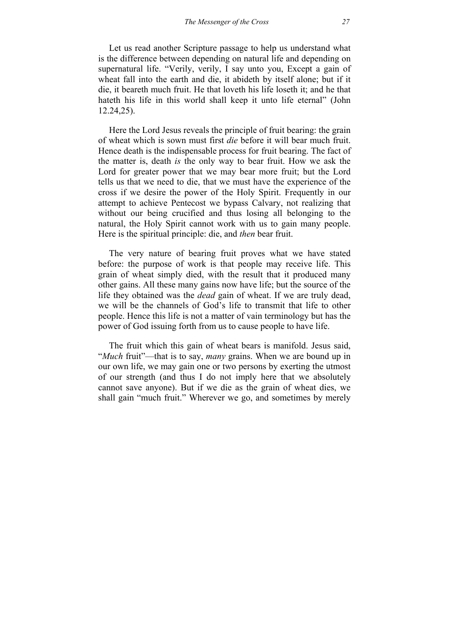Let us read another Scripture passage to help us understand what is the difference between depending on natural life and depending on supernatural life. "Verily, verily, I say unto you, Except a gain of wheat fall into the earth and die, it abideth by itself alone; but if it die, it beareth much fruit. He that loveth his life loseth it; and he that hateth his life in this world shall keep it unto life eternal" (John 12.24,25).

Here the Lord Jesus reveals the principle of fruit bearing: the grain of wheat which is sown must first *die* before it will bear much fruit. Hence death is the indispensable process for fruit bearing. The fact of the matter is, death *is* the only way to bear fruit. How we ask the Lord for greater power that we may bear more fruit; but the Lord tells us that we need to die, that we must have the experience of the cross if we desire the power of the Holy Spirit. Frequently in our attempt to achieve Pentecost we bypass Calvary, not realizing that without our being crucified and thus losing all belonging to the natural, the Holy Spirit cannot work with us to gain many people. Here is the spiritual principle: die, and *then* bear fruit.

The very nature of bearing fruit proves what we have stated before: the purpose of work is that people may receive life. This grain of wheat simply died, with the result that it produced many other gains. All these many gains now have life; but the source of the life they obtained was the *dead* gain of wheat. If we are truly dead, we will be the channels of God's life to transmit that life to other people. Hence this life is not a matter of vain terminology but has the power of God issuing forth from us to cause people to have life.

The fruit which this gain of wheat bears is manifold. Jesus said, "*Much* fruit"—that is to say, *many* grains. When we are bound up in our own life, we may gain one or two persons by exerting the utmost of our strength (and thus I do not imply here that we absolutely cannot save anyone). But if we die as the grain of wheat dies, we shall gain "much fruit." Wherever we go, and sometimes by merely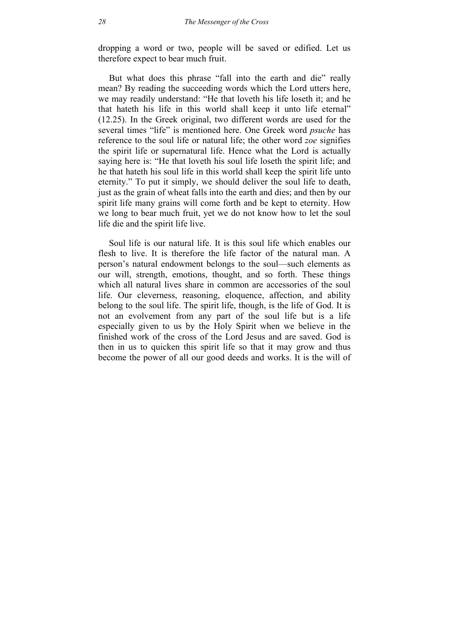dropping a word or two, people will be saved or edified. Let us therefore expect to bear much fruit.

But what does this phrase "fall into the earth and die" really mean? By reading the succeeding words which the Lord utters here, we may readily understand: "He that loveth his life loseth it; and he that hateth his life in this world shall keep it unto life eternal" (12.25). In the Greek original, two different words are used for the several times "life" is mentioned here. One Greek word *psuche* has reference to the soul life or natural life; the other word *zoe* signifies the spirit life or supernatural life. Hence what the Lord is actually saying here is: "He that loveth his soul life loseth the spirit life; and he that hateth his soul life in this world shall keep the spirit life unto eternity." To put it simply, we should deliver the soul life to death, just as the grain of wheat falls into the earth and dies; and then by our spirit life many grains will come forth and be kept to eternity. How we long to bear much fruit, yet we do not know how to let the soul life die and the spirit life live.

Soul life is our natural life. It is this soul life which enables our flesh to live. It is therefore the life factor of the natural man. A person's natural endowment belongs to the soul—such elements as our will, strength, emotions, thought, and so forth. These things which all natural lives share in common are accessories of the soul life. Our cleverness, reasoning, eloquence, affection, and ability belong to the soul life. The spirit life, though, is the life of God. It is not an evolvement from any part of the soul life but is a life especially given to us by the Holy Spirit when we believe in the finished work of the cross of the Lord Jesus and are saved. God is then in us to quicken this spirit life so that it may grow and thus become the power of all our good deeds and works. It is the will of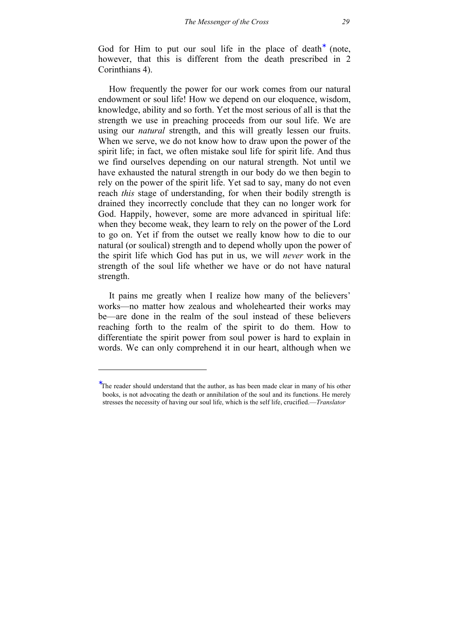God for Him to put our soul life in the place of death<sup>\*</sup> (note, however, that this is different from the death prescribed in 2 Corinthians 4).

How frequently the power for our work comes from our natural endowment or soul life! How we depend on our eloquence, wisdom, knowledge, ability and so forth. Yet the most serious of all is that the strength we use in preaching proceeds from our soul life. We are using our *natural* strength, and this will greatly lessen our fruits. When we serve, we do not know how to draw upon the power of the spirit life; in fact, we often mistake soul life for spirit life. And thus we find ourselves depending on our natural strength. Not until we have exhausted the natural strength in our body do we then begin to rely on the power of the spirit life. Yet sad to say, many do not even reach *this* stage of understanding, for when their bodily strength is drained they incorrectly conclude that they can no longer work for God. Happily, however, some are more advanced in spiritual life: when they become weak, they learn to rely on the power of the Lord to go on. Yet if from the outset we really know how to die to our natural (or soulical) strength and to depend wholly upon the power of the spirit life which God has put in us, we will *never* work in the strength of the soul life whether we have or do not have natural strength.

It pains me greatly when I realize how many of the believers' works—no matter how zealous and wholehearted their works may be—are done in the realm of the soul instead of these believers reaching forth to the realm of the spirit to do them. How to differentiate the spirit power from soul power is hard to explain in words. We can only comprehend it in our heart, although when we

-

<sup>∗</sup> The reader should understand that the author, as has been made clear in many of his other books, is not advocating the death or annihilation of the soul and its functions. He merely stresses the necessity of having our soul life, which is the self life, crucified.—*Translator*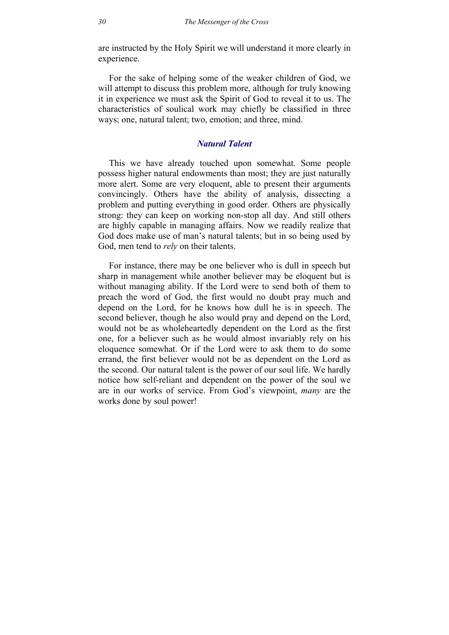are instructed by the Holy Spirit we will understand it more clearly in experience.

For the sake of helping some of the weaker children of God, we will attempt to discuss this problem more, although for truly knowing it in experience we must ask the Spirit of God to reveal it to us. The characteristics of soulical work may chiefly be classified in three ways; one, natural talent; two, emotion; and three, mind.

#### *Natural Talent*

This we have already touched upon somewhat. Some people possess higher natural endowments than most; they are just naturally more alert. Some are very eloquent, able to present their arguments convincingly. Others have the ability of analysis, dissecting a problem and putting everything in good order. Others are physically strong: they can keep on working non-stop all day. And still others are highly capable in managing affairs. Now we readily realize that God does make use of man's natural talents; but in so being used by God, men tend to *rely* on their talents.

For instance, there may be one believer who is dull in speech but sharp in management while another believer may be eloquent but is without managing ability. If the Lord were to send both of them to preach the word of God, the first would no doubt pray much and depend on the Lord, for he knows how dull he is in speech. The second believer, though he also would pray and depend on the Lord, would not be as wholeheartedly dependent on the Lord as the first one, for a believer such as he would almost invariably rely on his eloquence somewhat. Or if the Lord were to ask them to do some errand, the first believer would not be as dependent on the Lord as the second. Our natural talent is the power of our soul life. We hardly notice how self-reliant and dependent on the power of the soul we are in our works of service. From God's viewpoint, *many* are the works done by soul power!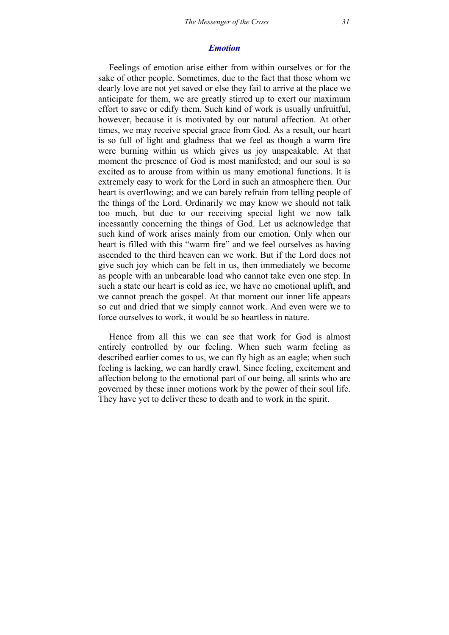#### *Emotion*

Feelings of emotion arise either from within ourselves or for the sake of other people. Sometimes, due to the fact that those whom we dearly love are not yet saved or else they fail to arrive at the place we anticipate for them, we are greatly stirred up to exert our maximum effort to save or edify them. Such kind of work is usually unfruitful, however, because it is motivated by our natural affection. At other times, we may receive special grace from God. As a result, our heart is so full of light and gladness that we feel as though a warm fire were burning within us which gives us joy unspeakable. At that moment the presence of God is most manifested; and our soul is so excited as to arouse from within us many emotional functions. It is extremely easy to work for the Lord in such an atmosphere then. Our heart is overflowing; and we can barely refrain from telling people of the things of the Lord. Ordinarily we may know we should not talk too much, but due to our receiving special light we now talk incessantly concerning the things of God. Let us acknowledge that such kind of work arises mainly from our emotion. Only when our heart is filled with this "warm fire" and we feel ourselves as having ascended to the third heaven can we work. But if the Lord does not give such joy which can be felt in us, then immediately we become as people with an unbearable load who cannot take even one step. In such a state our heart is cold as ice, we have no emotional uplift, and we cannot preach the gospel. At that moment our inner life appears so cut and dried that we simply cannot work. And even were we to force ourselves to work, it would be so heartless in nature.

Hence from all this we can see that work for God is almost entirely controlled by our feeling. When such warm feeling as described earlier comes to us, we can fly high as an eagle; when such feeling is lacking, we can hardly crawl. Since feeling, excitement and affection belong to the emotional part of our being, all saints who are governed by these inner motions work by the power of their soul life. They have yet to deliver these to death and to work in the spirit.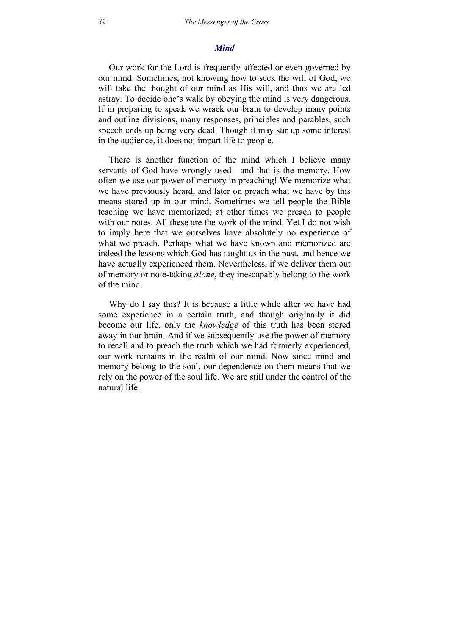#### *Mind*

Our work for the Lord is frequently affected or even governed by our mind. Sometimes, not knowing how to seek the will of God, we will take the thought of our mind as His will, and thus we are led astray. To decide one's walk by obeying the mind is very dangerous. If in preparing to speak we wrack our brain to develop many points and outline divisions, many responses, principles and parables, such speech ends up being very dead. Though it may stir up some interest in the audience, it does not impart life to people.

There is another function of the mind which I believe many servants of God have wrongly used—and that is the memory. How often we use our power of memory in preaching! We memorize what we have previously heard, and later on preach what we have by this means stored up in our mind. Sometimes we tell people the Bible teaching we have memorized; at other times we preach to people with our notes. All these are the work of the mind. Yet I do not wish to imply here that we ourselves have absolutely no experience of what we preach. Perhaps what we have known and memorized are indeed the lessons which God has taught us in the past, and hence we have actually experienced them. Nevertheless, if we deliver them out of memory or note-taking *alone*, they inescapably belong to the work of the mind.

Why do I say this? It is because a little while after we have had some experience in a certain truth, and though originally it did become our life, only the *knowledge* of this truth has been stored away in our brain. And if we subsequently use the power of memory to recall and to preach the truth which we had formerly experienced, our work remains in the realm of our mind. Now since mind and memory belong to the soul, our dependence on them means that we rely on the power of the soul life. We are still under the control of the natural life.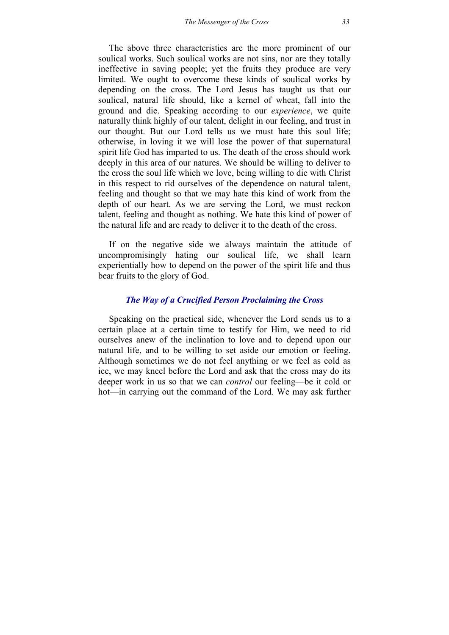The above three characteristics are the more prominent of our soulical works. Such soulical works are not sins, nor are they totally ineffective in saving people; yet the fruits they produce are very limited. We ought to overcome these kinds of soulical works by depending on the cross. The Lord Jesus has taught us that our soulical, natural life should, like a kernel of wheat, fall into the ground and die. Speaking according to our *experience*, we quite naturally think highly of our talent, delight in our feeling, and trust in our thought. But our Lord tells us we must hate this soul life; otherwise, in loving it we will lose the power of that supernatural spirit life God has imparted to us. The death of the cross should work deeply in this area of our natures. We should be willing to deliver to the cross the soul life which we love, being willing to die with Christ in this respect to rid ourselves of the dependence on natural talent, feeling and thought so that we may hate this kind of work from the depth of our heart. As we are serving the Lord, we must reckon talent, feeling and thought as nothing. We hate this kind of power of the natural life and are ready to deliver it to the death of the cross.

If on the negative side we always maintain the attitude of uncompromisingly hating our soulical life, we shall learn experientially how to depend on the power of the spirit life and thus bear fruits to the glory of God.

#### *The Way of a Crucified Person Proclaiming the Cross*

Speaking on the practical side, whenever the Lord sends us to a certain place at a certain time to testify for Him, we need to rid ourselves anew of the inclination to love and to depend upon our natural life, and to be willing to set aside our emotion or feeling. Although sometimes we do not feel anything or we feel as cold as ice, we may kneel before the Lord and ask that the cross may do its deeper work in us so that we can *control* our feeling—be it cold or hot—in carrying out the command of the Lord. We may ask further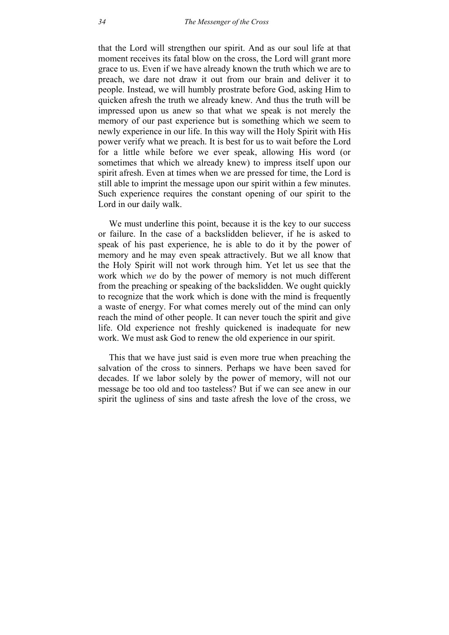that the Lord will strengthen our spirit. And as our soul life at that moment receives its fatal blow on the cross, the Lord will grant more grace to us. Even if we have already known the truth which we are to preach, we dare not draw it out from our brain and deliver it to people. Instead, we will humbly prostrate before God, asking Him to quicken afresh the truth we already knew. And thus the truth will be impressed upon us anew so that what we speak is not merely the memory of our past experience but is something which we seem to newly experience in our life. In this way will the Holy Spirit with His power verify what we preach. It is best for us to wait before the Lord for a little while before we ever speak, allowing His word (or sometimes that which we already knew) to impress itself upon our spirit afresh. Even at times when we are pressed for time, the Lord is still able to imprint the message upon our spirit within a few minutes. Such experience requires the constant opening of our spirit to the Lord in our daily walk.

We must underline this point, because it is the key to our success or failure. In the case of a backslidden believer, if he is asked to speak of his past experience, he is able to do it by the power of memory and he may even speak attractively. But we all know that the Holy Spirit will not work through him. Yet let us see that the work which *we* do by the power of memory is not much different from the preaching or speaking of the backslidden. We ought quickly to recognize that the work which is done with the mind is frequently a waste of energy. For what comes merely out of the mind can only reach the mind of other people. It can never touch the spirit and give life. Old experience not freshly quickened is inadequate for new work. We must ask God to renew the old experience in our spirit.

This that we have just said is even more true when preaching the salvation of the cross to sinners. Perhaps we have been saved for decades. If we labor solely by the power of memory, will not our message be too old and too tasteless? But if we can see anew in our spirit the ugliness of sins and taste afresh the love of the cross, we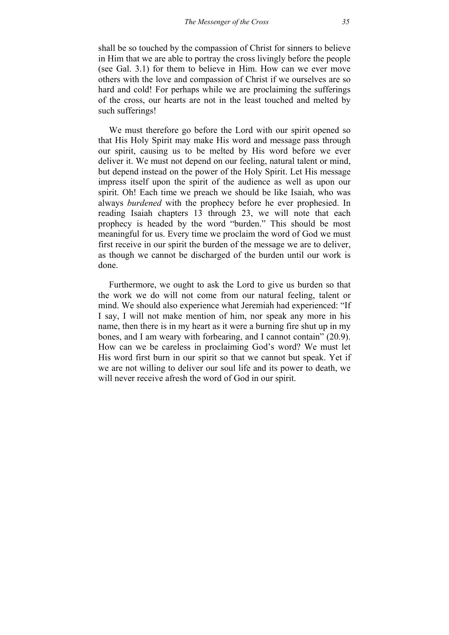shall be so touched by the compassion of Christ for sinners to believe in Him that we are able to portray the cross livingly before the people (see Gal. 3.1) for them to believe in Him. How can we ever move others with the love and compassion of Christ if we ourselves are so hard and cold! For perhaps while we are proclaiming the sufferings of the cross, our hearts are not in the least touched and melted by such sufferings!

We must therefore go before the Lord with our spirit opened so that His Holy Spirit may make His word and message pass through our spirit, causing us to be melted by His word before we ever deliver it. We must not depend on our feeling, natural talent or mind, but depend instead on the power of the Holy Spirit. Let His message impress itself upon the spirit of the audience as well as upon our spirit. Oh! Each time we preach we should be like Isaiah, who was always *burdened* with the prophecy before he ever prophesied. In reading Isaiah chapters 13 through 23, we will note that each prophecy is headed by the word "burden." This should be most meaningful for us. Every time we proclaim the word of God we must first receive in our spirit the burden of the message we are to deliver, as though we cannot be discharged of the burden until our work is done.

Furthermore, we ought to ask the Lord to give us burden so that the work we do will not come from our natural feeling, talent or mind. We should also experience what Jeremiah had experienced: "If I say, I will not make mention of him, nor speak any more in his name, then there is in my heart as it were a burning fire shut up in my bones, and I am weary with forbearing, and I cannot contain" (20.9). How can we be careless in proclaiming God's word? We must let His word first burn in our spirit so that we cannot but speak. Yet if we are not willing to deliver our soul life and its power to death, we will never receive afresh the word of God in our spirit.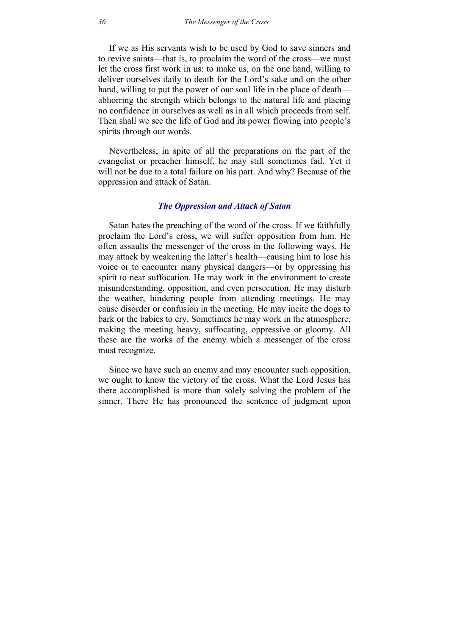If we as His servants wish to be used by God to save sinners and to revive saints—that is, to proclaim the word of the cross—we must let the cross first work in us: to make us, on the one hand, willing to deliver ourselves daily to death for the Lord's sake and on the other hand, willing to put the power of our soul life in the place of death abhorring the strength which belongs to the natural life and placing no confidence in ourselves as well as in all which proceeds from self. Then shall we see the life of God and its power flowing into people's spirits through our words.

Nevertheless, in spite of all the preparations on the part of the evangelist or preacher himself, he may still sometimes fail. Yet it will not be due to a total failure on his part. And why? Because of the oppression and attack of Satan.

#### *The Oppression and Attack of Satan*

Satan hates the preaching of the word of the cross. If we faithfully proclaim the Lord's cross, we will suffer opposition from him. He often assaults the messenger of the cross in the following ways. He may attack by weakening the latter's health—causing him to lose his voice or to encounter many physical dangers—or by oppressing his spirit to near suffocation. He may work in the environment to create misunderstanding, opposition, and even persecution. He may disturb the weather, hindering people from attending meetings. He may cause disorder or confusion in the meeting. He may incite the dogs to bark or the babies to cry. Sometimes he may work in the atmosphere, making the meeting heavy, suffocating, oppressive or gloomy. All these are the works of the enemy which a messenger of the cross must recognize.

Since we have such an enemy and may encounter such opposition, we ought to know the victory of the cross. What the Lord Jesus has there accomplished is more than solely solving the problem of the sinner. There He has pronounced the sentence of judgment upon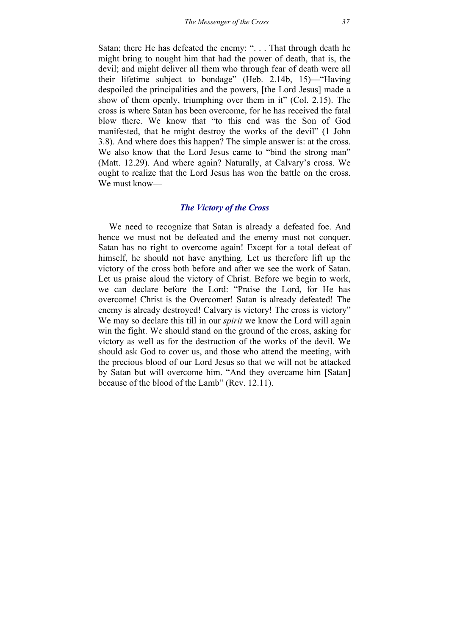Satan; there He has defeated the enemy: ". . . That through death he might bring to nought him that had the power of death, that is, the devil; and might deliver all them who through fear of death were all their lifetime subject to bondage" (Heb. 2.14b, 15)—"Having despoiled the principalities and the powers, [the Lord Jesus] made a show of them openly, triumphing over them in it" (Col. 2.15). The cross is where Satan has been overcome, for he has received the fatal blow there. We know that "to this end was the Son of God manifested, that he might destroy the works of the devil" (1 John 3.8). And where does this happen? The simple answer is: at the cross. We also know that the Lord Jesus came to "bind the strong man" (Matt. 12.29). And where again? Naturally, at Calvary's cross. We ought to realize that the Lord Jesus has won the battle on the cross. We must know—

# *The Victory of the Cross*

We need to recognize that Satan is already a defeated foe. And hence we must not be defeated and the enemy must not conquer. Satan has no right to overcome again! Except for a total defeat of himself, he should not have anything. Let us therefore lift up the victory of the cross both before and after we see the work of Satan. Let us praise aloud the victory of Christ. Before we begin to work, we can declare before the Lord: "Praise the Lord, for He has overcome! Christ is the Overcomer! Satan is already defeated! The enemy is already destroyed! Calvary is victory! The cross is victory" We may so declare this till in our *spirit* we know the Lord will again win the fight. We should stand on the ground of the cross, asking for victory as well as for the destruction of the works of the devil. We should ask God to cover us, and those who attend the meeting, with the precious blood of our Lord Jesus so that we will not be attacked by Satan but will overcome him. "And they overcame him [Satan] because of the blood of the Lamb" (Rev. 12.11).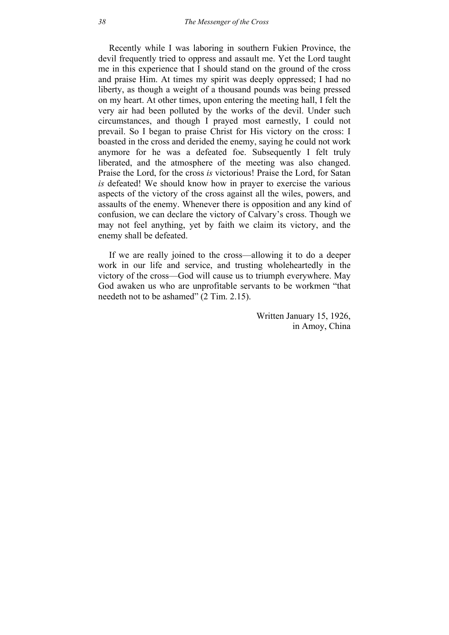Recently while I was laboring in southern Fukien Province, the devil frequently tried to oppress and assault me. Yet the Lord taught me in this experience that I should stand on the ground of the cross and praise Him. At times my spirit was deeply oppressed; I had no liberty, as though a weight of a thousand pounds was being pressed on my heart. At other times, upon entering the meeting hall, I felt the very air had been polluted by the works of the devil. Under such circumstances, and though I prayed most earnestly, I could not prevail. So I began to praise Christ for His victory on the cross: I boasted in the cross and derided the enemy, saying he could not work anymore for he was a defeated foe. Subsequently I felt truly liberated, and the atmosphere of the meeting was also changed. Praise the Lord, for the cross *is* victorious! Praise the Lord, for Satan *is* defeated! We should know how in prayer to exercise the various aspects of the victory of the cross against all the wiles, powers, and assaults of the enemy. Whenever there is opposition and any kind of confusion, we can declare the victory of Calvary's cross. Though we may not feel anything, yet by faith we claim its victory, and the enemy shall be defeated.

If we are really joined to the cross—allowing it to do a deeper work in our life and service, and trusting wholeheartedly in the victory of the cross—God will cause us to triumph everywhere. May God awaken us who are unprofitable servants to be workmen "that needeth not to be ashamed" (2 Tim. 2.15).

> Written January 15, 1926, in Amoy, China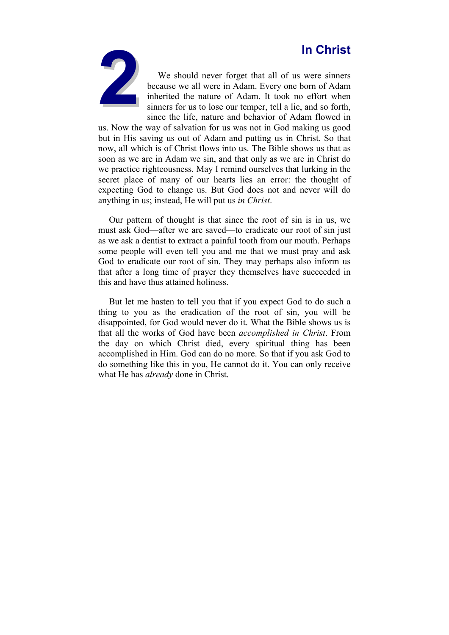

**218 In Christ**<br>We should never forget that all of us were sinners<br>because we all were in Adam. Every one born of Adam<br>inherited the nature of Adam. It took no effort when<br>sinners for us to lose our temper, tell a lie, and We should never forget that all of us were sinners because we all were in Adam. Every one born of Adam inherited the nature of Adam. It took no effort when sinners for us to lose our temper, tell a lie, and so forth, since the life, nature and behavior of Adam flowed in

us. Now the way of salvation for us was not in God making us good but in His saving us out of Adam and putting us in Christ. So that now, all which is of Christ flows into us. The Bible shows us that as soon as we are in Adam we sin, and that only as we are in Christ do we practice righteousness. May I remind ourselves that lurking in the secret place of many of our hearts lies an error: the thought of expecting God to change us. But God does not and never will do anything in us; instead, He will put us *in Christ*.

Our pattern of thought is that since the root of sin is in us, we must ask God—after we are saved—to eradicate our root of sin just as we ask a dentist to extract a painful tooth from our mouth. Perhaps some people will even tell you and me that we must pray and ask God to eradicate our root of sin. They may perhaps also inform us that after a long time of prayer they themselves have succeeded in this and have thus attained holiness.

But let me hasten to tell you that if you expect God to do such a thing to you as the eradication of the root of sin, you will be disappointed, for God would never do it. What the Bible shows us is that all the works of God have been *accomplished in Christ*. From the day on which Christ died, every spiritual thing has been accomplished in Him. God can do no more. So that if you ask God to do something like this in you, He cannot do it. You can only receive what He has *already* done in Christ.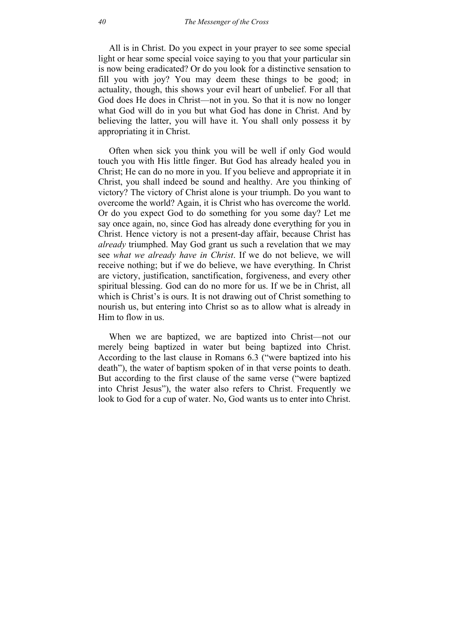All is in Christ. Do you expect in your prayer to see some special light or hear some special voice saying to you that your particular sin is now being eradicated? Or do you look for a distinctive sensation to fill you with joy? You may deem these things to be good; in actuality, though, this shows your evil heart of unbelief. For all that God does He does in Christ—not in you. So that it is now no longer what God will do in you but what God has done in Christ. And by believing the latter, you will have it. You shall only possess it by appropriating it in Christ.

Often when sick you think you will be well if only God would touch you with His little finger. But God has already healed you in Christ; He can do no more in you. If you believe and appropriate it in Christ, you shall indeed be sound and healthy. Are you thinking of victory? The victory of Christ alone is your triumph. Do you want to overcome the world? Again, it is Christ who has overcome the world. Or do you expect God to do something for you some day? Let me say once again, no, since God has already done everything for you in Christ. Hence victory is not a present-day affair, because Christ has *already* triumphed. May God grant us such a revelation that we may see *what we already have in Christ*. If we do not believe, we will receive nothing; but if we do believe, we have everything. In Christ are victory, justification, sanctification, forgiveness, and every other spiritual blessing. God can do no more for us. If we be in Christ, all which is Christ's is ours. It is not drawing out of Christ something to nourish us, but entering into Christ so as to allow what is already in Him to flow in us.

When we are baptized, we are baptized into Christ—not our merely being baptized in water but being baptized into Christ. According to the last clause in Romans 6.3 ("were baptized into his death"), the water of baptism spoken of in that verse points to death. But according to the first clause of the same verse ("were baptized into Christ Jesus"), the water also refers to Christ. Frequently we look to God for a cup of water. No, God wants us to enter into Christ.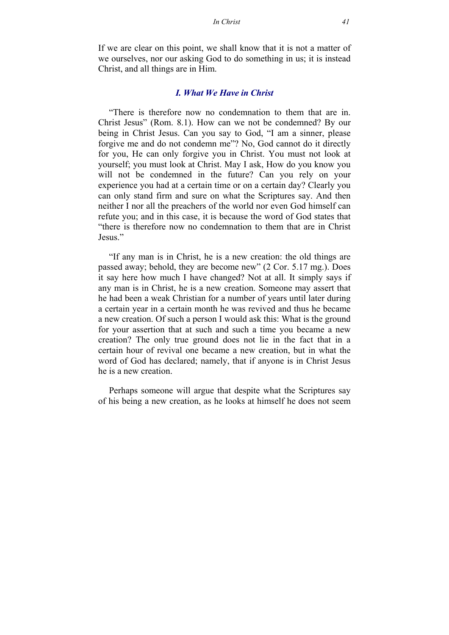If we are clear on this point, we shall know that it is not a matter of we ourselves, nor our asking God to do something in us; it is instead Christ, and all things are in Him.

## *I. What We Have in Christ*

"There is therefore now no condemnation to them that are in. Christ Jesus" (Rom. 8.1). How can we not be condemned? By our being in Christ Jesus. Can you say to God, "I am a sinner, please forgive me and do not condemn me"? No, God cannot do it directly for you, He can only forgive you in Christ. You must not look at yourself; you must look at Christ. May I ask, How do you know you will not be condemned in the future? Can you rely on your experience you had at a certain time or on a certain day? Clearly you can only stand firm and sure on what the Scriptures say. And then neither I nor all the preachers of the world nor even God himself can refute you; and in this case, it is because the word of God states that "there is therefore now no condemnation to them that are in Christ Jesus<sup>"</sup>

"If any man is in Christ, he is a new creation: the old things are passed away; behold, they are become new" (2 Cor. 5.17 mg.). Does it say here how much I have changed? Not at all. It simply says if any man is in Christ, he is a new creation. Someone may assert that he had been a weak Christian for a number of years until later during a certain year in a certain month he was revived and thus he became a new creation. Of such a person I would ask this: What is the ground for your assertion that at such and such a time you became a new creation? The only true ground does not lie in the fact that in a certain hour of revival one became a new creation, but in what the word of God has declared; namely, that if anyone is in Christ Jesus he is a new creation.

Perhaps someone will argue that despite what the Scriptures say of his being a new creation, as he looks at himself he does not seem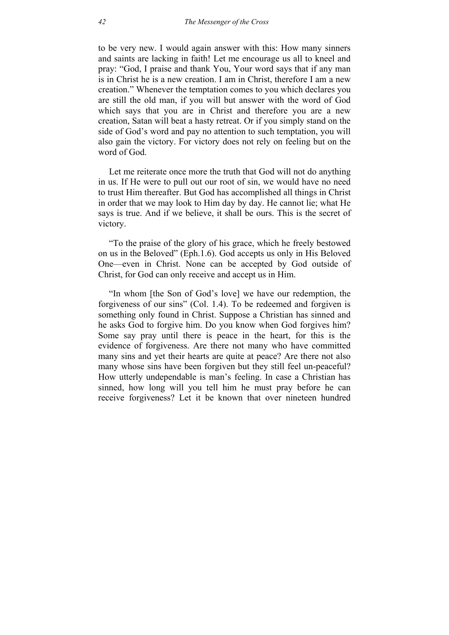to be very new. I would again answer with this: How many sinners and saints are lacking in faith! Let me encourage us all to kneel and pray: "God, I praise and thank You, Your word says that if any man is in Christ he is a new creation. I am in Christ, therefore I am a new creation." Whenever the temptation comes to you which declares you are still the old man, if you will but answer with the word of God which says that you are in Christ and therefore you are a new creation, Satan will beat a hasty retreat. Or if you simply stand on the side of God's word and pay no attention to such temptation, you will also gain the victory. For victory does not rely on feeling but on the word of God.

Let me reiterate once more the truth that God will not do anything in us. If He were to pull out our root of sin, we would have no need to trust Him thereafter. But God has accomplished all things in Christ in order that we may look to Him day by day. He cannot lie; what He says is true. And if we believe, it shall be ours. This is the secret of victory.

"To the praise of the glory of his grace, which he freely bestowed on us in the Beloved" (Eph.1.6). God accepts us only in His Beloved One—even in Christ. None can be accepted by God outside of Christ, for God can only receive and accept us in Him.

"In whom [the Son of God's love] we have our redemption, the forgiveness of our sins" (Col. 1.4). To be redeemed and forgiven is something only found in Christ. Suppose a Christian has sinned and he asks God to forgive him. Do you know when God forgives him? Some say pray until there is peace in the heart, for this is the evidence of forgiveness. Are there not many who have committed many sins and yet their hearts are quite at peace? Are there not also many whose sins have been forgiven but they still feel un-peaceful? How utterly undependable is man's feeling. In case a Christian has sinned, how long will you tell him he must pray before he can receive forgiveness? Let it be known that over nineteen hundred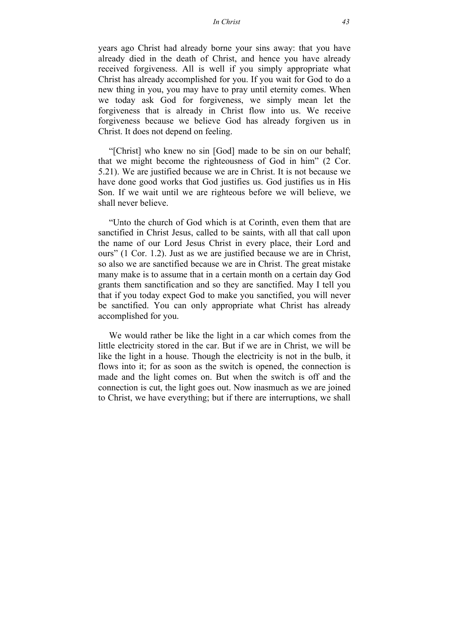### *In Christ 43*

years ago Christ had already borne your sins away: that you have already died in the death of Christ, and hence you have already received forgiveness. All is well if you simply appropriate what Christ has already accomplished for you. If you wait for God to do a new thing in you, you may have to pray until eternity comes. When we today ask God for forgiveness, we simply mean let the forgiveness that is already in Christ flow into us. We receive forgiveness because we believe God has already forgiven us in Christ. It does not depend on feeling.

"[Christ] who knew no sin [God] made to be sin on our behalf; that we might become the righteousness of God in him" (2 Cor. 5.21). We are justified because we are in Christ. It is not because we have done good works that God justifies us. God justifies us in His Son. If we wait until we are righteous before we will believe, we shall never believe.

"Unto the church of God which is at Corinth, even them that are sanctified in Christ Jesus, called to be saints, with all that call upon the name of our Lord Jesus Christ in every place, their Lord and ours" (1 Cor. 1.2). Just as we are justified because we are in Christ, so also we are sanctified because we are in Christ. The great mistake many make is to assume that in a certain month on a certain day God grants them sanctification and so they are sanctified. May I tell you that if you today expect God to make you sanctified, you will never be sanctified. You can only appropriate what Christ has already accomplished for you.

We would rather be like the light in a car which comes from the little electricity stored in the car. But if we are in Christ, we will be like the light in a house. Though the electricity is not in the bulb, it flows into it; for as soon as the switch is opened, the connection is made and the light comes on. But when the switch is off and the connection is cut, the light goes out. Now inasmuch as we are joined to Christ, we have everything; but if there are interruptions, we shall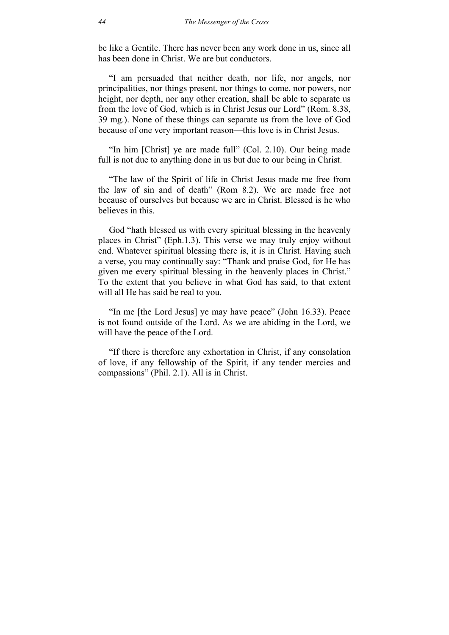be like a Gentile. There has never been any work done in us, since all has been done in Christ. We are but conductors.

"I am persuaded that neither death, nor life, nor angels, nor principalities, nor things present, nor things to come, nor powers, nor height, nor depth, nor any other creation, shall be able to separate us from the love of God, which is in Christ Jesus our Lord" (Rom. 8.38, 39 mg.). None of these things can separate us from the love of God because of one very important reason—this love is in Christ Jesus.

"In him [Christ] ye are made full" (Col. 2.10). Our being made full is not due to anything done in us but due to our being in Christ.

"The law of the Spirit of life in Christ Jesus made me free from the law of sin and of death" (Rom 8.2). We are made free not because of ourselves but because we are in Christ. Blessed is he who believes in this.

God "hath blessed us with every spiritual blessing in the heavenly places in Christ" (Eph.1.3). This verse we may truly enjoy without end. Whatever spiritual blessing there is, it is in Christ. Having such a verse, you may continually say: "Thank and praise God, for He has given me every spiritual blessing in the heavenly places in Christ." To the extent that you believe in what God has said, to that extent will all He has said be real to you.

"In me [the Lord Jesus] ye may have peace" (John 16.33). Peace is not found outside of the Lord. As we are abiding in the Lord, we will have the peace of the Lord.

"If there is therefore any exhortation in Christ, if any consolation of love, if any fellowship of the Spirit, if any tender mercies and compassions" (Phil. 2.1). All is in Christ.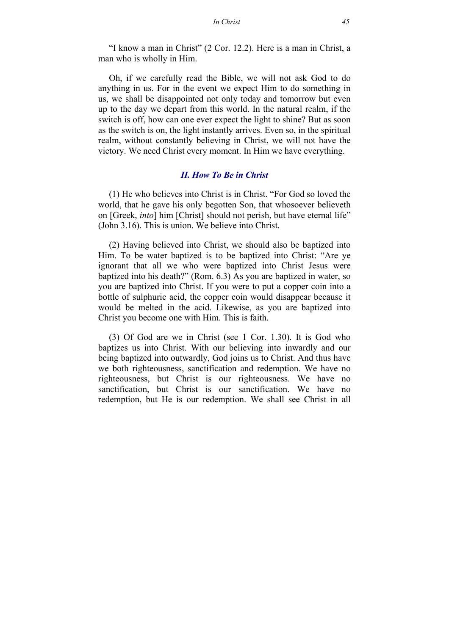"I know a man in Christ" (2 Cor. 12.2). Here is a man in Christ, a man who is wholly in Him.

Oh, if we carefully read the Bible, we will not ask God to do anything in us. For in the event we expect Him to do something in us, we shall be disappointed not only today and tomorrow but even up to the day we depart from this world. In the natural realm, if the switch is off, how can one ever expect the light to shine? But as soon as the switch is on, the light instantly arrives. Even so, in the spiritual realm, without constantly believing in Christ, we will not have the victory. We need Christ every moment. In Him we have everything.

### *II. How To Be in Christ*

(1) He who believes into Christ is in Christ. "For God so loved the world, that he gave his only begotten Son, that whosoever believeth on [Greek, *into*] him [Christ] should not perish, but have eternal life" (John 3.16). This is union. We believe into Christ.

(2) Having believed into Christ, we should also be baptized into Him. To be water baptized is to be baptized into Christ: "Are ye ignorant that all we who were baptized into Christ Jesus were baptized into his death?" (Rom. 6.3) As you are baptized in water, so you are baptized into Christ. If you were to put a copper coin into a bottle of sulphuric acid, the copper coin would disappear because it would be melted in the acid. Likewise, as you are baptized into Christ you become one with Him. This is faith.

(3) Of God are we in Christ (see 1 Cor. 1.30). It is God who baptizes us into Christ. With our believing into inwardly and our being baptized into outwardly, God joins us to Christ. And thus have we both righteousness, sanctification and redemption. We have no righteousness, but Christ is our righteousness. We have no sanctification, but Christ is our sanctification. We have no redemption, but He is our redemption. We shall see Christ in all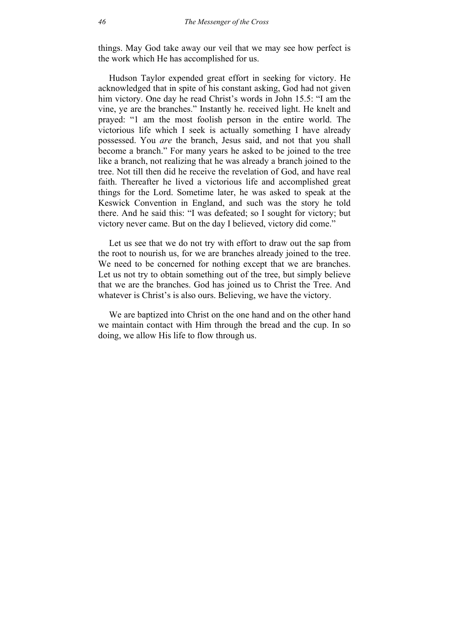things. May God take away our veil that we may see how perfect is the work which He has accomplished for us.

Hudson Taylor expended great effort in seeking for victory. He acknowledged that in spite of his constant asking, God had not given him victory. One day he read Christ's words in John 15.5: "I am the vine, ye are the branches." Instantly he. received light. He knelt and prayed: "1 am the most foolish person in the entire world. The victorious life which I seek is actually something I have already possessed. You *are* the branch, Jesus said, and not that you shall become a branch." For many years he asked to be joined to the tree like a branch, not realizing that he was already a branch joined to the tree. Not till then did he receive the revelation of God, and have real faith. Thereafter he lived a victorious life and accomplished great things for the Lord. Sometime later, he was asked to speak at the Keswick Convention in England, and such was the story he told there. And he said this: "I was defeated; so I sought for victory; but victory never came. But on the day I believed, victory did come."

Let us see that we do not try with effort to draw out the sap from the root to nourish us, for we are branches already joined to the tree. We need to be concerned for nothing except that we are branches. Let us not try to obtain something out of the tree, but simply believe that we are the branches. God has joined us to Christ the Tree. And whatever is Christ's is also ours. Believing, we have the victory.

We are baptized into Christ on the one hand and on the other hand we maintain contact with Him through the bread and the cup. In so doing, we allow His life to flow through us.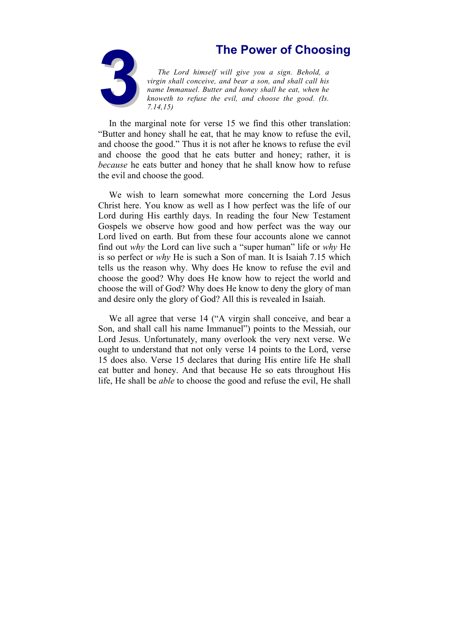

**3The Power of Choosing**<br>The Lord himself will give you a sign. Behold, a<br>virgin shall conceive, and bear a son, and shall call his<br>name Immanuel. Butter and honey shall he eat, when he<br>knoweth to refuse the evil, and choo *The Lord himself will give you a sign. Behold, a virgin shall conceive, and bear a son, and shall call his name Immanuel. Butter and honey shall he eat, when he knoweth to refuse the evil, and choose the good. (Is. 7.14,15)*

In the marginal note for verse 15 we find this other translation: "Butter and honey shall he eat, that he may know to refuse the evil, and choose the good." Thus it is not after he knows to refuse the evil and choose the good that he eats butter and honey; rather, it is *because* he eats butter and honey that he shall know how to refuse the evil and choose the good.

We wish to learn somewhat more concerning the Lord Jesus Christ here. You know as well as I how perfect was the life of our Lord during His earthly days. In reading the four New Testament Gospels we observe how good and how perfect was the way our Lord lived on earth. But from these four accounts alone we cannot find out *why* the Lord can live such a "super human" life or *why* He is so perfect or *why* He is such a Son of man. It is Isaiah 7.15 which tells us the reason why. Why does He know to refuse the evil and choose the good? Why does He know how to reject the world and choose the will of God? Why does He know to deny the glory of man and desire only the glory of God? All this is revealed in Isaiah.

We all agree that verse 14 ("A virgin shall conceive, and bear a Son, and shall call his name Immanuel") points to the Messiah, our Lord Jesus. Unfortunately, many overlook the very next verse. We ought to understand that not only verse 14 points to the Lord, verse 15 does also. Verse 15 declares that during His entire life He shall eat butter and honey. And that because He so eats throughout His life, He shall be *able* to choose the good and refuse the evil, He shall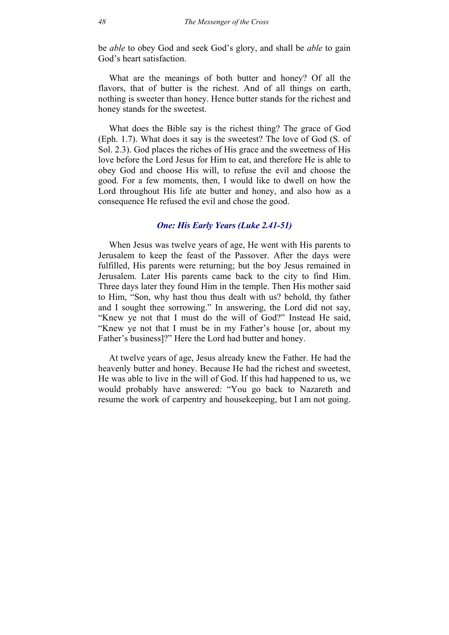be *able* to obey God and seek God's glory, and shall be *able* to gain God's heart satisfaction.

What are the meanings of both butter and honey? Of all the flavors, that of butter is the richest. And of all things on earth, nothing is sweeter than honey. Hence butter stands for the richest and honey stands for the sweetest.

What does the Bible say is the richest thing? The grace of God (Eph. 1.7). What does it say is the sweetest? The love of God (S. of Sol. 2.3). God places the riches of His grace and the sweetness of His love before the Lord Jesus for Him to eat, and therefore He is able to obey God and choose His will, to refuse the evil and choose the good. For a few moments, then, I would like to dwell on how the Lord throughout His life ate butter and honey, and also how as a consequence He refused the evil and chose the good.

### *One: His Early Years (Luke 2.41-51)*

When Jesus was twelve years of age, He went with His parents to Jerusalem to keep the feast of the Passover. After the days were fulfilled, His parents were returning; but the boy Jesus remained in Jerusalem. Later His parents came back to the city to find Him. Three days later they found Him in the temple. Then His mother said to Him, "Son, why hast thou thus dealt with us? behold, thy father and I sought thee sorrowing." In answering, the Lord did not say, "Knew ye not that I must do the will of God?" Instead He said, "Knew ye not that I must be in my Father's house [or, about my Father's business]?" Here the Lord had butter and honey.

At twelve years of age, Jesus already knew the Father. He had the heavenly butter and honey. Because He had the richest and sweetest, He was able to live in the will of God. If this had happened to us, we would probably have answered: "You go back to Nazareth and resume the work of carpentry and housekeeping, but I am not going.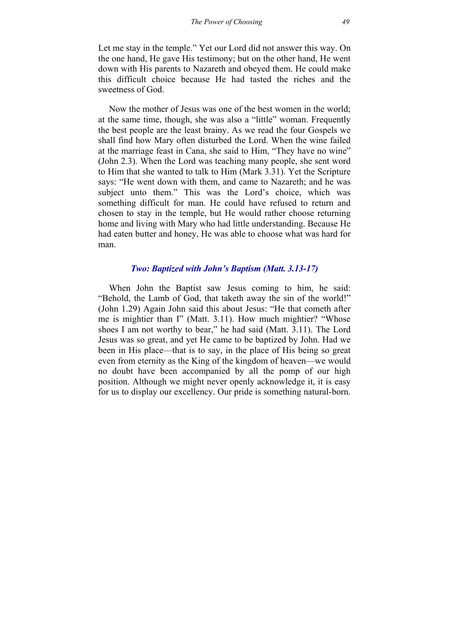Let me stay in the temple." Yet our Lord did not answer this way. On the one hand, He gave His testimony; but on the other hand, He went down with His parents to Nazareth and obeyed them. He could make this difficult choice because He had tasted the riches and the sweetness of God.

Now the mother of Jesus was one of the best women in the world; at the same time, though, she was also a "little" woman. Frequently the best people are the least brainy. As we read the four Gospels we shall find how Mary often disturbed the Lord. When the wine failed at the marriage feast in Cana, she said to Him, "They have no wine" (John 2.3). When the Lord was teaching many people, she sent word to Him that she wanted to talk to Him (Mark 3.31). Yet the Scripture says: "He went down with them, and came to Nazareth; and he was subject unto them." This was the Lord's choice, which was something difficult for man. He could have refused to return and chosen to stay in the temple, but He would rather choose returning home and living with Mary who had little understanding. Because He had eaten butter and honey, He was able to choose what was hard for man.

# *Two: Baptized with John's Baptism (Matt. 3.13-17)*

When John the Baptist saw Jesus coming to him, he said: "Behold, the Lamb of God, that taketh away the sin of the world!" (John 1.29) Again John said this about Jesus: "He that cometh after me is mightier than I" (Matt. 3.11). How much mightier? "Whose shoes I am not worthy to bear," he had said (Matt. 3.11). The Lord Jesus was so great, and yet He came to be baptized by John. Had we been in His place—that is to say, in the place of His being so great even from eternity as the King of the kingdom of heaven—we would no doubt have been accompanied by all the pomp of our high position. Although we might never openly acknowledge it, it is easy for us to display our excellency. Our pride is something natural-born.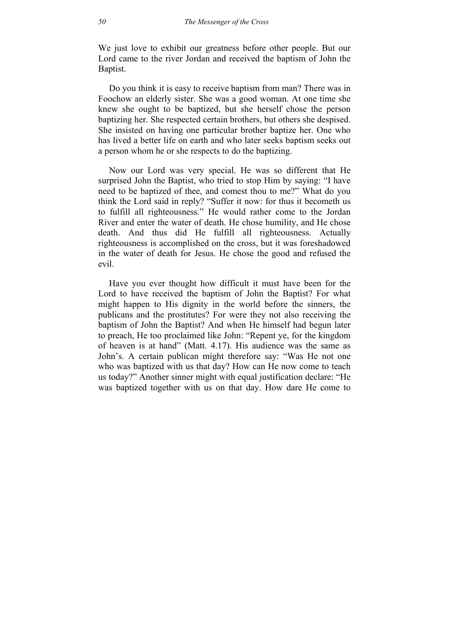We just love to exhibit our greatness before other people. But our Lord came to the river Jordan and received the baptism of John the Baptist.

Do you think it is easy to receive baptism from man? There was in Foochow an elderly sister. She was a good woman. At one time she knew she ought to be baptized, but she herself chose the person baptizing her. She respected certain brothers, but others she despised. She insisted on having one particular brother baptize her. One who has lived a better life on earth and who later seeks baptism seeks out a person whom he or she respects to do the baptizing.

Now our Lord was very special. He was so different that He surprised John the Baptist, who tried to stop Him by saying: "I have need to be baptized of thee, and comest thou to me?" What do you think the Lord said in reply? "Suffer it now: for thus it becometh us to fulfill all righteousness." He would rather come to the Jordan River and enter the water of death. He chose humility, and He chose death. And thus did He fulfill all righteousness. Actually righteousness is accomplished on the cross, but it was foreshadowed in the water of death for Jesus. He chose the good and refused the evil.

Have you ever thought how difficult it must have been for the Lord to have received the baptism of John the Baptist? For what might happen to His dignity in the world before the sinners, the publicans and the prostitutes? For were they not also receiving the baptism of John the Baptist? And when He himself had begun later to preach, He too proclaimed like John: "Repent ye, for the kingdom of heaven is at hand" (Matt. 4.17). His audience was the same as John's. A certain publican might therefore say: "Was He not one who was baptized with us that day? How can He now come to teach us today?" Another sinner might with equal justification declare: "He was baptized together with us on that day. How dare He come to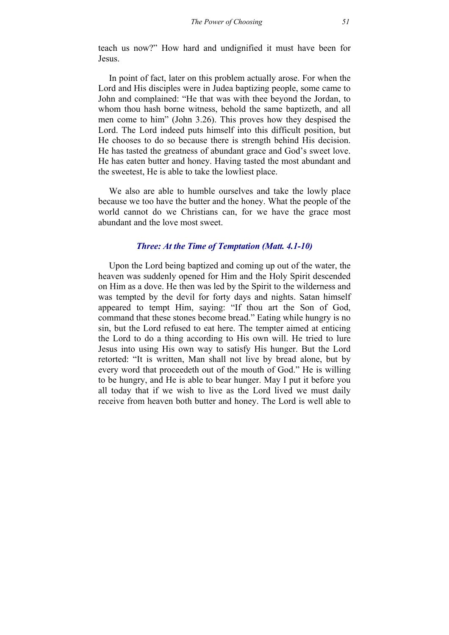teach us now?" How hard and undignified it must have been for Jesus.

In point of fact, later on this problem actually arose. For when the Lord and His disciples were in Judea baptizing people, some came to John and complained: "He that was with thee beyond the Jordan, to whom thou hash borne witness, behold the same baptizeth, and all men come to him" (John 3.26). This proves how they despised the Lord. The Lord indeed puts himself into this difficult position, but He chooses to do so because there is strength behind His decision. He has tasted the greatness of abundant grace and God's sweet love. He has eaten butter and honey. Having tasted the most abundant and the sweetest, He is able to take the lowliest place.

We also are able to humble ourselves and take the lowly place because we too have the butter and the honey. What the people of the world cannot do we Christians can, for we have the grace most abundant and the love most sweet.

### *Three: At the Time of Temptation (Matt. 4.1-10)*

Upon the Lord being baptized and coming up out of the water, the heaven was suddenly opened for Him and the Holy Spirit descended on Him as a dove. He then was led by the Spirit to the wilderness and was tempted by the devil for forty days and nights. Satan himself appeared to tempt Him, saying: "If thou art the Son of God, command that these stones become bread." Eating while hungry is no sin, but the Lord refused to eat here. The tempter aimed at enticing the Lord to do a thing according to His own will. He tried to lure Jesus into using His own way to satisfy His hunger. But the Lord retorted: "It is written, Man shall not live by bread alone, but by every word that proceedeth out of the mouth of God." He is willing to be hungry, and He is able to bear hunger. May I put it before you all today that if we wish to live as the Lord lived we must daily receive from heaven both butter and honey. The Lord is well able to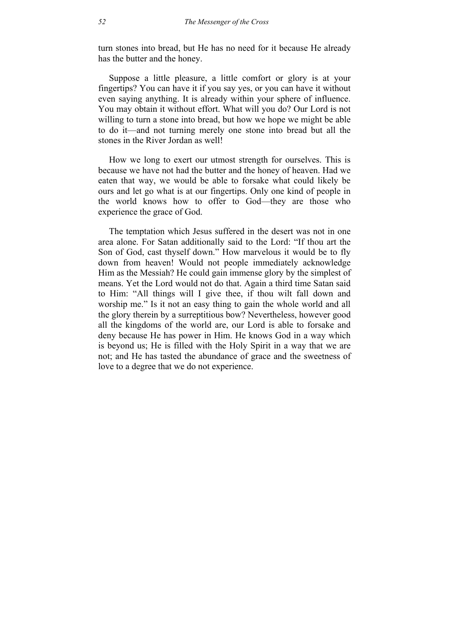turn stones into bread, but He has no need for it because He already has the butter and the honey.

Suppose a little pleasure, a little comfort or glory is at your fingertips? You can have it if you say yes, or you can have it without even saying anything. It is already within your sphere of influence. You may obtain it without effort. What will you do? Our Lord is not willing to turn a stone into bread, but how we hope we might be able to do it—and not turning merely one stone into bread but all the stones in the River Jordan as well!

How we long to exert our utmost strength for ourselves. This is because we have not had the butter and the honey of heaven. Had we eaten that way, we would be able to forsake what could likely be ours and let go what is at our fingertips. Only one kind of people in the world knows how to offer to God—they are those who experience the grace of God.

The temptation which Jesus suffered in the desert was not in one area alone. For Satan additionally said to the Lord: "If thou art the Son of God, cast thyself down." How marvelous it would be to fly down from heaven! Would not people immediately acknowledge Him as the Messiah? He could gain immense glory by the simplest of means. Yet the Lord would not do that. Again a third time Satan said to Him: "All things will I give thee, if thou wilt fall down and worship me." Is it not an easy thing to gain the whole world and all the glory therein by a surreptitious bow? Nevertheless, however good all the kingdoms of the world are, our Lord is able to forsake and deny because He has power in Him. He knows God in a way which is beyond us; He is filled with the Holy Spirit in a way that we are not; and He has tasted the abundance of grace and the sweetness of love to a degree that we do not experience.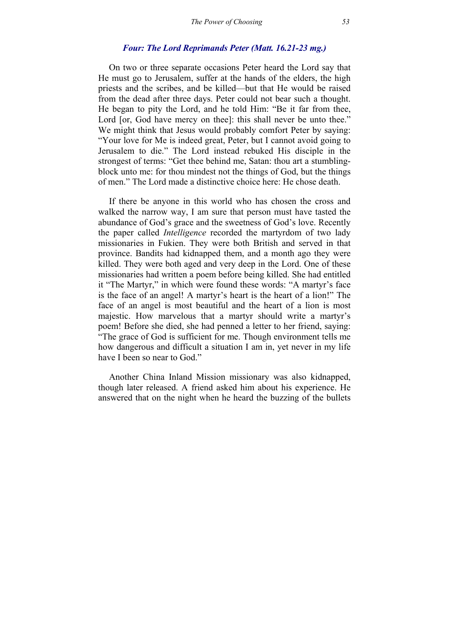## *Four: The Lord Reprimands Peter (Matt. 16.21-23 mg.)*

On two or three separate occasions Peter heard the Lord say that He must go to Jerusalem, suffer at the hands of the elders, the high priests and the scribes, and be killed—but that He would be raised from the dead after three days. Peter could not bear such a thought. He began to pity the Lord, and he told Him: "Be it far from thee, Lord [or, God have mercy on thee]: this shall never be unto thee." We might think that Jesus would probably comfort Peter by saying: "Your love for Me is indeed great, Peter, but I cannot avoid going to Jerusalem to die." The Lord instead rebuked His disciple in the strongest of terms: "Get thee behind me, Satan: thou art a stumblingblock unto me: for thou mindest not the things of God, but the things of men." The Lord made a distinctive choice here: He chose death.

If there be anyone in this world who has chosen the cross and walked the narrow way, I am sure that person must have tasted the abundance of God's grace and the sweetness of God's love. Recently the paper called *Intelligence* recorded the martyrdom of two lady missionaries in Fukien. They were both British and served in that province. Bandits had kidnapped them, and a month ago they were killed. They were both aged and very deep in the Lord. One of these missionaries had written a poem before being killed. She had entitled it "The Martyr," in which were found these words: "A martyr's face is the face of an angel! A martyr's heart is the heart of a lion!" The face of an angel is most beautiful and the heart of a lion is most majestic. How marvelous that a martyr should write a martyr's poem! Before she died, she had penned a letter to her friend, saying: "The grace of God is sufficient for me. Though environment tells me how dangerous and difficult a situation I am in, yet never in my life have I been so near to God."

Another China Inland Mission missionary was also kidnapped, though later released. A friend asked him about his experience. He answered that on the night when he heard the buzzing of the bullets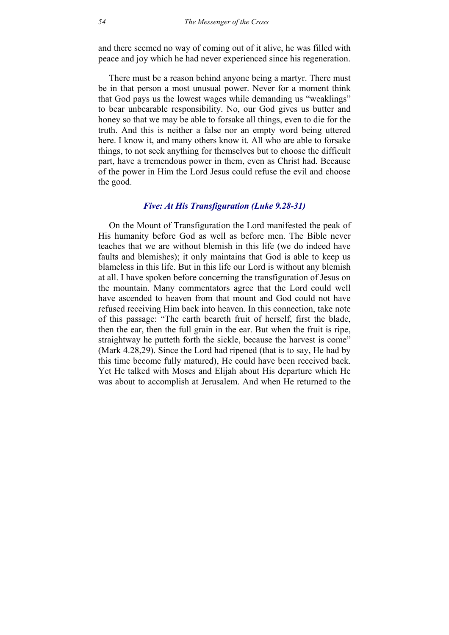and there seemed no way of coming out of it alive, he was filled with peace and joy which he had never experienced since his regeneration.

There must be a reason behind anyone being a martyr. There must be in that person a most unusual power. Never for a moment think that God pays us the lowest wages while demanding us "weaklings" to bear unbearable responsibility. No, our God gives us butter and honey so that we may be able to forsake all things, even to die for the truth. And this is neither a false nor an empty word being uttered here. I know it, and many others know it. All who are able to forsake things, to not seek anything for themselves but to choose the difficult part, have a tremendous power in them, even as Christ had. Because of the power in Him the Lord Jesus could refuse the evil and choose the good.

# *Five: At His Transfiguration (Luke 9.28-31)*

On the Mount of Transfiguration the Lord manifested the peak of His humanity before God as well as before men. The Bible never teaches that we are without blemish in this life (we do indeed have faults and blemishes); it only maintains that God is able to keep us blameless in this life. But in this life our Lord is without any blemish at all. I have spoken before concerning the transfiguration of Jesus on the mountain. Many commentators agree that the Lord could well have ascended to heaven from that mount and God could not have refused receiving Him back into heaven. In this connection, take note of this passage: "The earth beareth fruit of herself, first the blade, then the ear, then the full grain in the ear. But when the fruit is ripe, straightway he putteth forth the sickle, because the harvest is come" (Mark 4.28,29). Since the Lord had ripened (that is to say, He had by this time become fully matured), He could have been received back. Yet He talked with Moses and Elijah about His departure which He was about to accomplish at Jerusalem. And when He returned to the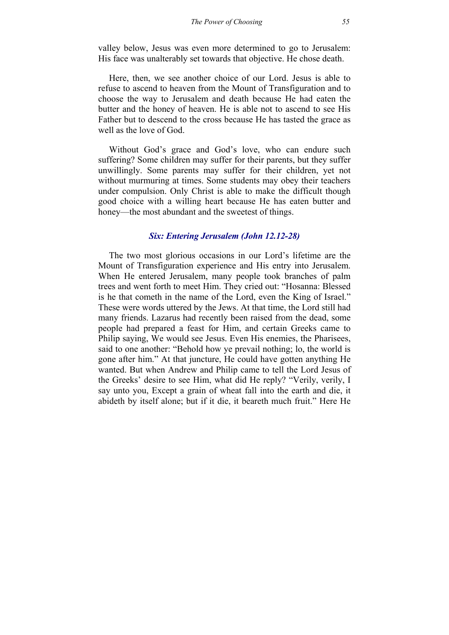valley below, Jesus was even more determined to go to Jerusalem: His face was unalterably set towards that objective. He chose death.

Here, then, we see another choice of our Lord. Jesus is able to refuse to ascend to heaven from the Mount of Transfiguration and to choose the way to Jerusalem and death because He had eaten the butter and the honey of heaven. He is able not to ascend to see His Father but to descend to the cross because He has tasted the grace as well as the love of God.

Without God's grace and God's love, who can endure such suffering? Some children may suffer for their parents, but they suffer unwillingly. Some parents may suffer for their children, yet not without murmuring at times. Some students may obey their teachers under compulsion. Only Christ is able to make the difficult though good choice with a willing heart because He has eaten butter and honey—the most abundant and the sweetest of things.

# *Six: Entering Jerusalem (John 12.12-28)*

The two most glorious occasions in our Lord's lifetime are the Mount of Transfiguration experience and His entry into Jerusalem. When He entered Jerusalem, many people took branches of palm trees and went forth to meet Him. They cried out: "Hosanna: Blessed is he that cometh in the name of the Lord, even the King of Israel." These were words uttered by the Jews. At that time, the Lord still had many friends. Lazarus had recently been raised from the dead, some people had prepared a feast for Him, and certain Greeks came to Philip saying, We would see Jesus. Even His enemies, the Pharisees, said to one another: "Behold how ye prevail nothing; lo, the world is gone after him." At that juncture, He could have gotten anything He wanted. But when Andrew and Philip came to tell the Lord Jesus of the Greeks' desire to see Him, what did He reply? "Verily, verily, I say unto you, Except a grain of wheat fall into the earth and die, it abideth by itself alone; but if it die, it beareth much fruit." Here He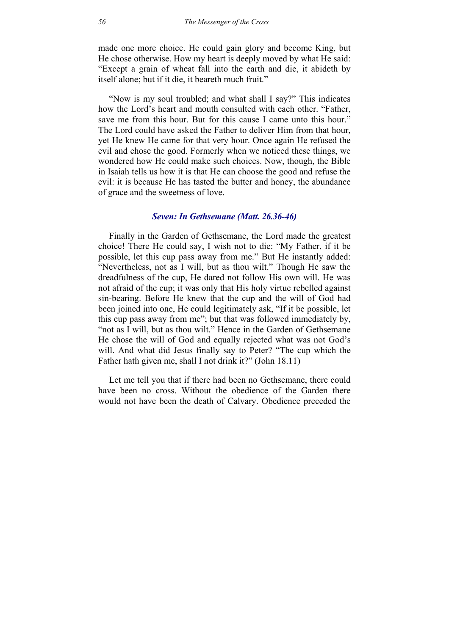made one more choice. He could gain glory and become King, but He chose otherwise. How my heart is deeply moved by what He said: "Except a grain of wheat fall into the earth and die, it abideth by itself alone; but if it die, it beareth much fruit."

"Now is my soul troubled; and what shall I say?" This indicates how the Lord's heart and mouth consulted with each other. "Father, save me from this hour. But for this cause I came unto this hour." The Lord could have asked the Father to deliver Him from that hour, yet He knew He came for that very hour. Once again He refused the evil and chose the good. Formerly when we noticed these things, we wondered how He could make such choices. Now, though, the Bible in Isaiah tells us how it is that He can choose the good and refuse the evil: it is because He has tasted the butter and honey, the abundance of grace and the sweetness of love.

### *Seven: In Gethsemane (Matt. 26.36-46)*

Finally in the Garden of Gethsemane, the Lord made the greatest choice! There He could say, I wish not to die: "My Father, if it be possible, let this cup pass away from me." But He instantly added: "Nevertheless, not as I will, but as thou wilt." Though He saw the dreadfulness of the cup, He dared not follow His own will. He was not afraid of the cup; it was only that His holy virtue rebelled against sin-bearing. Before He knew that the cup and the will of God had been joined into one, He could legitimately ask, "If it be possible, let this cup pass away from me"; but that was followed immediately by, "not as I will, but as thou wilt." Hence in the Garden of Gethsemane He chose the will of God and equally rejected what was not God's will. And what did Jesus finally say to Peter? "The cup which the Father hath given me, shall I not drink it?" (John 18.11)

Let me tell you that if there had been no Gethsemane, there could have been no cross. Without the obedience of the Garden there would not have been the death of Calvary. Obedience preceded the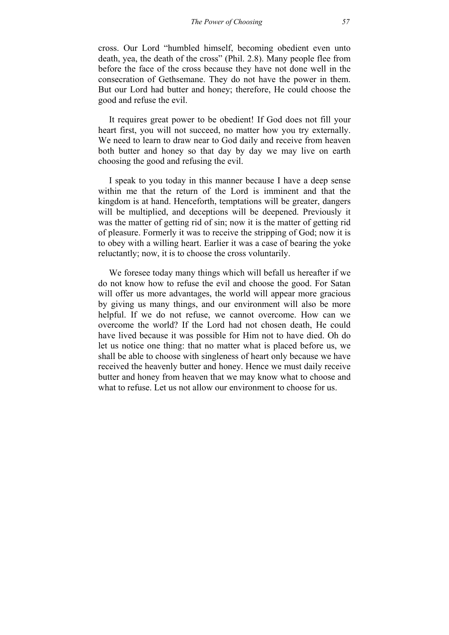cross. Our Lord "humbled himself, becoming obedient even unto death, yea, the death of the cross" (Phil. 2.8). Many people flee from before the face of the cross because they have not done well in the consecration of Gethsemane. They do not have the power in them. But our Lord had butter and honey; therefore, He could choose the good and refuse the evil.

It requires great power to be obedient! If God does not fill your heart first, you will not succeed, no matter how you try externally. We need to learn to draw near to God daily and receive from heaven both butter and honey so that day by day we may live on earth choosing the good and refusing the evil.

I speak to you today in this manner because I have a deep sense within me that the return of the Lord is imminent and that the kingdom is at hand. Henceforth, temptations will be greater, dangers will be multiplied, and deceptions will be deepened. Previously it was the matter of getting rid of sin; now it is the matter of getting rid of pleasure. Formerly it was to receive the stripping of God; now it is to obey with a willing heart. Earlier it was a case of bearing the yoke reluctantly; now, it is to choose the cross voluntarily.

We foresee today many things which will befall us hereafter if we do not know how to refuse the evil and choose the good. For Satan will offer us more advantages, the world will appear more gracious by giving us many things, and our environment will also be more helpful. If we do not refuse, we cannot overcome. How can we overcome the world? If the Lord had not chosen death, He could have lived because it was possible for Him not to have died. Oh do let us notice one thing: that no matter what is placed before us, we shall be able to choose with singleness of heart only because we have received the heavenly butter and honey. Hence we must daily receive butter and honey from heaven that we may know what to choose and what to refuse. Let us not allow our environment to choose for us.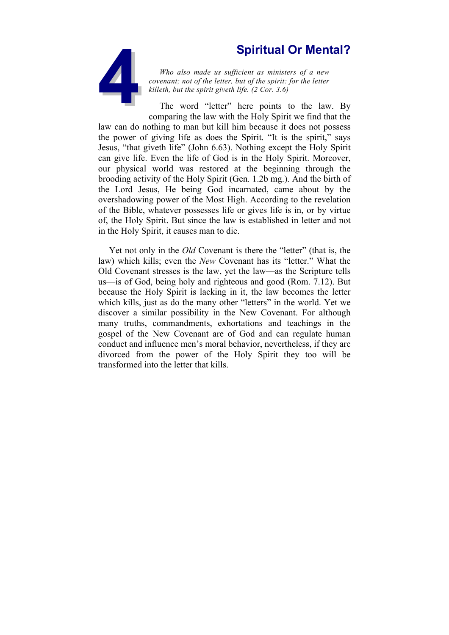**4Spiritual Or Mental?**<br>
Who also made us sufficient as ministers of a new<br>
covenant; not of the letter, but of the spirit: for the letter<br>
killeth, but the spirit giveth life. (2 Cor. 3.6)<br>
The word "letter" here points t *Who also made us sufficient as ministers of a new covenant; not of the letter, but of the spirit: for the letter killeth, but the spirit giveth life. (2 Cor. 3.6)*

The word "letter" here points to the law. By comparing the law with the Holy Spirit we find that the law can do nothing to man but kill him because it does not possess the power of giving life as does the Spirit. "It is the spirit," says Jesus, "that giveth life" (John 6.63). Nothing except the Holy Spirit can give life. Even the life of God is in the Holy Spirit. Moreover, our physical world was restored at the beginning through the brooding activity of the Holy Spirit (Gen. 1.2b mg.). And the birth of the Lord Jesus, He being God incarnated, came about by the overshadowing power of the Most High. According to the revelation of the Bible, whatever possesses life or gives life is in, or by virtue of, the Holy Spirit. But since the law is established in letter and not in the Holy Spirit, it causes man to die.

Yet not only in the *Old* Covenant is there the "letter" (that is, the law) which kills; even the *New* Covenant has its "letter." What the Old Covenant stresses is the law, yet the law—as the Scripture tells us—is of God, being holy and righteous and good (Rom. 7.12). But because the Holy Spirit is lacking in it, the law becomes the letter which kills, just as do the many other "letters" in the world. Yet we discover a similar possibility in the New Covenant. For although many truths, commandments, exhortations and teachings in the gospel of the New Covenant are of God and can regulate human conduct and influence men's moral behavior, nevertheless, if they are divorced from the power of the Holy Spirit they too will be transformed into the letter that kills.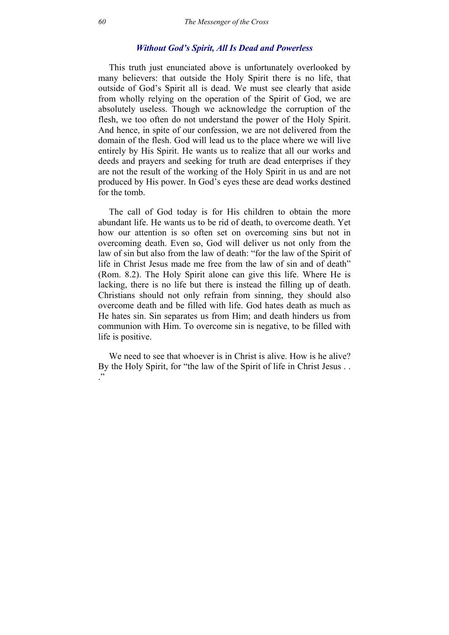### *Without God's Spirit, All Is Dead and Powerless*

This truth just enunciated above is unfortunately overlooked by many believers: that outside the Holy Spirit there is no life, that outside of God's Spirit all is dead. We must see clearly that aside from wholly relying on the operation of the Spirit of God, we are absolutely useless. Though we acknowledge the corruption of the flesh, we too often do not understand the power of the Holy Spirit. And hence, in spite of our confession, we are not delivered from the domain of the flesh. God will lead us to the place where we will live entirely by His Spirit. He wants us to realize that all our works and deeds and prayers and seeking for truth are dead enterprises if they are not the result of the working of the Holy Spirit in us and are not produced by His power. In God's eyes these are dead works destined for the tomb.

The call of God today is for His children to obtain the more abundant life. He wants us to be rid of death, to overcome death. Yet how our attention is so often set on overcoming sins but not in overcoming death. Even so, God will deliver us not only from the law of sin but also from the law of death: "for the law of the Spirit of life in Christ Jesus made me free from the law of sin and of death" (Rom. 8.2). The Holy Spirit alone can give this life. Where He is lacking, there is no life but there is instead the filling up of death. Christians should not only refrain from sinning, they should also overcome death and be filled with life. God hates death as much as He hates sin. Sin separates us from Him; and death hinders us from communion with Him. To overcome sin is negative, to be filled with life is positive.

We need to see that whoever is in Christ is alive. How is he alive? By the Holy Spirit, for "the law of the Spirit of life in Christ Jesus . . ."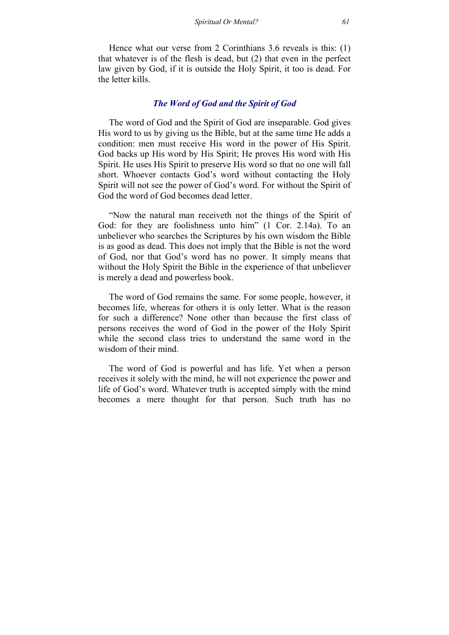Hence what our verse from 2 Corinthians 3.6 reveals is this: (1) that whatever is of the flesh is dead, but (2) that even in the perfect law given by God, if it is outside the Holy Spirit, it too is dead. For the letter kills.

# *The Word of God and the Spirit of God*

The word of God and the Spirit of God are inseparable. God gives His word to us by giving us the Bible, but at the same time He adds a condition: men must receive His word in the power of His Spirit. God backs up His word by His Spirit; He proves His word with His Spirit. He uses His Spirit to preserve His word so that no one will fall short. Whoever contacts God's word without contacting the Holy Spirit will not see the power of God's word. For without the Spirit of God the word of God becomes dead letter.

"Now the natural man receiveth not the things of the Spirit of God: for they are foolishness unto him" (1 Cor. 2.14a). To an unbeliever who searches the Scriptures by his own wisdom the Bible is as good as dead. This does not imply that the Bible is not the word of God, nor that God's word has no power. It simply means that without the Holy Spirit the Bible in the experience of that unbeliever is merely a dead and powerless book.

The word of God remains the same. For some people, however, it becomes life, whereas for others it is only letter. What is the reason for such a difference? None other than because the first class of persons receives the word of God in the power of the Holy Spirit while the second class tries to understand the same word in the wisdom of their mind.

The word of God is powerful and has life. Yet when a person receives it solely with the mind, he will not experience the power and life of God's word. Whatever truth is accepted simply with the mind becomes a mere thought for that person. Such truth has no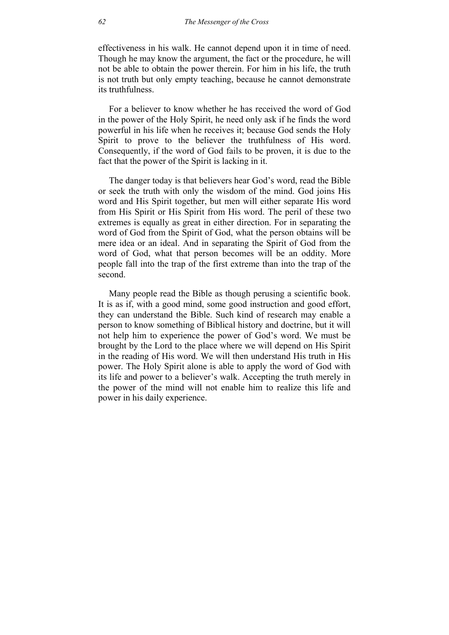effectiveness in his walk. He cannot depend upon it in time of need. Though he may know the argument, the fact or the procedure, he will not be able to obtain the power therein. For him in his life, the truth is not truth but only empty teaching, because he cannot demonstrate its truthfulness.

For a believer to know whether he has received the word of God in the power of the Holy Spirit, he need only ask if he finds the word powerful in his life when he receives it; because God sends the Holy Spirit to prove to the believer the truthfulness of His word. Consequently, if the word of God fails to be proven, it is due to the fact that the power of the Spirit is lacking in it.

The danger today is that believers hear God's word, read the Bible or seek the truth with only the wisdom of the mind. God joins His word and His Spirit together, but men will either separate His word from His Spirit or His Spirit from His word. The peril of these two extremes is equally as great in either direction. For in separating the word of God from the Spirit of God, what the person obtains will be mere idea or an ideal. And in separating the Spirit of God from the word of God, what that person becomes will be an oddity. More people fall into the trap of the first extreme than into the trap of the second.

Many people read the Bible as though perusing a scientific book. It is as if, with a good mind, some good instruction and good effort, they can understand the Bible. Such kind of research may enable a person to know something of Biblical history and doctrine, but it will not help him to experience the power of God's word. We must be brought by the Lord to the place where we will depend on His Spirit in the reading of His word. We will then understand His truth in His power. The Holy Spirit alone is able to apply the word of God with its life and power to a believer's walk. Accepting the truth merely in the power of the mind will not enable him to realize this life and power in his daily experience.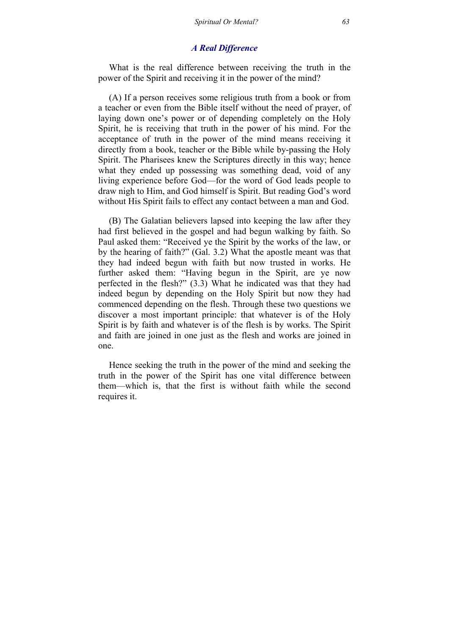# *A Real Difference*

What is the real difference between receiving the truth in the power of the Spirit and receiving it in the power of the mind?

(A) If a person receives some religious truth from a book or from a teacher or even from the Bible itself without the need of prayer, of laying down one's power or of depending completely on the Holy Spirit, he is receiving that truth in the power of his mind. For the acceptance of truth in the power of the mind means receiving it directly from a book, teacher or the Bible while by-passing the Holy Spirit. The Pharisees knew the Scriptures directly in this way; hence what they ended up possessing was something dead, void of any living experience before God—for the word of God leads people to draw nigh to Him, and God himself is Spirit. But reading God's word without His Spirit fails to effect any contact between a man and God.

(B) The Galatian believers lapsed into keeping the law after they had first believed in the gospel and had begun walking by faith. So Paul asked them: "Received ye the Spirit by the works of the law, or by the hearing of faith?" (Gal. 3.2) What the apostle meant was that they had indeed begun with faith but now trusted in works. He further asked them: "Having begun in the Spirit, are ye now perfected in the flesh?" (3.3) What he indicated was that they had indeed begun by depending on the Holy Spirit but now they had commenced depending on the flesh. Through these two questions we discover a most important principle: that whatever is of the Holy Spirit is by faith and whatever is of the flesh is by works. The Spirit and faith are joined in one just as the flesh and works are joined in one.

Hence seeking the truth in the power of the mind and seeking the truth in the power of the Spirit has one vital difference between them—which is, that the first is without faith while the second requires it.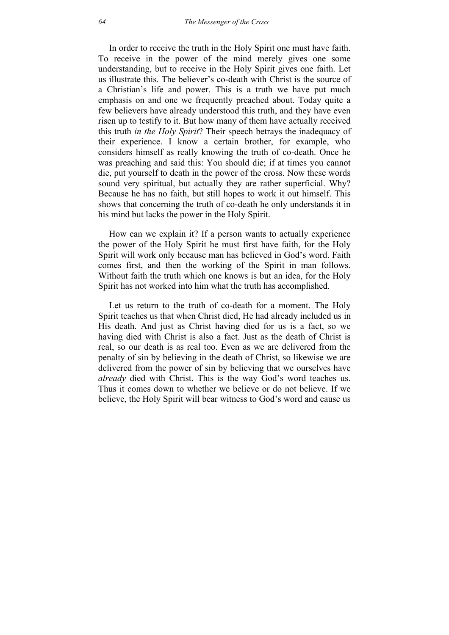In order to receive the truth in the Holy Spirit one must have faith. To receive in the power of the mind merely gives one some understanding, but to receive in the Holy Spirit gives one faith. Let us illustrate this. The believer's co-death with Christ is the source of a Christian's life and power. This is a truth we have put much emphasis on and one we frequently preached about. Today quite a few believers have already understood this truth, and they have even risen up to testify to it. But how many of them have actually received this truth *in the Holy Spirit*? Their speech betrays the inadequacy of their experience. I know a certain brother, for example, who considers himself as really knowing the truth of co-death. Once he was preaching and said this: You should die; if at times you cannot die, put yourself to death in the power of the cross. Now these words sound very spiritual, but actually they are rather superficial. Why? Because he has no faith, but still hopes to work it out himself. This shows that concerning the truth of co-death he only understands it in his mind but lacks the power in the Holy Spirit.

How can we explain it? If a person wants to actually experience the power of the Holy Spirit he must first have faith, for the Holy Spirit will work only because man has believed in God's word. Faith comes first, and then the working of the Spirit in man follows. Without faith the truth which one knows is but an idea, for the Holy Spirit has not worked into him what the truth has accomplished.

Let us return to the truth of co-death for a moment. The Holy Spirit teaches us that when Christ died, He had already included us in His death. And just as Christ having died for us is a fact, so we having died with Christ is also a fact. Just as the death of Christ is real, so our death is as real too. Even as we are delivered from the penalty of sin by believing in the death of Christ, so likewise we are delivered from the power of sin by believing that we ourselves have *already* died with Christ. This is the way God's word teaches us. Thus it comes down to whether we believe or do not believe. If we believe, the Holy Spirit will bear witness to God's word and cause us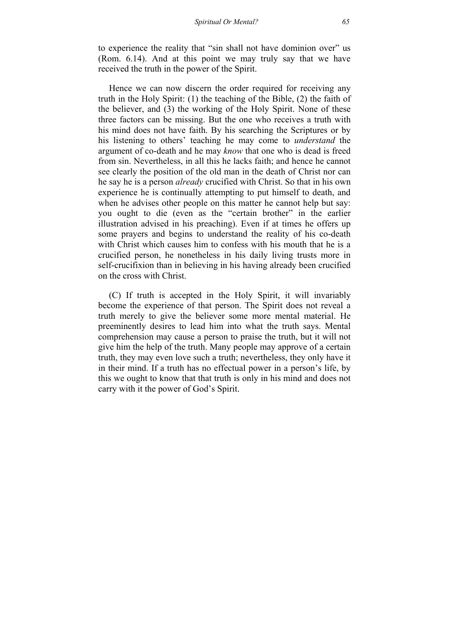to experience the reality that "sin shall not have dominion over" us (Rom. 6.14). And at this point we may truly say that we have received the truth in the power of the Spirit.

Hence we can now discern the order required for receiving any truth in the Holy Spirit: (1) the teaching of the Bible, (2) the faith of the believer, and (3) the working of the Holy Spirit. None of these three factors can be missing. But the one who receives a truth with his mind does not have faith. By his searching the Scriptures or by his listening to others' teaching he may come to *understand* the argument of co-death and he may *know* that one who is dead is freed from sin. Nevertheless, in all this he lacks faith; and hence he cannot see clearly the position of the old man in the death of Christ nor can he say he is a person *already* crucified with Christ. So that in his own experience he is continually attempting to put himself to death, and when he advises other people on this matter he cannot help but say: you ought to die (even as the "certain brother" in the earlier illustration advised in his preaching). Even if at times he offers up some prayers and begins to understand the reality of his co-death with Christ which causes him to confess with his mouth that he is a crucified person, he nonetheless in his daily living trusts more in self-crucifixion than in believing in his having already been crucified on the cross with Christ.

(C) If truth is accepted in the Holy Spirit, it will invariably become the experience of that person. The Spirit does not reveal a truth merely to give the believer some more mental material. He preeminently desires to lead him into what the truth says. Mental comprehension may cause a person to praise the truth, but it will not give him the help of the truth. Many people may approve of a certain truth, they may even love such a truth; nevertheless, they only have it in their mind. If a truth has no effectual power in a person's life, by this we ought to know that that truth is only in his mind and does not carry with it the power of God's Spirit.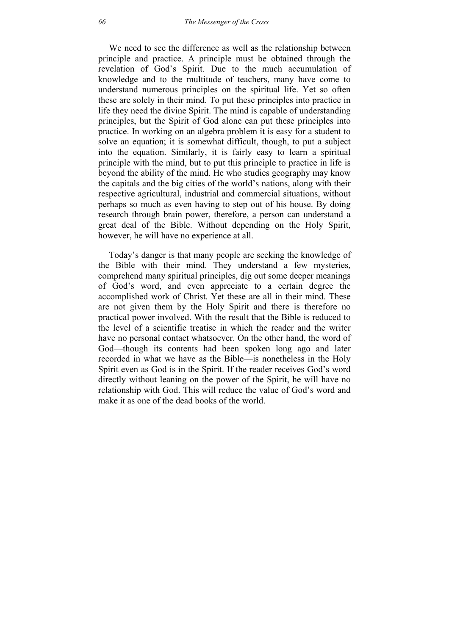We need to see the difference as well as the relationship between principle and practice. A principle must be obtained through the revelation of God's Spirit. Due to the much accumulation of knowledge and to the multitude of teachers, many have come to understand numerous principles on the spiritual life. Yet so often these are solely in their mind. To put these principles into practice in life they need the divine Spirit. The mind is capable of understanding principles, but the Spirit of God alone can put these principles into practice. In working on an algebra problem it is easy for a student to solve an equation; it is somewhat difficult, though, to put a subject into the equation. Similarly, it is fairly easy to learn a spiritual principle with the mind, but to put this principle to practice in life is beyond the ability of the mind. He who studies geography may know the capitals and the big cities of the world's nations, along with their respective agricultural, industrial and commercial situations, without perhaps so much as even having to step out of his house. By doing research through brain power, therefore, a person can understand a great deal of the Bible. Without depending on the Holy Spirit, however, he will have no experience at all.

Today's danger is that many people are seeking the knowledge of the Bible with their mind. They understand a few mysteries, comprehend many spiritual principles, dig out some deeper meanings of God's word, and even appreciate to a certain degree the accomplished work of Christ. Yet these are all in their mind. These are not given them by the Holy Spirit and there is therefore no practical power involved. With the result that the Bible is reduced to the level of a scientific treatise in which the reader and the writer have no personal contact whatsoever. On the other hand, the word of God—though its contents had been spoken long ago and later recorded in what we have as the Bible—is nonetheless in the Holy Spirit even as God is in the Spirit. If the reader receives God's word directly without leaning on the power of the Spirit, he will have no relationship with God. This will reduce the value of God's word and make it as one of the dead books of the world.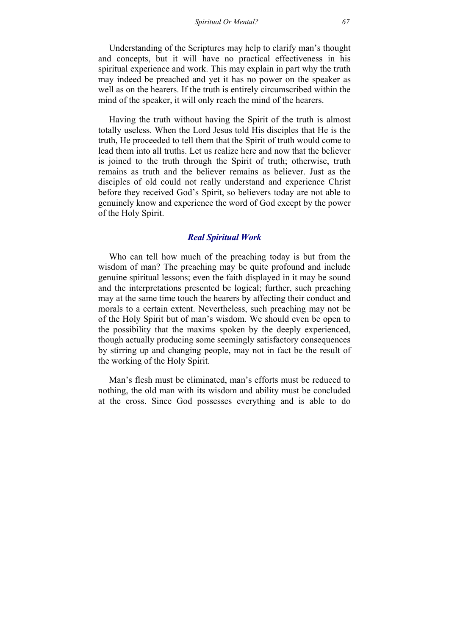Understanding of the Scriptures may help to clarify man's thought and concepts, but it will have no practical effectiveness in his spiritual experience and work. This may explain in part why the truth may indeed be preached and yet it has no power on the speaker as well as on the hearers. If the truth is entirely circumscribed within the mind of the speaker, it will only reach the mind of the hearers.

Having the truth without having the Spirit of the truth is almost totally useless. When the Lord Jesus told His disciples that He is the truth, He proceeded to tell them that the Spirit of truth would come to lead them into all truths. Let us realize here and now that the believer is joined to the truth through the Spirit of truth; otherwise, truth remains as truth and the believer remains as believer. Just as the disciples of old could not really understand and experience Christ before they received God's Spirit, so believers today are not able to genuinely know and experience the word of God except by the power of the Holy Spirit.

# *Real Spiritual Work*

Who can tell how much of the preaching today is but from the wisdom of man? The preaching may be quite profound and include genuine spiritual lessons; even the faith displayed in it may be sound and the interpretations presented be logical; further, such preaching may at the same time touch the hearers by affecting their conduct and morals to a certain extent. Nevertheless, such preaching may not be of the Holy Spirit but of man's wisdom. We should even be open to the possibility that the maxims spoken by the deeply experienced, though actually producing some seemingly satisfactory consequences by stirring up and changing people, may not in fact be the result of the working of the Holy Spirit.

Man's flesh must be eliminated, man's efforts must be reduced to nothing, the old man with its wisdom and ability must be concluded at the cross. Since God possesses everything and is able to do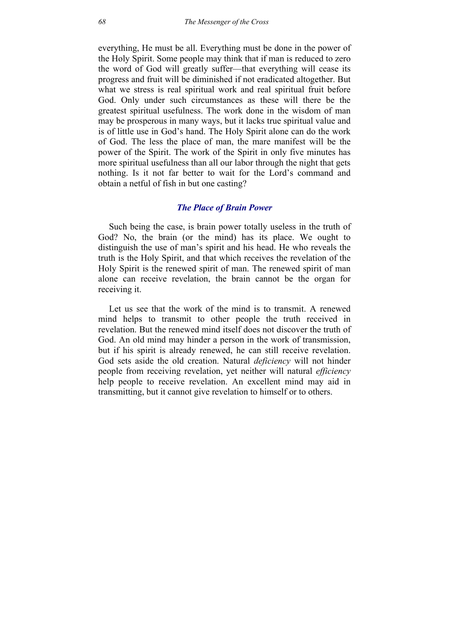everything, He must be all. Everything must be done in the power of the Holy Spirit. Some people may think that if man is reduced to zero the word of God will greatly suffer—that everything will cease its progress and fruit will be diminished if not eradicated altogether. But what we stress is real spiritual work and real spiritual fruit before God. Only under such circumstances as these will there be the greatest spiritual usefulness. The work done in the wisdom of man may be prosperous in many ways, but it lacks true spiritual value and is of little use in God's hand. The Holy Spirit alone can do the work of God. The less the place of man, the mare manifest will be the power of the Spirit. The work of the Spirit in only five minutes has more spiritual usefulness than all our labor through the night that gets nothing. Is it not far better to wait for the Lord's command and obtain a netful of fish in but one casting?

# *The Place of Brain Power*

Such being the case, is brain power totally useless in the truth of God? No, the brain (or the mind) has its place. We ought to distinguish the use of man's spirit and his head. He who reveals the truth is the Holy Spirit, and that which receives the revelation of the Holy Spirit is the renewed spirit of man. The renewed spirit of man alone can receive revelation, the brain cannot be the organ for receiving it.

Let us see that the work of the mind is to transmit. A renewed mind helps to transmit to other people the truth received in revelation. But the renewed mind itself does not discover the truth of God. An old mind may hinder a person in the work of transmission, but if his spirit is already renewed, he can still receive revelation. God sets aside the old creation. Natural *deficiency* will not hinder people from receiving revelation, yet neither will natural *efficiency* help people to receive revelation. An excellent mind may aid in transmitting, but it cannot give revelation to himself or to others.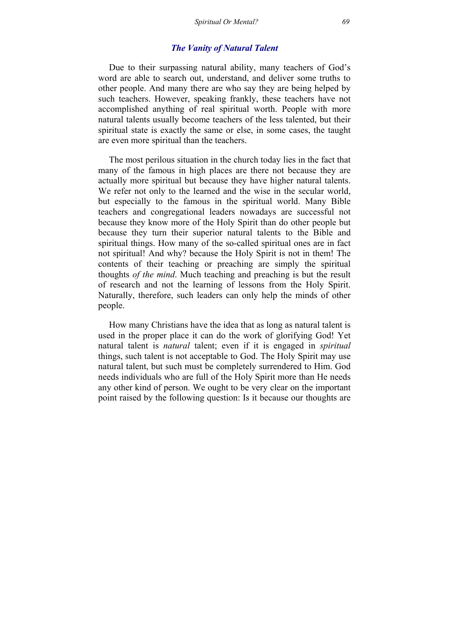# *The Vanity of Natural Talent*

Due to their surpassing natural ability, many teachers of God's word are able to search out, understand, and deliver some truths to other people. And many there are who say they are being helped by such teachers. However, speaking frankly, these teachers have not accomplished anything of real spiritual worth. People with more natural talents usually become teachers of the less talented, but their spiritual state is exactly the same or else, in some cases, the taught are even more spiritual than the teachers.

The most perilous situation in the church today lies in the fact that many of the famous in high places are there not because they are actually more spiritual but because they have higher natural talents. We refer not only to the learned and the wise in the secular world, but especially to the famous in the spiritual world. Many Bible teachers and congregational leaders nowadays are successful not because they know more of the Holy Spirit than do other people but because they turn their superior natural talents to the Bible and spiritual things. How many of the so-called spiritual ones are in fact not spiritual! And why? because the Holy Spirit is not in them! The contents of their teaching or preaching are simply the spiritual thoughts *of the mind*. Much teaching and preaching is but the result of research and not the learning of lessons from the Holy Spirit. Naturally, therefore, such leaders can only help the minds of other people.

How many Christians have the idea that as long as natural talent is used in the proper place it can do the work of glorifying God! Yet natural talent is *natural* talent; even if it is engaged in *spiritual* things, such talent is not acceptable to God. The Holy Spirit may use natural talent, but such must be completely surrendered to Him. God needs individuals who are full of the Holy Spirit more than He needs any other kind of person. We ought to be very clear on the important point raised by the following question: Is it because our thoughts are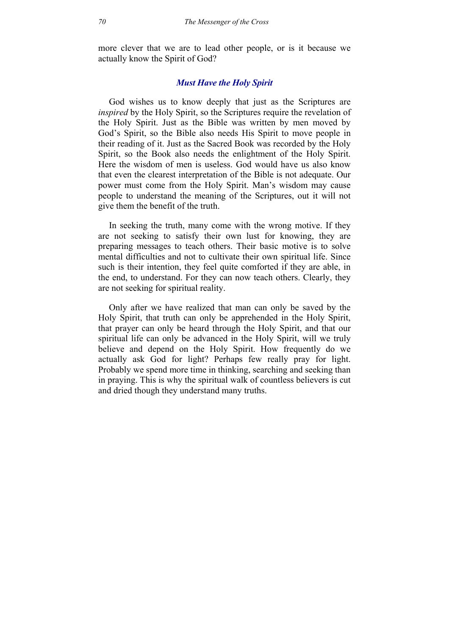more clever that we are to lead other people, or is it because we actually know the Spirit of God?

## *Must Have the Holy Spirit*

God wishes us to know deeply that just as the Scriptures are *inspired* by the Holy Spirit, so the Scriptures require the revelation of the Holy Spirit. Just as the Bible was written by men moved by God's Spirit, so the Bible also needs His Spirit to move people in their reading of it. Just as the Sacred Book was recorded by the Holy Spirit, so the Book also needs the enlightment of the Holy Spirit. Here the wisdom of men is useless. God would have us also know that even the clearest interpretation of the Bible is not adequate. Our power must come from the Holy Spirit. Man's wisdom may cause people to understand the meaning of the Scriptures, out it will not give them the benefit of the truth.

In seeking the truth, many come with the wrong motive. If they are not seeking to satisfy their own lust for knowing, they are preparing messages to teach others. Their basic motive is to solve mental difficulties and not to cultivate their own spiritual life. Since such is their intention, they feel quite comforted if they are able, in the end, to understand. For they can now teach others. Clearly, they are not seeking for spiritual reality.

Only after we have realized that man can only be saved by the Holy Spirit, that truth can only be apprehended in the Holy Spirit, that prayer can only be heard through the Holy Spirit, and that our spiritual life can only be advanced in the Holy Spirit, will we truly believe and depend on the Holy Spirit. How frequently do we actually ask God for light? Perhaps few really pray for light. Probably we spend more time in thinking, searching and seeking than in praying. This is why the spiritual walk of countless believers is cut and dried though they understand many truths.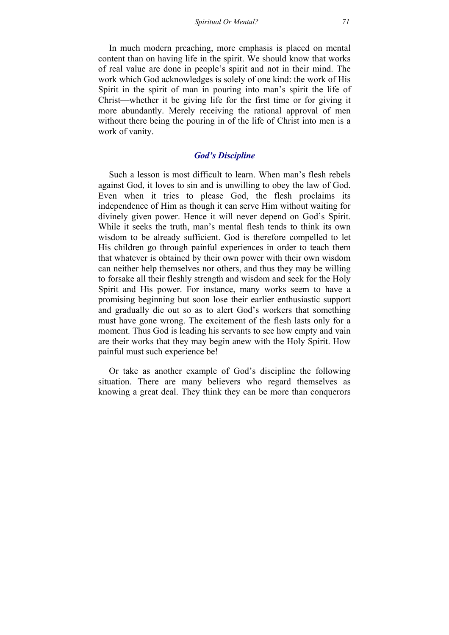In much modern preaching, more emphasis is placed on mental content than on having life in the spirit. We should know that works of real value are done in people's spirit and not in their mind. The work which God acknowledges is solely of one kind: the work of His Spirit in the spirit of man in pouring into man's spirit the life of Christ—whether it be giving life for the first time or for giving it more abundantly. Merely receiving the rational approval of men without there being the pouring in of the life of Christ into men is a work of vanity.

## *God's Discipline*

Such a lesson is most difficult to learn. When man's flesh rebels against God, it loves to sin and is unwilling to obey the law of God. Even when it tries to please God, the flesh proclaims its independence of Him as though it can serve Him without waiting for divinely given power. Hence it will never depend on God's Spirit. While it seeks the truth, man's mental flesh tends to think its own wisdom to be already sufficient. God is therefore compelled to let His children go through painful experiences in order to teach them that whatever is obtained by their own power with their own wisdom can neither help themselves nor others, and thus they may be willing to forsake all their fleshly strength and wisdom and seek for the Holy Spirit and His power. For instance, many works seem to have a promising beginning but soon lose their earlier enthusiastic support and gradually die out so as to alert God's workers that something must have gone wrong. The excitement of the flesh lasts only for a moment. Thus God is leading his servants to see how empty and vain are their works that they may begin anew with the Holy Spirit. How painful must such experience be!

Or take as another example of God's discipline the following situation. There are many believers who regard themselves as knowing a great deal. They think they can be more than conquerors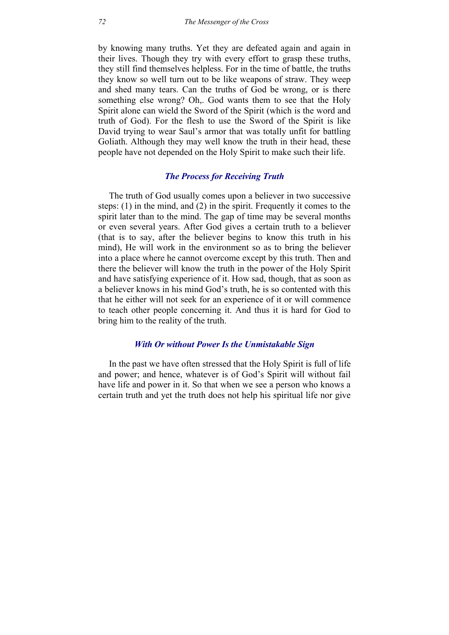by knowing many truths. Yet they are defeated again and again in their lives. Though they try with every effort to grasp these truths, they still find themselves helpless. For in the time of battle, the truths they know so well turn out to be like weapons of straw. They weep and shed many tears. Can the truths of God be wrong, or is there something else wrong? Oh,. God wants them to see that the Holy Spirit alone can wield the Sword of the Spirit (which is the word and truth of God). For the flesh to use the Sword of the Spirit is like David trying to wear Saul's armor that was totally unfit for battling Goliath. Although they may well know the truth in their head, these people have not depended on the Holy Spirit to make such their life.

# *The Process for Receiving Truth*

The truth of God usually comes upon a believer in two successive steps: (1) in the mind, and (2) in the spirit. Frequently it comes to the spirit later than to the mind. The gap of time may be several months or even several years. After God gives a certain truth to a believer (that is to say, after the believer begins to know this truth in his mind), He will work in the environment so as to bring the believer into a place where he cannot overcome except by this truth. Then and there the believer will know the truth in the power of the Holy Spirit and have satisfying experience of it. How sad, though, that as soon as a believer knows in his mind God's truth, he is so contented with this that he either will not seek for an experience of it or will commence to teach other people concerning it. And thus it is hard for God to bring him to the reality of the truth.

## *With Or without Power Is the Unmistakable Sign*

In the past we have often stressed that the Holy Spirit is full of life and power; and hence, whatever is of God's Spirit will without fail have life and power in it. So that when we see a person who knows a certain truth and yet the truth does not help his spiritual life nor give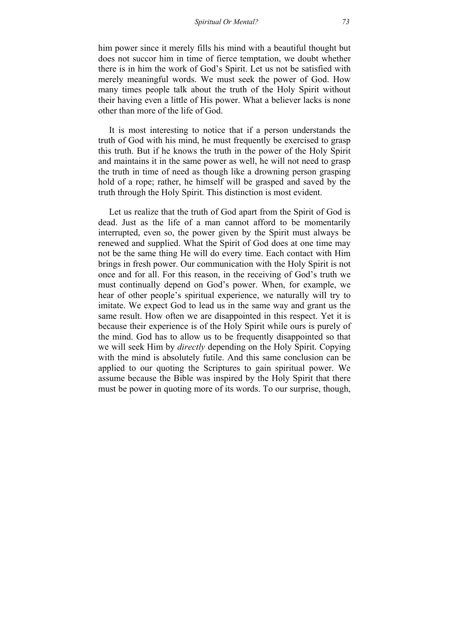him power since it merely fills his mind with a beautiful thought but does not succor him in time of fierce temptation, we doubt whether there is in him the work of God's Spirit. Let us not be satisfied with merely meaningful words. We must seek the power of God. How many times people talk about the truth of the Holy Spirit without their having even a little of His power. What a believer lacks is none other than more of the life of God.

It is most interesting to notice that if a person understands the truth of God with his mind, he must frequently be exercised to grasp this truth. But if he knows the truth in the power of the Holy Spirit and maintains it in the same power as well, he will not need to grasp the truth in time of need as though like a drowning person grasping hold of a rope; rather, he himself will be grasped and saved by the truth through the Holy Spirit. This distinction is most evident.

Let us realize that the truth of God apart from the Spirit of God is dead. Just as the life of a man cannot afford to be momentarily interrupted, even so, the power given by the Spirit must always be renewed and supplied. What the Spirit of God does at one time may not be the same thing He will do every time. Each contact with Him brings in fresh power. Our communication with the Holy Spirit is not once and for all. For this reason, in the receiving of God's truth we must continually depend on God's power. When, for example, we hear of other people's spiritual experience, we naturally will try to imitate. We expect God to lead us in the same way and grant us the same result. How often we are disappointed in this respect. Yet it is because their experience is of the Holy Spirit while ours is purely of the mind. God has to allow us to be frequently disappointed so that we will seek Him by *directly* depending on the Holy Spirit. Copying with the mind is absolutely futile. And this same conclusion can be applied to our quoting the Scriptures to gain spiritual power. We assume because the Bible was inspired by the Holy Spirit that there must be power in quoting more of its words. To our surprise, though,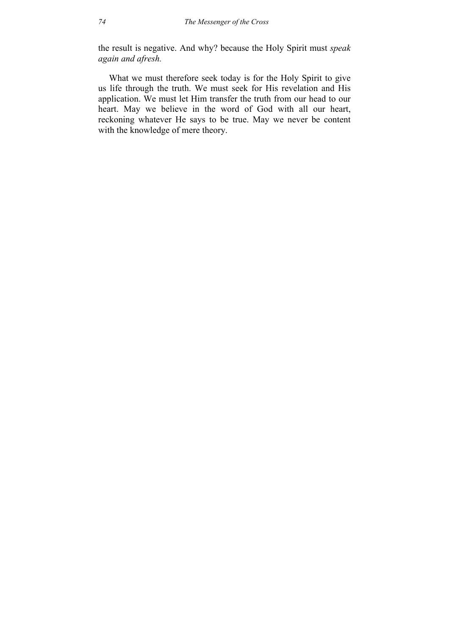the result is negative. And why? because the Holy Spirit must *speak again and afresh.*

What we must therefore seek today is for the Holy Spirit to give us life through the truth. We must seek for His revelation and His application. We must let Him transfer the truth from our head to our heart. May we believe in the word of God with all our heart, reckoning whatever He says to be true. May we never be content with the knowledge of mere theory.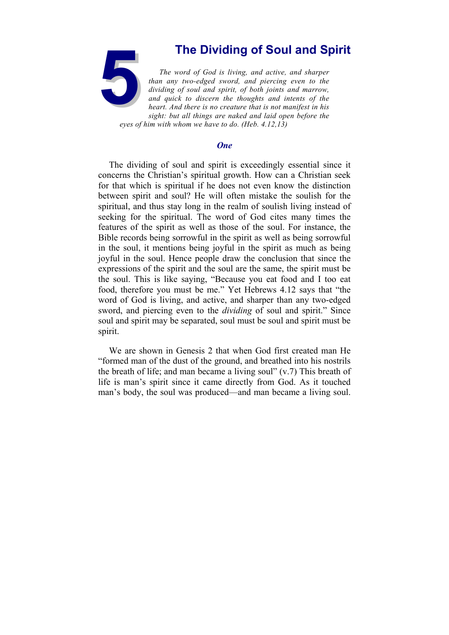

**5The Dividing of Soul and Spirit**<br> *The word of God is living, and active, and sharper*<br> *than any two-edged sword, and piercing even to the*<br> *dividing of soul and spirit, of both joints and marrow,*<br> *and quick to disce The word of God is living, and active, and sharper than any two-edged sword, and piercing even to the dividing of soul and spirit, of both joints and marrow, and quick to discern the thoughts and intents of the heart. And there is no creature that is not manifest in his sight: but all things are naked and laid open before the eyes of him with whom we have to do. (Heb. 4.12,13)*

### *One*

The dividing of soul and spirit is exceedingly essential since it concerns the Christian's spiritual growth. How can a Christian seek for that which is spiritual if he does not even know the distinction between spirit and soul? He will often mistake the soulish for the spiritual, and thus stay long in the realm of soulish living instead of seeking for the spiritual. The word of God cites many times the features of the spirit as well as those of the soul. For instance, the Bible records being sorrowful in the spirit as well as being sorrowful in the soul, it mentions being joyful in the spirit as much as being joyful in the soul. Hence people draw the conclusion that since the expressions of the spirit and the soul are the same, the spirit must be the soul. This is like saying, "Because you eat food and I too eat food, therefore you must be me." Yet Hebrews 4.12 says that "the word of God is living, and active, and sharper than any two-edged sword, and piercing even to the *dividing* of soul and spirit." Since soul and spirit may be separated, soul must be soul and spirit must be spirit.

We are shown in Genesis 2 that when God first created man He "formed man of the dust of the ground, and breathed into his nostrils the breath of life; and man became a living soul" (v.7) This breath of life is man's spirit since it came directly from God. As it touched man's body, the soul was produced—and man became a living soul.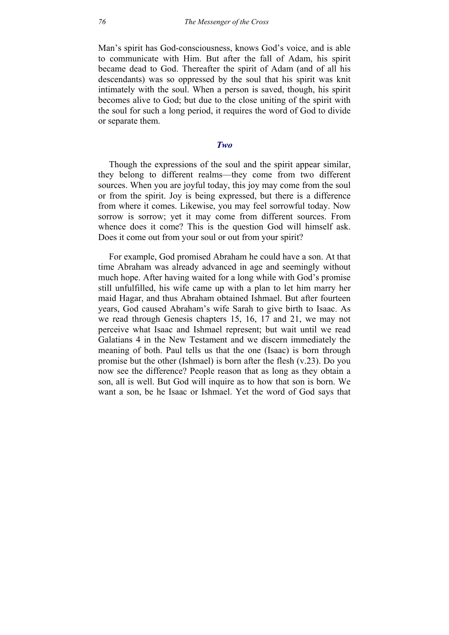Man's spirit has God-consciousness, knows God's voice, and is able to communicate with Him. But after the fall of Adam, his spirit became dead to God. Thereafter the spirit of Adam (and of all his descendants) was so oppressed by the soul that his spirit was knit intimately with the soul. When a person is saved, though, his spirit becomes alive to God; but due to the close uniting of the spirit with the soul for such a long period, it requires the word of God to divide or separate them.

## *Two*

Though the expressions of the soul and the spirit appear similar, they belong to different realms—they come from two different sources. When you are joyful today, this joy may come from the soul or from the spirit. Joy is being expressed, but there is a difference from where it comes. Likewise, you may feel sorrowful today. Now sorrow is sorrow; yet it may come from different sources. From whence does it come? This is the question God will himself ask. Does it come out from your soul or out from your spirit?

For example, God promised Abraham he could have a son. At that time Abraham was already advanced in age and seemingly without much hope. After having waited for a long while with God's promise still unfulfilled, his wife came up with a plan to let him marry her maid Hagar, and thus Abraham obtained Ishmael. But after fourteen years, God caused Abraham's wife Sarah to give birth to Isaac. As we read through Genesis chapters 15, 16, 17 and 21, we may not perceive what Isaac and Ishmael represent; but wait until we read Galatians 4 in the New Testament and we discern immediately the meaning of both. Paul tells us that the one (Isaac) is born through promise but the other (Ishmael) is born after the flesh (v.23). Do you now see the difference? People reason that as long as they obtain a son, all is well. But God will inquire as to how that son is born. We want a son, be he Isaac or Ishmael. Yet the word of God says that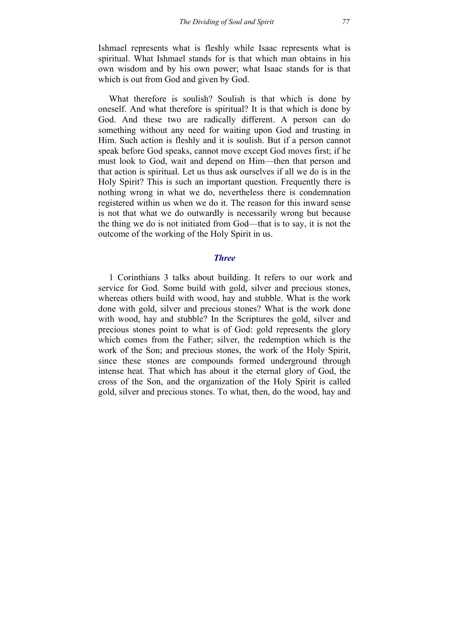Ishmael represents what is fleshly while Isaac represents what is spiritual. What Ishmael stands for is that which man obtains in his own wisdom and by his own power; what Isaac stands for is that which is out from God and given by God.

What therefore is soulish? Soulish is that which is done by oneself. And what therefore is spiritual? It is that which is done by God. And these two are radically different. A person can do something without any need for waiting upon God and trusting in Him. Such action is fleshly and it is soulish. But if a person cannot speak before God speaks, cannot move except God moves first; if he must look to God, wait and depend on Him—then that person and that action is spiritual. Let us thus ask ourselves if all we do is in the Holy Spirit? This is such an important question. Frequently there is nothing wrong in what we do, nevertheless there is condemnation registered within us when we do it. The reason for this inward sense is not that what we do outwardly is necessarily wrong but because the thing we do is not initiated from God—that is to say, it is not the outcome of the working of the Holy Spirit in us.

## *Three*

1 Corinthians 3 talks about building. It refers to our work and service for God. Some build with gold, silver and precious stones, whereas others build with wood, hay and stubble. What is the work done with gold, silver and precious stones? What is the work done with wood, hay and stubble? In the Scriptures the gold, silver and precious stones point to what is of God: gold represents the glory which comes from the Father; silver, the redemption which is the work of the Son; and precious stones, the work of the Holy Spirit, since these stones are compounds formed underground through intense heat. That which has about it the eternal glory of God, the cross of the Son, and the organization of the Holy Spirit is called gold, silver and precious stones. To what, then, do the wood, hay and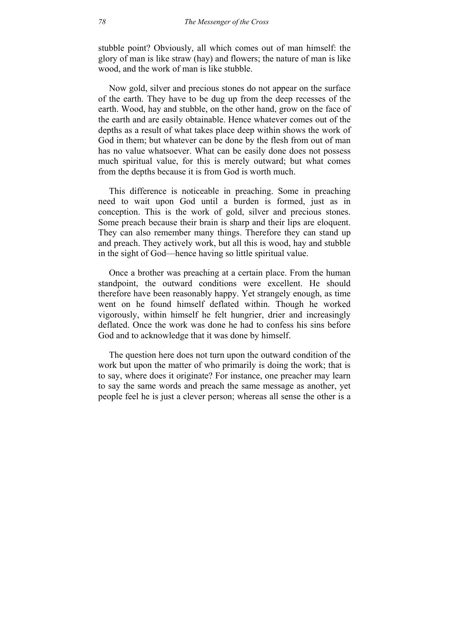stubble point? Obviously, all which comes out of man himself: the glory of man is like straw (hay) and flowers; the nature of man is like wood, and the work of man is like stubble.

Now gold, silver and precious stones do not appear on the surface of the earth. They have to be dug up from the deep recesses of the earth. Wood, hay and stubble, on the other hand, grow on the face of the earth and are easily obtainable. Hence whatever comes out of the depths as a result of what takes place deep within shows the work of God in them; but whatever can be done by the flesh from out of man has no value whatsoever. What can be easily done does not possess much spiritual value, for this is merely outward; but what comes from the depths because it is from God is worth much.

This difference is noticeable in preaching. Some in preaching need to wait upon God until a burden is formed, just as in conception. This is the work of gold, silver and precious stones. Some preach because their brain is sharp and their lips are eloquent. They can also remember many things. Therefore they can stand up and preach. They actively work, but all this is wood, hay and stubble in the sight of God—hence having so little spiritual value.

Once a brother was preaching at a certain place. From the human standpoint, the outward conditions were excellent. He should therefore have been reasonably happy. Yet strangely enough, as time went on he found himself deflated within. Though he worked vigorously, within himself he felt hungrier, drier and increasingly deflated. Once the work was done he had to confess his sins before God and to acknowledge that it was done by himself.

The question here does not turn upon the outward condition of the work but upon the matter of who primarily is doing the work; that is to say, where does it originate? For instance, one preacher may learn to say the same words and preach the same message as another, yet people feel he is just a clever person; whereas all sense the other is a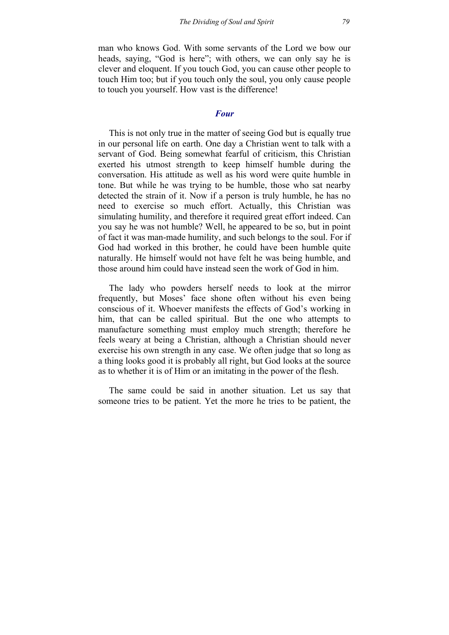man who knows God. With some servants of the Lord we bow our heads, saying, "God is here"; with others, we can only say he is clever and eloquent. If you touch God, you can cause other people to touch Him too; but if you touch only the soul, you only cause people to touch you yourself. How vast is the difference!

## *Four*

This is not only true in the matter of seeing God but is equally true in our personal life on earth. One day a Christian went to talk with a servant of God. Being somewhat fearful of criticism, this Christian exerted his utmost strength to keep himself humble during the conversation. His attitude as well as his word were quite humble in tone. But while he was trying to be humble, those who sat nearby detected the strain of it. Now if a person is truly humble, he has no need to exercise so much effort. Actually, this Christian was simulating humility, and therefore it required great effort indeed. Can you say he was not humble? Well, he appeared to be so, but in point of fact it was man-made humility, and such belongs to the soul. For if God had worked in this brother, he could have been humble quite naturally. He himself would not have felt he was being humble, and those around him could have instead seen the work of God in him.

The lady who powders herself needs to look at the mirror frequently, but Moses' face shone often without his even being conscious of it. Whoever manifests the effects of God's working in him, that can be called spiritual. But the one who attempts to manufacture something must employ much strength; therefore he feels weary at being a Christian, although a Christian should never exercise his own strength in any case. We often judge that so long as a thing looks good it is probably all right, but God looks at the source as to whether it is of Him or an imitating in the power of the flesh.

The same could be said in another situation. Let us say that someone tries to be patient. Yet the more he tries to be patient, the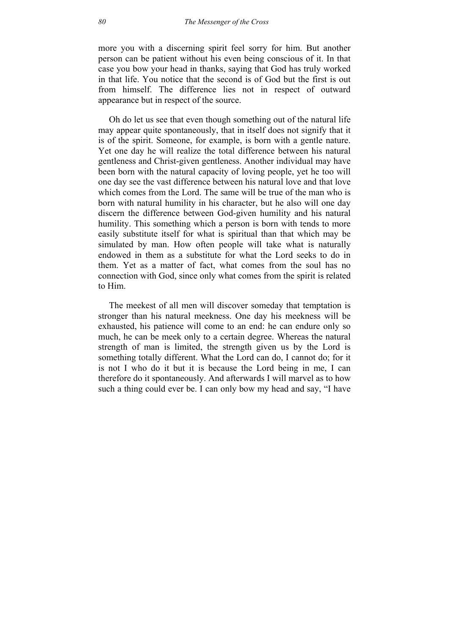more you with a discerning spirit feel sorry for him. But another person can be patient without his even being conscious of it. In that case you bow your head in thanks, saying that God has truly worked in that life. You notice that the second is of God but the first is out from himself. The difference lies not in respect of outward appearance but in respect of the source.

Oh do let us see that even though something out of the natural life may appear quite spontaneously, that in itself does not signify that it is of the spirit. Someone, for example, is born with a gentle nature. Yet one day he will realize the total difference between his natural gentleness and Christ-given gentleness. Another individual may have been born with the natural capacity of loving people, yet he too will one day see the vast difference between his natural love and that love which comes from the Lord. The same will be true of the man who is born with natural humility in his character, but he also will one day discern the difference between God-given humility and his natural humility. This something which a person is born with tends to more easily substitute itself for what is spiritual than that which may be simulated by man. How often people will take what is naturally endowed in them as a substitute for what the Lord seeks to do in them. Yet as a matter of fact, what comes from the soul has no connection with God, since only what comes from the spirit is related to Him.

The meekest of all men will discover someday that temptation is stronger than his natural meekness. One day his meekness will be exhausted, his patience will come to an end: he can endure only so much, he can be meek only to a certain degree. Whereas the natural strength of man is limited, the strength given us by the Lord is something totally different. What the Lord can do, I cannot do; for it is not I who do it but it is because the Lord being in me, I can therefore do it spontaneously. And afterwards I will marvel as to how such a thing could ever be. I can only bow my head and say, "I have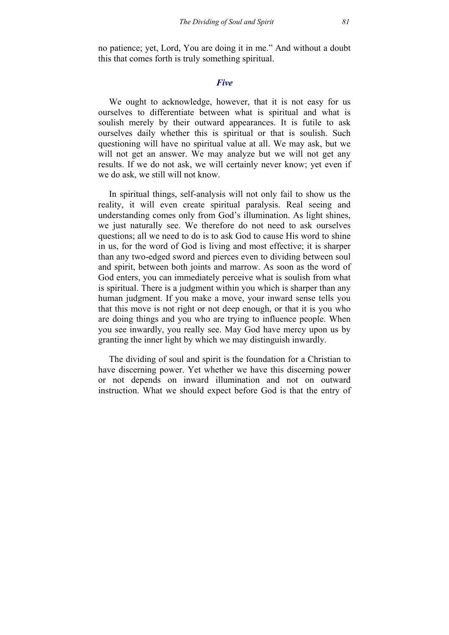no patience; yet, Lord, You are doing it in me." And without a doubt this that comes forth is truly something spiritual.

## *Five*

We ought to acknowledge, however, that it is not easy for us ourselves to differentiate between what is spiritual and what is soulish merely by their outward appearances. It is futile to ask ourselves daily whether this is spiritual or that is soulish. Such questioning will have no spiritual value at all. We may ask, but we will not get an answer. We may analyze but we will not get any results. If we do not ask, we will certainly never know; yet even if we do ask, we still will not know.

In spiritual things, self-analysis will not only fail to show us the reality, it will even create spiritual paralysis. Real seeing and understanding comes only from God's illumination. As light shines, we just naturally see. We therefore do not need to ask ourselves questions; all we need to do is to ask God to cause His word to shine in us, for the word of God is living and most effective; it is sharper than any two-edged sword and pierces even to dividing between soul and spirit, between both joints and marrow. As soon as the word of God enters, you can immediately perceive what is soulish from what is spiritual. There is a judgment within you which is sharper than any human judgment. If you make a move, your inward sense tells you that this move is not right or not deep enough, or that it is you who are doing things and you who are trying to influence people. When you see inwardly, you really see. May God have mercy upon us by granting the inner light by which we may distinguish inwardly.

The dividing of soul and spirit is the foundation for a Christian to have discerning power. Yet whether we have this discerning power or not depends on inward illumination and not on outward instruction. What we should expect before God is that the entry of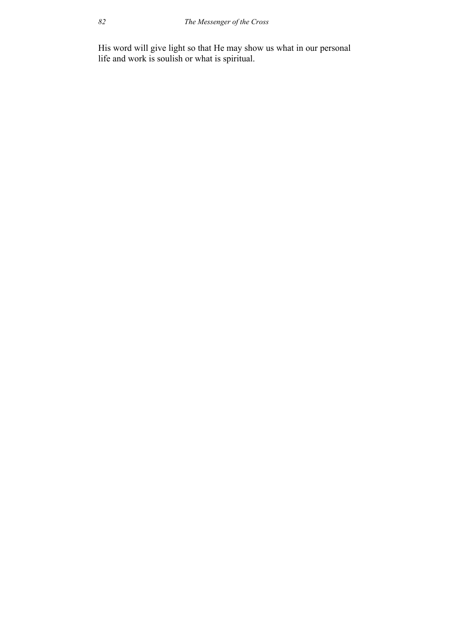His word will give light so that He may show us what in our personal life and work is soulish or what is spiritual.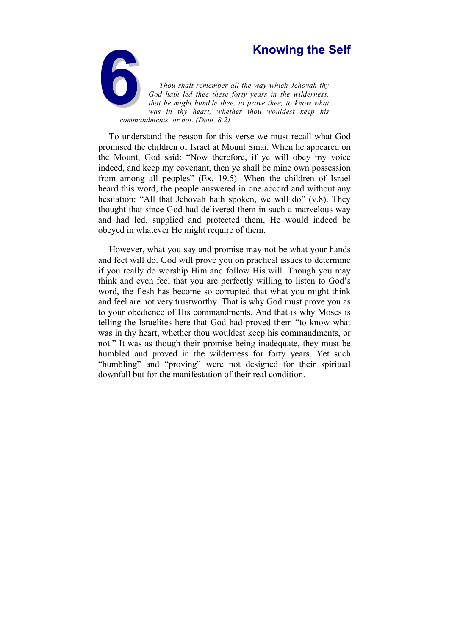

**6Knowing the Self**<br> **6Knowing the Self**<br>
Thou shalt remember all the way which Jehovah thy<br>
God hath led thee these forty years in the wilderness,<br>
that he might humble thee, to prove thee, to know what<br>
was in thy heart, *Thou shalt remember all the way which Jehovah thy God hath led thee these forty years in the wilderness, that he might humble thee, to prove thee, to know what was in thy heart, whether thou wouldest keep his commandments, or not. (Deut. 8.2)*

To understand the reason for this verse we must recall what God promised the children of Israel at Mount Sinai. When he appeared on the Mount, God said: "Now therefore, if ye will obey my voice indeed, and keep my covenant, then ye shall be mine own possession from among all peoples" (Ex. 19.5). When the children of Israel heard this word, the people answered in one accord and without any hesitation: "All that Jehovah hath spoken, we will do" (v.8). They thought that since God had delivered them in such a marvelous way and had led, supplied and protected them, He would indeed be obeyed in whatever He might require of them.

However, what you say and promise may not be what your hands and feet will do. God will prove you on practical issues to determine if you really do worship Him and follow His will. Though you may think and even feel that you are perfectly willing to listen to God's word, the flesh has become so corrupted that what you might think and feel are not very trustworthy. That is why God must prove you as to your obedience of His commandments. And that is why Moses is telling the Israelites here that God had proved them "to know what was in thy heart, whether thou wouldest keep his commandments, or not." It was as though their promise being inadequate, they must be humbled and proved in the wilderness for forty years. Yet such "humbling" and "proving" were not designed for their spiritual downfall but for the manifestation of their real condition.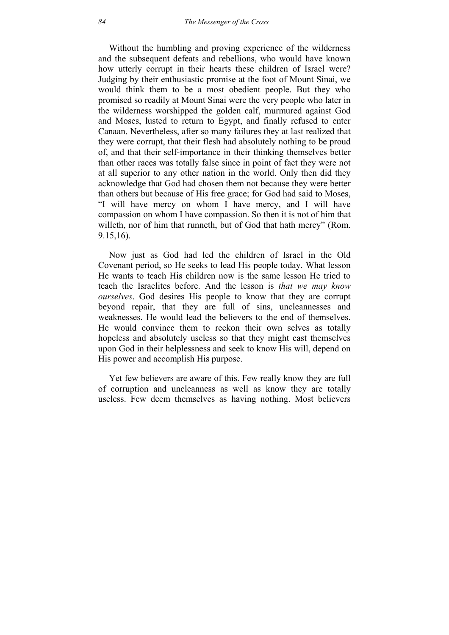Without the humbling and proving experience of the wilderness and the subsequent defeats and rebellions, who would have known how utterly corrupt in their hearts these children of Israel were? Judging by their enthusiastic promise at the foot of Mount Sinai, we would think them to be a most obedient people. But they who promised so readily at Mount Sinai were the very people who later in the wilderness worshipped the golden calf, murmured against God and Moses, lusted to return to Egypt, and finally refused to enter Canaan. Nevertheless, after so many failures they at last realized that they were corrupt, that their flesh had absolutely nothing to be proud of, and that their self-importance in their thinking themselves better than other races was totally false since in point of fact they were not at all superior to any other nation in the world. Only then did they acknowledge that God had chosen them not because they were better than others but because of His free grace; for God had said to Moses, "I will have mercy on whom I have mercy, and I will have compassion on whom I have compassion. So then it is not of him that willeth, nor of him that runneth, but of God that hath mercy" (Rom. 9.15,16).

Now just as God had led the children of Israel in the Old Covenant period, so He seeks to lead His people today. What lesson He wants to teach His children now is the same lesson He tried to teach the Israelites before. And the lesson is *that we may know ourselves*. God desires His people to know that they are corrupt beyond repair, that they are full of sins, uncleannesses and weaknesses. He would lead the believers to the end of themselves. He would convince them to reckon their own selves as totally hopeless and absolutely useless so that they might cast themselves upon God in their helplessness and seek to know His will, depend on His power and accomplish His purpose.

Yet few believers are aware of this. Few really know they are full of corruption and uncleanness as well as know they are totally useless. Few deem themselves as having nothing. Most believers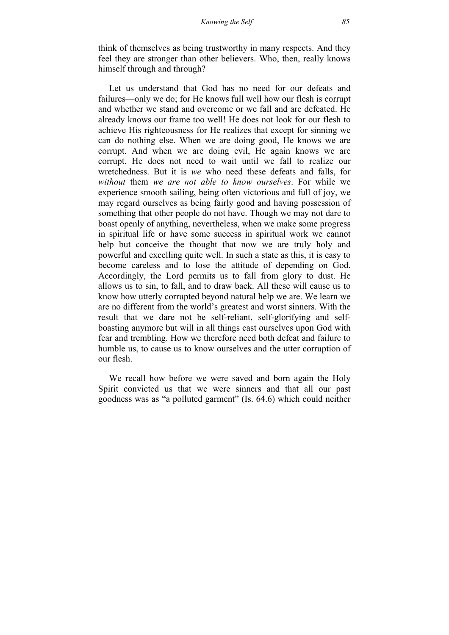think of themselves as being trustworthy in many respects. And they feel they are stronger than other believers. Who, then, really knows himself through and through?

Let us understand that God has no need for our defeats and failures—only we do; for He knows full well how our flesh is corrupt and whether we stand and overcome or we fall and are defeated. He already knows our frame too well! He does not look for our flesh to achieve His righteousness for He realizes that except for sinning we can do nothing else. When we are doing good, He knows we are corrupt. And when we are doing evil, He again knows we are corrupt. He does not need to wait until we fall to realize our wretchedness. But it is *we* who need these defeats and falls, for *without* them *we are not able to know ourselves*. For while we experience smooth sailing, being often victorious and full of joy, we may regard ourselves as being fairly good and having possession of something that other people do not have. Though we may not dare to boast openly of anything, nevertheless, when we make some progress in spiritual life or have some success in spiritual work we cannot help but conceive the thought that now we are truly holy and powerful and excelling quite well. In such a state as this, it is easy to become careless and to lose the attitude of depending on God. Accordingly, the Lord permits us to fall from glory to dust. He allows us to sin, to fall, and to draw back. All these will cause us to know how utterly corrupted beyond natural help we are. We learn we are no different from the world's greatest and worst sinners. With the result that we dare not be self-reliant, self-glorifying and selfboasting anymore but will in all things cast ourselves upon God with fear and trembling. How we therefore need both defeat and failure to humble us, to cause us to know ourselves and the utter corruption of our flesh.

We recall how before we were saved and born again the Holy Spirit convicted us that we were sinners and that all our past goodness was as "a polluted garment" (Is. 64.6) which could neither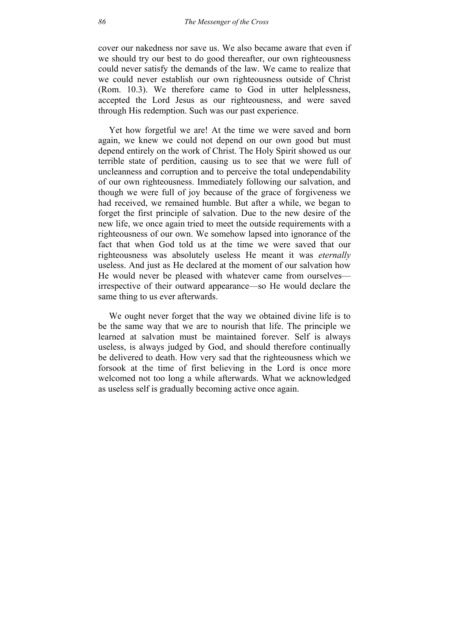cover our nakedness nor save us. We also became aware that even if we should try our best to do good thereafter, our own righteousness could never satisfy the demands of the law. We came to realize that we could never establish our own righteousness outside of Christ (Rom. 10.3). We therefore came to God in utter helplessness, accepted the Lord Jesus as our righteousness, and were saved through His redemption. Such was our past experience.

Yet how forgetful we are! At the time we were saved and born again, we knew we could not depend on our own good but must depend entirely on the work of Christ. The Holy Spirit showed us our terrible state of perdition, causing us to see that we were full of uncleanness and corruption and to perceive the total undependability of our own righteousness. Immediately following our salvation, and though we were full of joy because of the grace of forgiveness we had received, we remained humble. But after a while, we began to forget the first principle of salvation. Due to the new desire of the new life, we once again tried to meet the outside requirements with a righteousness of our own. We somehow lapsed into ignorance of the fact that when God told us at the time we were saved that our righteousness was absolutely useless He meant it was *eternally* useless. And just as He declared at the moment of our salvation how He would never be pleased with whatever came from ourselves irrespective of their outward appearance—so He would declare the same thing to us ever afterwards.

We ought never forget that the way we obtained divine life is to be the same way that we are to nourish that life. The principle we learned at salvation must be maintained forever. Self is always useless, is always judged by God, and should therefore continually be delivered to death. How very sad that the righteousness which we forsook at the time of first believing in the Lord is once more welcomed not too long a while afterwards. What we acknowledged as useless self is gradually becoming active once again.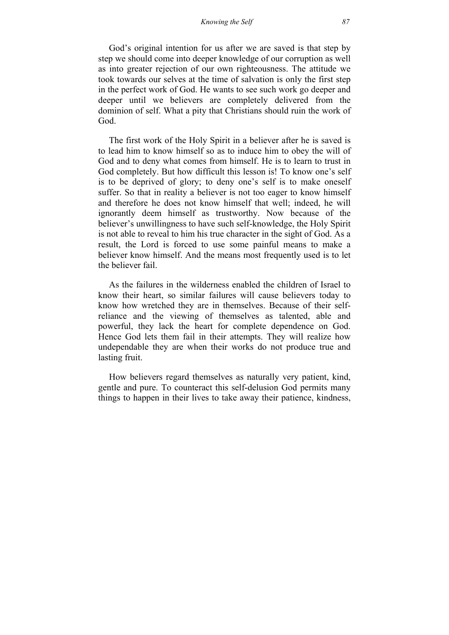God's original intention for us after we are saved is that step by step we should come into deeper knowledge of our corruption as well as into greater rejection of our own righteousness. The attitude we took towards our selves at the time of salvation is only the first step in the perfect work of God. He wants to see such work go deeper and deeper until we believers are completely delivered from the dominion of self. What a pity that Christians should ruin the work of God.

The first work of the Holy Spirit in a believer after he is saved is to lead him to know himself so as to induce him to obey the will of God and to deny what comes from himself. He is to learn to trust in God completely. But how difficult this lesson is! To know one's self is to be deprived of glory; to deny one's self is to make oneself suffer. So that in reality a believer is not too eager to know himself and therefore he does not know himself that well; indeed, he will ignorantly deem himself as trustworthy. Now because of the believer's unwillingness to have such self-knowledge, the Holy Spirit is not able to reveal to him his true character in the sight of God. As a result, the Lord is forced to use some painful means to make a believer know himself. And the means most frequently used is to let the believer fail.

As the failures in the wilderness enabled the children of Israel to know their heart, so similar failures will cause believers today to know how wretched they are in themselves. Because of their selfreliance and the viewing of themselves as talented, able and powerful, they lack the heart for complete dependence on God. Hence God lets them fail in their attempts. They will realize how undependable they are when their works do not produce true and lasting fruit.

How believers regard themselves as naturally very patient, kind, gentle and pure. To counteract this self-delusion God permits many things to happen in their lives to take away their patience, kindness,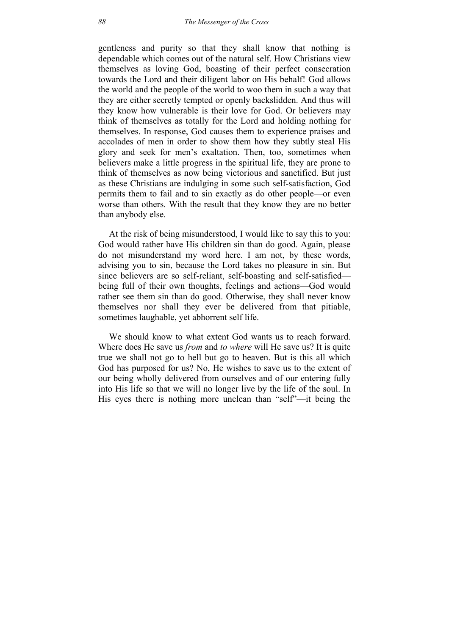gentleness and purity so that they shall know that nothing is dependable which comes out of the natural self. How Christians view themselves as loving God, boasting of their perfect consecration towards the Lord and their diligent labor on His behalf! God allows the world and the people of the world to woo them in such a way that they are either secretly tempted or openly backslidden. And thus will they know how vulnerable is their love for God. Or believers may think of themselves as totally for the Lord and holding nothing for themselves. In response, God causes them to experience praises and accolades of men in order to show them how they subtly steal His glory and seek for men's exaltation. Then, too, sometimes when believers make a little progress in the spiritual life, they are prone to think of themselves as now being victorious and sanctified. But just as these Christians are indulging in some such self-satisfaction, God permits them to fail and to sin exactly as do other people—or even worse than others. With the result that they know they are no better than anybody else.

At the risk of being misunderstood, I would like to say this to you: God would rather have His children sin than do good. Again, please do not misunderstand my word here. I am not, by these words, advising you to sin, because the Lord takes no pleasure in sin. But since believers are so self-reliant, self-boasting and self-satisfied being full of their own thoughts, feelings and actions—God would rather see them sin than do good. Otherwise, they shall never know themselves nor shall they ever be delivered from that pitiable, sometimes laughable, yet abhorrent self life.

We should know to what extent God wants us to reach forward. Where does He save us *from* and *to where* will He save us? It is quite true we shall not go to hell but go to heaven. But is this all which God has purposed for us? No, He wishes to save us to the extent of our being wholly delivered from ourselves and of our entering fully into His life so that we will no longer live by the life of the soul. In His eyes there is nothing more unclean than "self"—it being the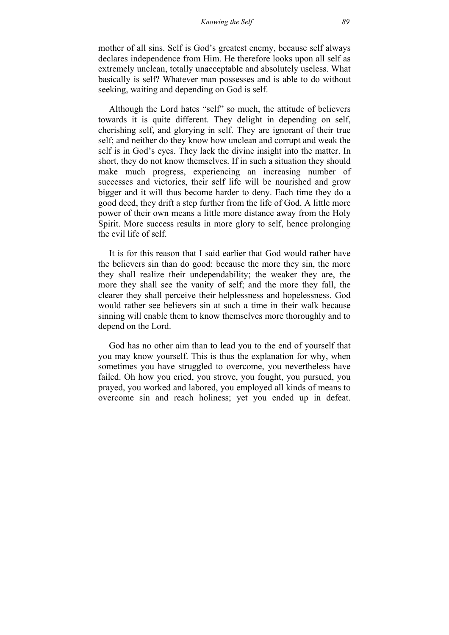mother of all sins. Self is God's greatest enemy, because self always declares independence from Him. He therefore looks upon all self as extremely unclean, totally unacceptable and absolutely useless. What basically is self? Whatever man possesses and is able to do without seeking, waiting and depending on God is self.

Although the Lord hates "self" so much, the attitude of believers towards it is quite different. They delight in depending on self, cherishing self, and glorying in self. They are ignorant of their true self; and neither do they know how unclean and corrupt and weak the self is in God's eyes. They lack the divine insight into the matter. In short, they do not know themselves. If in such a situation they should make much progress, experiencing an increasing number of successes and victories, their self life will be nourished and grow bigger and it will thus become harder to deny. Each time they do a good deed, they drift a step further from the life of God. A little more power of their own means a little more distance away from the Holy Spirit. More success results in more glory to self, hence prolonging the evil life of self.

It is for this reason that I said earlier that God would rather have the believers sin than do good: because the more they sin, the more they shall realize their undependability; the weaker they are, the more they shall see the vanity of self; and the more they fall, the clearer they shall perceive their helplessness and hopelessness. God would rather see believers sin at such a time in their walk because sinning will enable them to know themselves more thoroughly and to depend on the Lord.

God has no other aim than to lead you to the end of yourself that you may know yourself. This is thus the explanation for why, when sometimes you have struggled to overcome, you nevertheless have failed. Oh how you cried, you strove, you fought, you pursued, you prayed, you worked and labored, you employed all kinds of means to overcome sin and reach holiness; yet you ended up in defeat.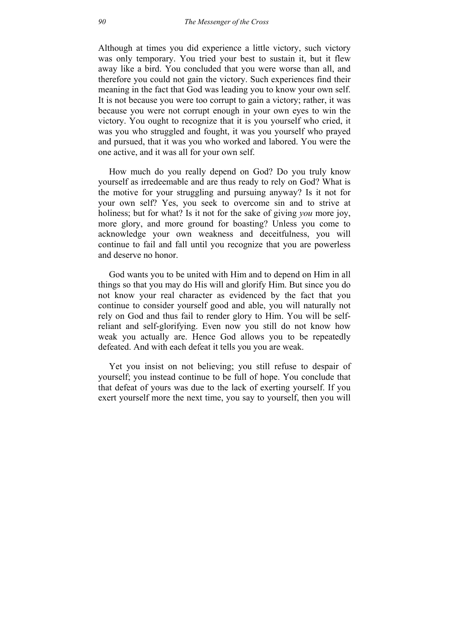Although at times you did experience a little victory, such victory was only temporary. You tried your best to sustain it, but it flew away like a bird. You concluded that you were worse than all, and therefore you could not gain the victory. Such experiences find their meaning in the fact that God was leading you to know your own self. It is not because you were too corrupt to gain a victory; rather, it was because you were not corrupt enough in your own eyes to win the victory. You ought to recognize that it is you yourself who cried, it was you who struggled and fought, it was you yourself who prayed and pursued, that it was you who worked and labored. You were the one active, and it was all for your own self.

How much do you really depend on God? Do you truly know yourself as irredeemable and are thus ready to rely on God? What is the motive for your struggling and pursuing anyway? Is it not for your own self? Yes, you seek to overcome sin and to strive at holiness; but for what? Is it not for the sake of giving *you* more joy, more glory, and more ground for boasting? Unless you come to acknowledge your own weakness and deceitfulness, you will continue to fail and fall until you recognize that you are powerless and deserve no honor.

God wants you to be united with Him and to depend on Him in all things so that you may do His will and glorify Him. But since you do not know your real character as evidenced by the fact that you continue to consider yourself good and able, you will naturally not rely on God and thus fail to render glory to Him. You will be selfreliant and self-glorifying. Even now you still do not know how weak you actually are. Hence God allows you to be repeatedly defeated. And with each defeat it tells you you are weak.

Yet you insist on not believing; you still refuse to despair of yourself; you instead continue to be full of hope. You conclude that that defeat of yours was due to the lack of exerting yourself. If you exert yourself more the next time, you say to yourself, then you will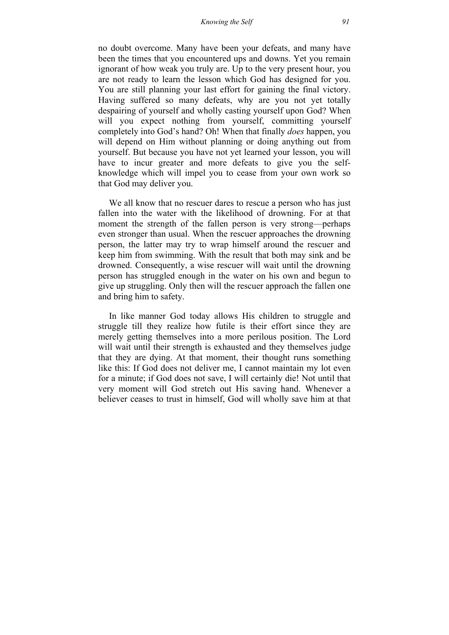no doubt overcome. Many have been your defeats, and many have been the times that you encountered ups and downs. Yet you remain ignorant of how weak you truly are. Up to the very present hour, you are not ready to learn the lesson which God has designed for you. You are still planning your last effort for gaining the final victory. Having suffered so many defeats, why are you not yet totally despairing of yourself and wholly casting yourself upon God? When will you expect nothing from yourself, committing yourself completely into God's hand? Oh! When that finally *does* happen, you will depend on Him without planning or doing anything out from yourself. But because you have not yet learned your lesson, you will have to incur greater and more defeats to give you the selfknowledge which will impel you to cease from your own work so that God may deliver you.

We all know that no rescuer dares to rescue a person who has just fallen into the water with the likelihood of drowning. For at that moment the strength of the fallen person is very strong—perhaps even stronger than usual. When the rescuer approaches the drowning person, the latter may try to wrap himself around the rescuer and keep him from swimming. With the result that both may sink and be drowned. Consequently, a wise rescuer will wait until the drowning person has struggled enough in the water on his own and begun to give up struggling. Only then will the rescuer approach the fallen one and bring him to safety.

In like manner God today allows His children to struggle and struggle till they realize how futile is their effort since they are merely getting themselves into a more perilous position. The Lord will wait until their strength is exhausted and they themselves judge that they are dying. At that moment, their thought runs something like this: If God does not deliver me, I cannot maintain my lot even for a minute; if God does not save, I will certainly die! Not until that very moment will God stretch out His saving hand. Whenever a believer ceases to trust in himself, God will wholly save him at that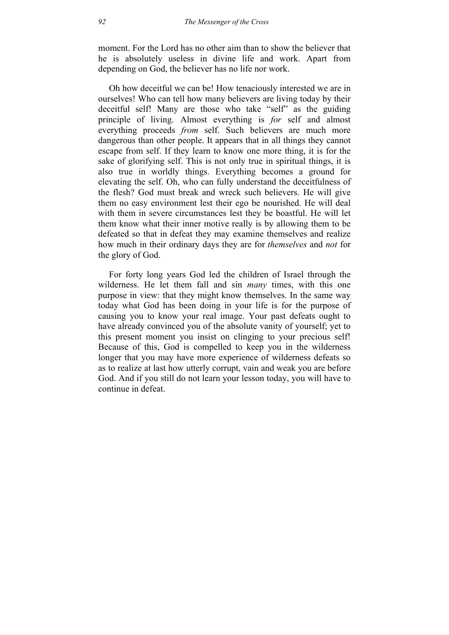moment. For the Lord has no other aim than to show the believer that he is absolutely useless in divine life and work. Apart from depending on God, the believer has no life nor work.

Oh how deceitful we can be! How tenaciously interested we are in ourselves! Who can tell how many believers are living today by their deceitful self! Many are those who take "self" as the guiding principle of living. Almost everything is *for* self and almost everything proceeds *from* self. Such believers are much more dangerous than other people. It appears that in all things they cannot escape from self. If they learn to know one more thing, it is for the sake of glorifying self. This is not only true in spiritual things, it is also true in worldly things. Everything becomes a ground for elevating the self. Oh, who can fully understand the deceitfulness of the flesh? God must break and wreck such believers. He will give them no easy environment lest their ego be nourished. He will deal with them in severe circumstances lest they be boastful. He will let them know what their inner motive really is by allowing them to be defeated so that in defeat they may examine themselves and realize how much in their ordinary days they are for *themselves* and *not* for the glory of God.

For forty long years God led the children of Israel through the wilderness. He let them fall and sin *many* times, with this one purpose in view: that they might know themselves. In the same way today what God has been doing in your life is for the purpose of causing you to know your real image. Your past defeats ought to have already convinced you of the absolute vanity of yourself; yet to this present moment you insist on clinging to your precious self! Because of this, God is compelled to keep you in the wilderness longer that you may have more experience of wilderness defeats so as to realize at last how utterly corrupt, vain and weak you are before God. And if you still do not learn your lesson today, you will have to continue in defeat.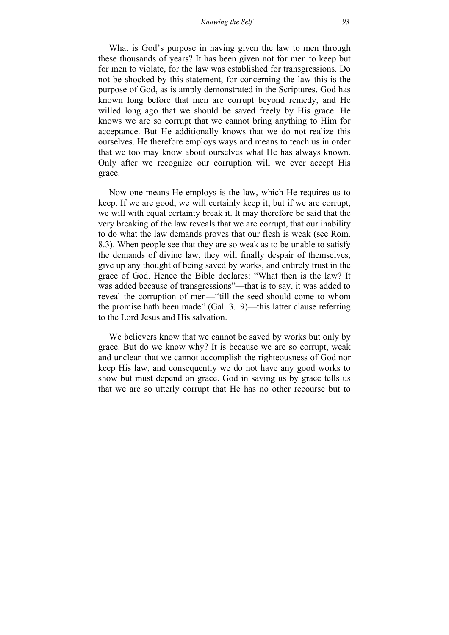What is God's purpose in having given the law to men through these thousands of years? It has been given not for men to keep but for men to violate, for the law was established for transgressions. Do not be shocked by this statement, for concerning the law this is the purpose of God, as is amply demonstrated in the Scriptures. God has known long before that men are corrupt beyond remedy, and He willed long ago that we should be saved freely by His grace. He knows we are so corrupt that we cannot bring anything to Him for acceptance. But He additionally knows that we do not realize this ourselves. He therefore employs ways and means to teach us in order that we too may know about ourselves what He has always known. Only after we recognize our corruption will we ever accept His grace.

Now one means He employs is the law, which He requires us to keep. If we are good, we will certainly keep it; but if we are corrupt, we will with equal certainty break it. It may therefore be said that the very breaking of the law reveals that we are corrupt, that our inability to do what the law demands proves that our flesh is weak (see Rom. 8.3). When people see that they are so weak as to be unable to satisfy the demands of divine law, they will finally despair of themselves, give up any thought of being saved by works, and entirely trust in the grace of God. Hence the Bible declares: "What then is the law? It was added because of transgressions"—that is to say, it was added to reveal the corruption of men—"till the seed should come to whom the promise hath been made" (Gal. 3.19)—this latter clause referring to the Lord Jesus and His salvation.

We believers know that we cannot be saved by works but only by grace. But do we know why? It is because we are so corrupt, weak and unclean that we cannot accomplish the righteousness of God nor keep His law, and consequently we do not have any good works to show but must depend on grace. God in saving us by grace tells us that we are so utterly corrupt that He has no other recourse but to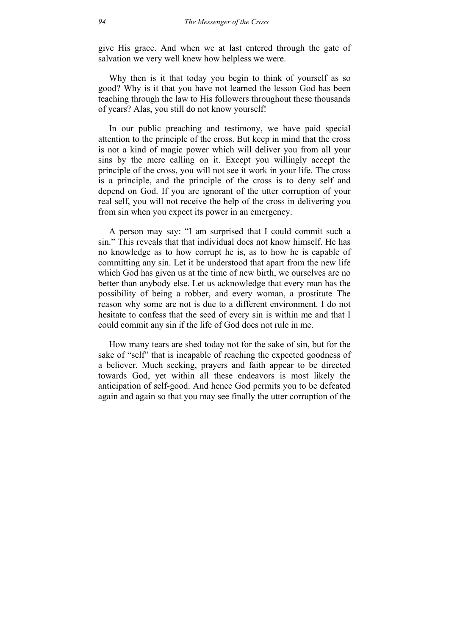give His grace. And when we at last entered through the gate of salvation we very well knew how helpless we were.

Why then is it that today you begin to think of yourself as so good? Why is it that you have not learned the lesson God has been teaching through the law to His followers throughout these thousands of years? Alas, you still do not know yourself!

In our public preaching and testimony, we have paid special attention to the principle of the cross. But keep in mind that the cross is not a kind of magic power which will deliver you from all your sins by the mere calling on it. Except you willingly accept the principle of the cross, you will not see it work in your life. The cross is a principle, and the principle of the cross is to deny self and depend on God. If you are ignorant of the utter corruption of your real self, you will not receive the help of the cross in delivering you from sin when you expect its power in an emergency.

A person may say: "I am surprised that I could commit such a sin." This reveals that that individual does not know himself. He has no knowledge as to how corrupt he is, as to how he is capable of committing any sin. Let it be understood that apart from the new life which God has given us at the time of new birth, we ourselves are no better than anybody else. Let us acknowledge that every man has the possibility of being a robber, and every woman, a prostitute The reason why some are not is due to a different environment. I do not hesitate to confess that the seed of every sin is within me and that I could commit any sin if the life of God does not rule in me.

How many tears are shed today not for the sake of sin, but for the sake of "self" that is incapable of reaching the expected goodness of a believer. Much seeking, prayers and faith appear to be directed towards God, yet within all these endeavors is most likely the anticipation of self-good. And hence God permits you to be defeated again and again so that you may see finally the utter corruption of the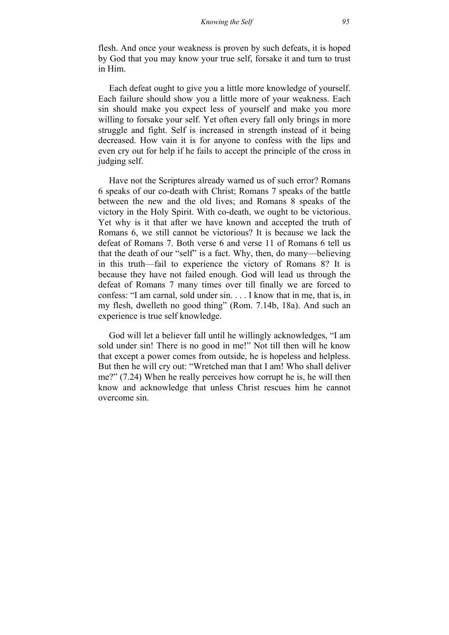flesh. And once your weakness is proven by such defeats, it is hoped by God that you may know your true self, forsake it and turn to trust in Him.

Each defeat ought to give you a little more knowledge of yourself. Each failure should show you a little more of your weakness. Each sin should make you expect less of yourself and make you more willing to forsake your self. Yet often every fall only brings in more struggle and fight. Self is increased in strength instead of it being decreased. How vain it is for anyone to confess with the lips and even cry out for help if he fails to accept the principle of the cross in judging self.

Have not the Scriptures already warned us of such error? Romans 6 speaks of our co-death with Christ; Romans 7 speaks of the battle between the new and the old lives; and Romans 8 speaks of the victory in the Holy Spirit. With co-death, we ought to be victorious. Yet why is it that after we have known and accepted the truth of Romans 6, we still cannot be victorious? It is because we lack the defeat of Romans 7. Both verse 6 and verse 11 of Romans 6 tell us that the death of our "self" is a fact. Why, then, do many—believing in this truth—fail to experience the victory of Romans 8? It is because they have not failed enough. God will lead us through the defeat of Romans 7 many times over till finally we are forced to confess: "I am carnal, sold under sin. . . . I know that in me, that is, in my flesh, dwelleth no good thing" (Rom. 7.14b, 18a). And such an experience is true self knowledge.

God will let a believer fall until he willingly acknowledges, "I am sold under sin! There is no good in me!" Not till then will he know that except a power comes from outside, he is hopeless and helpless. But then he will cry out: "Wretched man that I am! Who shall deliver me?" (7.24) When he really perceives how corrupt he is, he will then know and acknowledge that unless Christ rescues him he cannot overcome sin.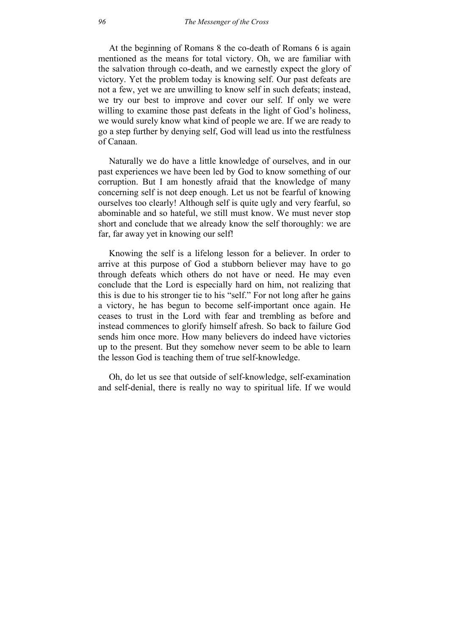At the beginning of Romans 8 the co-death of Romans 6 is again mentioned as the means for total victory. Oh, we are familiar with the salvation through co-death, and we earnestly expect the glory of victory. Yet the problem today is knowing self. Our past defeats are not a few, yet we are unwilling to know self in such defeats; instead, we try our best to improve and cover our self. If only we were willing to examine those past defeats in the light of God's holiness, we would surely know what kind of people we are. If we are ready to go a step further by denying self, God will lead us into the restfulness of Canaan.

Naturally we do have a little knowledge of ourselves, and in our past experiences we have been led by God to know something of our corruption. But I am honestly afraid that the knowledge of many concerning self is not deep enough. Let us not be fearful of knowing ourselves too clearly! Although self is quite ugly and very fearful, so abominable and so hateful, we still must know. We must never stop short and conclude that we already know the self thoroughly: we are far, far away yet in knowing our self!

Knowing the self is a lifelong lesson for a believer. In order to arrive at this purpose of God a stubborn believer may have to go through defeats which others do not have or need. He may even conclude that the Lord is especially hard on him, not realizing that this is due to his stronger tie to his "self." For not long after he gains a victory, he has begun to become self-important once again. He ceases to trust in the Lord with fear and trembling as before and instead commences to glorify himself afresh. So back to failure God sends him once more. How many believers do indeed have victories up to the present. But they somehow never seem to be able to learn the lesson God is teaching them of true self-knowledge.

Oh, do let us see that outside of self-knowledge, self-examination and self-denial, there is really no way to spiritual life. If we would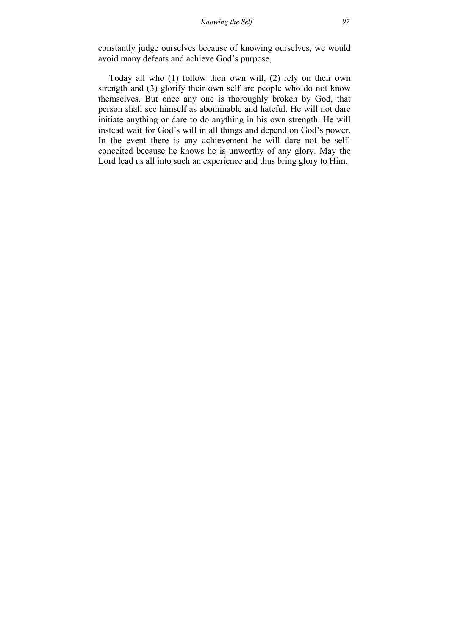constantly judge ourselves because of knowing ourselves, we would avoid many defeats and achieve God's purpose,

Today all who (1) follow their own will, (2) rely on their own strength and (3) glorify their own self are people who do not know themselves. But once any one is thoroughly broken by God, that person shall see himself as abominable and hateful. He will not dare initiate anything or dare to do anything in his own strength. He will instead wait for God's will in all things and depend on God's power. In the event there is any achievement he will dare not be selfconceited because he knows he is unworthy of any glory. May the Lord lead us all into such an experience and thus bring glory to Him.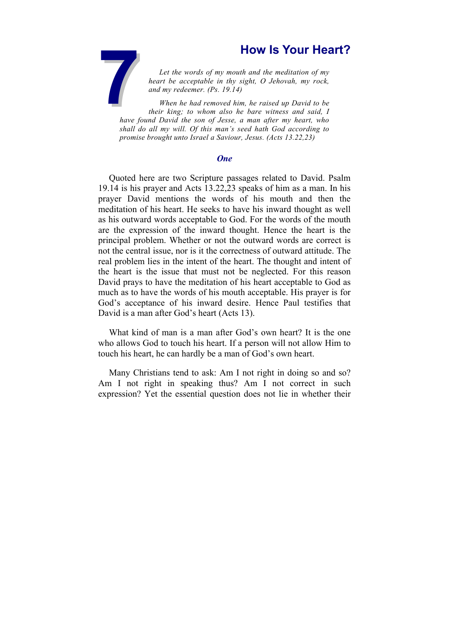**74 Example 18 Your Heart?**<br> *Let the words of my mouth and the meditation of my*<br> *heart be acceptable in thy sight, O Jehovah, my rock,*<br> *and my redeemer.* (*Ps. 19.14*)<br> *When he had removed him, he raised up David to Let the words of my mouth and the meditation of my heart be acceptable in thy sight, O Jehovah, my rock, and my redeemer. (Ps. 19.14)*

*When he had removed him, he raised up David to be their king; to whom also he bare witness and said, I have found David the son of Jesse, a man after my heart, who shall do all my will. Of this man's seed hath God according to promise brought unto Israel a Saviour, Jesus. (Acts 13.22,23)*

### *One*

Quoted here are two Scripture passages related to David. Psalm 19.14 is his prayer and Acts 13.22,23 speaks of him as a man. In his prayer David mentions the words of his mouth and then the meditation of his heart. He seeks to have his inward thought as well as his outward words acceptable to God. For the words of the mouth are the expression of the inward thought. Hence the heart is the principal problem. Whether or not the outward words are correct is not the central issue, nor is it the correctness of outward attitude. The real problem lies in the intent of the heart. The thought and intent of the heart is the issue that must not be neglected. For this reason David prays to have the meditation of his heart acceptable to God as much as to have the words of his mouth acceptable. His prayer is for God's acceptance of his inward desire. Hence Paul testifies that David is a man after God's heart (Acts 13).

What kind of man is a man after God's own heart? It is the one who allows God to touch his heart. If a person will not allow Him to touch his heart, he can hardly be a man of God's own heart.

Many Christians tend to ask: Am I not right in doing so and so? Am I not right in speaking thus? Am I not correct in such expression? Yet the essential question does not lie in whether their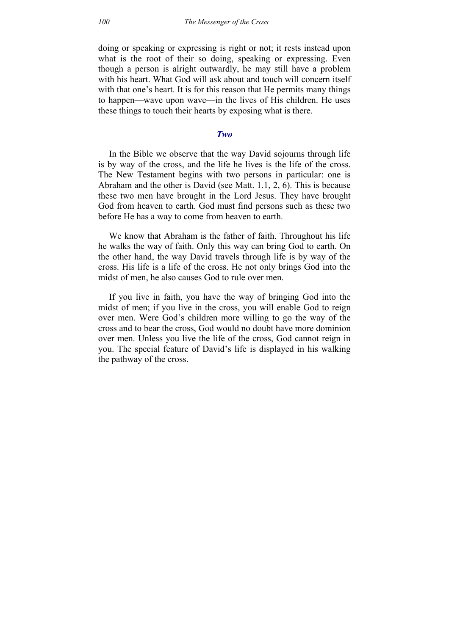doing or speaking or expressing is right or not; it rests instead upon what is the root of their so doing, speaking or expressing. Even though a person is alright outwardly, he may still have a problem with his heart. What God will ask about and touch will concern itself with that one's heart. It is for this reason that He permits many things to happen—wave upon wave—in the lives of His children. He uses these things to touch their hearts by exposing what is there.

## *Two*

In the Bible we observe that the way David sojourns through life is by way of the cross, and the life he lives is the life of the cross. The New Testament begins with two persons in particular: one is Abraham and the other is David (see Matt. 1.1, 2, 6). This is because these two men have brought in the Lord Jesus. They have brought God from heaven to earth. God must find persons such as these two before He has a way to come from heaven to earth.

We know that Abraham is the father of faith. Throughout his life he walks the way of faith. Only this way can bring God to earth. On the other hand, the way David travels through life is by way of the cross. His life is a life of the cross. He not only brings God into the midst of men, he also causes God to rule over men.

If you live in faith, you have the way of bringing God into the midst of men; if you live in the cross, you will enable God to reign over men. Were God's children more willing to go the way of the cross and to bear the cross, God would no doubt have more dominion over men. Unless you live the life of the cross, God cannot reign in you. The special feature of David's life is displayed in his walking the pathway of the cross.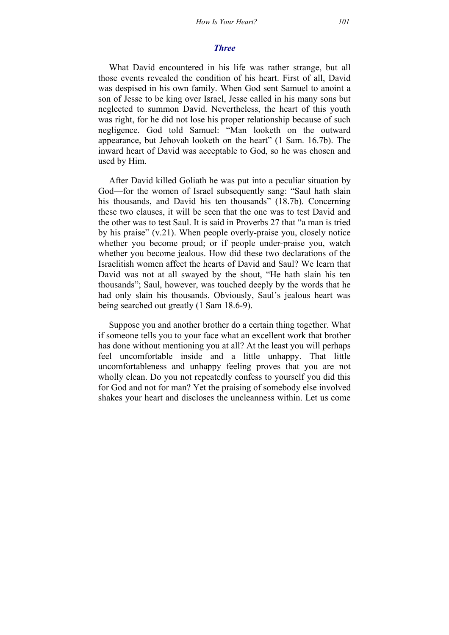### *Three*

What David encountered in his life was rather strange, but all those events revealed the condition of his heart. First of all, David was despised in his own family. When God sent Samuel to anoint a son of Jesse to be king over Israel, Jesse called in his many sons but neglected to summon David. Nevertheless, the heart of this youth was right, for he did not lose his proper relationship because of such negligence. God told Samuel: "Man looketh on the outward appearance, but Jehovah looketh on the heart" (1 Sam. 16.7b). The inward heart of David was acceptable to God, so he was chosen and used by Him.

After David killed Goliath he was put into a peculiar situation by God—for the women of Israel subsequently sang: "Saul hath slain his thousands, and David his ten thousands" (18.7b). Concerning these two clauses, it will be seen that the one was to test David and the other was to test Saul. It is said in Proverbs 27 that "a man is tried by his praise" (v.21). When people overly-praise you, closely notice whether you become proud; or if people under-praise you, watch whether you become jealous. How did these two declarations of the Israelitish women affect the hearts of David and Saul? We learn that David was not at all swayed by the shout, "He hath slain his ten thousands"; Saul, however, was touched deeply by the words that he had only slain his thousands. Obviously, Saul's jealous heart was being searched out greatly (1 Sam 18.6-9).

Suppose you and another brother do a certain thing together. What if someone tells you to your face what an excellent work that brother has done without mentioning you at all? At the least you will perhaps feel uncomfortable inside and a little unhappy. That little uncomfortableness and unhappy feeling proves that you are not wholly clean. Do you not repeatedly confess to yourself you did this for God and not for man? Yet the praising of somebody else involved shakes your heart and discloses the uncleanness within. Let us come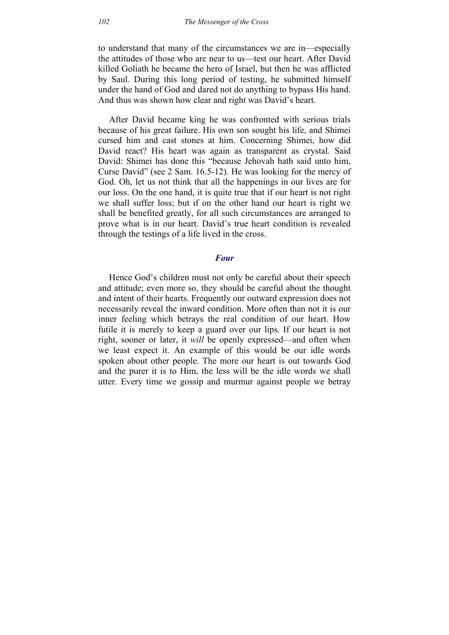to understand that many of the circumstances we are in—especially the attitudes of those who are near to us—test our heart. After David killed Goliath he became the hero of Israel, but then he was afflicted by Saul. During this long period of testing, he submitted himself under the hand of God and dared not do anything to bypass His hand. And thus was shown how clear and right was David's heart.

After David became king he was confronted with serious trials because of his great failure. His own son sought his life, and Shimei cursed him and cast stones at him. Concerning Shimei, how did David react? His heart was again as transparent as crystal. Said David: Shimei has done this "because Jehovah hath said unto him, Curse David" (see 2 Sam. 16.5-12). He was looking for the mercy of God. Oh, let us not think that all the happenings in our lives are for our loss. On the one hand, it is quite true that if our heart is not right we shall suffer loss; but if on the other hand our heart is right we shall be benefited greatly, for all such circumstances are arranged to prove what is in our heart. David's true heart condition is revealed through the testings of a life lived in the cross.

# *Four*

Hence God's children must not only be careful about their speech and attitude; even more so, they should be careful about the thought and intent of their hearts. Frequently our outward expression does not necessarily reveal the inward condition. More often than not it is our inner feeling which betrays the real condition of our heart. How futile it is merely to keep a guard over our lips. If our heart is not right, sooner or later, it *will* be openly expressed—and often when we least expect it. An example of this would be our idle words spoken about other people. The more our heart is out towards God and the purer it is to Him, the less will be the idle words we shall utter. Every time we gossip and murmur against people we betray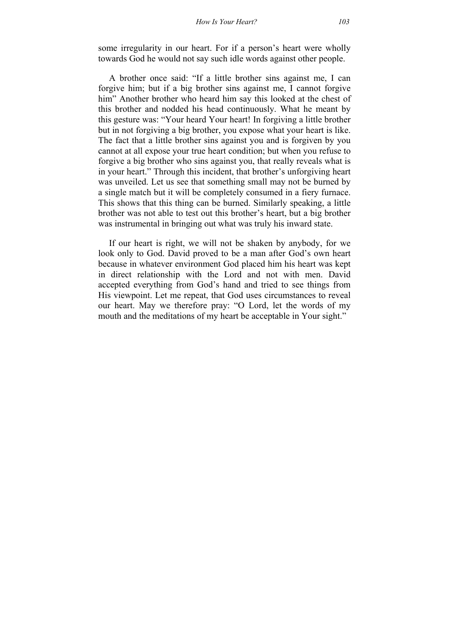some irregularity in our heart. For if a person's heart were wholly towards God he would not say such idle words against other people.

A brother once said: "If a little brother sins against me, I can forgive him; but if a big brother sins against me, I cannot forgive him" Another brother who heard him say this looked at the chest of this brother and nodded his head continuously. What he meant by this gesture was: "Your heard Your heart! In forgiving a little brother but in not forgiving a big brother, you expose what your heart is like. The fact that a little brother sins against you and is forgiven by you cannot at all expose your true heart condition; but when you refuse to forgive a big brother who sins against you, that really reveals what is in your heart." Through this incident, that brother's unforgiving heart was unveiled. Let us see that something small may not be burned by a single match but it will be completely consumed in a fiery furnace. This shows that this thing can be burned. Similarly speaking, a little brother was not able to test out this brother's heart, but a big brother was instrumental in bringing out what was truly his inward state.

If our heart is right, we will not be shaken by anybody, for we look only to God. David proved to be a man after God's own heart because in whatever environment God placed him his heart was kept in direct relationship with the Lord and not with men. David accepted everything from God's hand and tried to see things from His viewpoint. Let me repeat, that God uses circumstances to reveal our heart. May we therefore pray: "O Lord, let the words of my mouth and the meditations of my heart be acceptable in Your sight."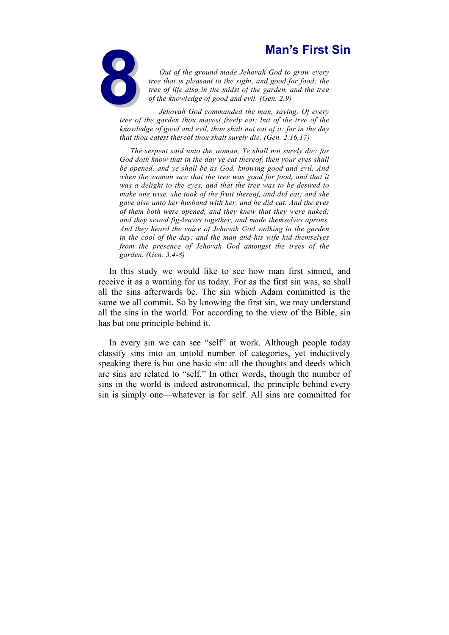

**8Man's First Sin**<br>
Out of the ground made Jehovah God to grow every<br>
tree that is pleasant to the sight, and good for food; the<br>
tree of life also in the midst of the garden, and the tree<br>
of the knowledge of good and evi *Out of the ground made Jehovah God to grow every tree that is pleasant to the sight, and good for food; the tree of life also in the midst of the garden, and the tree of the knowledge of good and evil. (Gen. 2.9)*

*Jehovah God commanded the man, saying, Of every tree of the garden thou mayest freely eat: but of the tree of the knowledge of good and evil, thou shalt not eat of it: for in the day that thou eatest thereof thou shalt surely die. (Gen. 2.16,17)*

*The serpent said unto the woman, Ye shall not surely die: for God doth know that in the day ye eat thereof, then your eyes shall be opened, and ye shall be as God, knowing good and evil. And when the woman saw that the tree was good for food, and that it was a delight to the eyes, and that the tree was to be desired to make one wise, she took of the fruit thereof, and did eat; and she gave also unto her husband with her, and he did eat. And the eyes of them both were opened, and they knew that they were naked; and they sewed fig-leaves together, and made themselves aprons. And they heard the voice of Jehovah God walking in the garden in the cool of the day: and the man and his wife hid themselves from the presence of Jehovah God amongst the trees of the garden. (Gen. 3.4-8)*

In this study we would like to see how man first sinned, and receive it as a warning for us today. For as the first sin was, so shall all the sins afterwards be. The sin which Adam committed is the same we all commit. So by knowing the first sin, we may understand all the sins in the world. For according to the view of the Bible, sin has but one principle behind it.

In every sin we can see "self" at work. Although people today classify sins into an untold number of categories, yet inductively speaking there is but one basic sin: all the thoughts and deeds which are sins are related to "self." In other words, though the number of sins in the world is indeed astronomical, the principle behind every sin is simply one—whatever is for self. All sins are committed for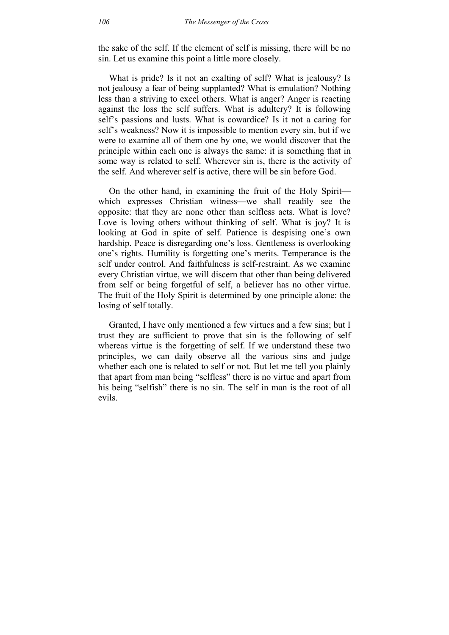the sake of the self. If the element of self is missing, there will be no sin. Let us examine this point a little more closely.

What is pride? Is it not an exalting of self? What is jealousy? Is not jealousy a fear of being supplanted? What is emulation? Nothing less than a striving to excel others. What is anger? Anger is reacting against the loss the self suffers. What is adultery? It is following self's passions and lusts. What is cowardice? Is it not a caring for self's weakness? Now it is impossible to mention every sin, but if we were to examine all of them one by one, we would discover that the principle within each one is always the same: it is something that in some way is related to self. Wherever sin is, there is the activity of the self. And wherever self is active, there will be sin before God.

On the other hand, in examining the fruit of the Holy Spirit which expresses Christian witness—we shall readily see the opposite: that they are none other than selfless acts. What is love? Love is loving others without thinking of self. What is joy? It is looking at God in spite of self. Patience is despising one's own hardship. Peace is disregarding one's loss. Gentleness is overlooking one's rights. Humility is forgetting one's merits. Temperance is the self under control. And faithfulness is self-restraint. As we examine every Christian virtue, we will discern that other than being delivered from self or being forgetful of self, a believer has no other virtue. The fruit of the Holy Spirit is determined by one principle alone: the losing of self totally.

Granted, I have only mentioned a few virtues and a few sins; but I trust they are sufficient to prove that sin is the following of self whereas virtue is the forgetting of self. If we understand these two principles, we can daily observe all the various sins and judge whether each one is related to self or not. But let me tell you plainly that apart from man being "selfless" there is no virtue and apart from his being "selfish" there is no sin. The self in man is the root of all evils.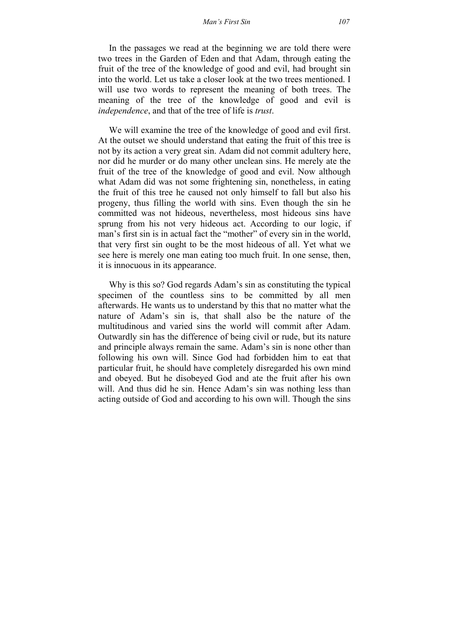In the passages we read at the beginning we are told there were two trees in the Garden of Eden and that Adam, through eating the fruit of the tree of the knowledge of good and evil, had brought sin into the world. Let us take a closer look at the two trees mentioned. I will use two words to represent the meaning of both trees. The meaning of the tree of the knowledge of good and evil is *independence*, and that of the tree of life is *trust*.

We will examine the tree of the knowledge of good and evil first. At the outset we should understand that eating the fruit of this tree is not by its action a very great sin. Adam did not commit adultery here, nor did he murder or do many other unclean sins. He merely ate the fruit of the tree of the knowledge of good and evil. Now although what Adam did was not some frightening sin, nonetheless, in eating the fruit of this tree he caused not only himself to fall but also his progeny, thus filling the world with sins. Even though the sin he committed was not hideous, nevertheless, most hideous sins have sprung from his not very hideous act. According to our logic, if man's first sin is in actual fact the "mother" of every sin in the world, that very first sin ought to be the most hideous of all. Yet what we see here is merely one man eating too much fruit. In one sense, then, it is innocuous in its appearance.

Why is this so? God regards Adam's sin as constituting the typical specimen of the countless sins to be committed by all men afterwards. He wants us to understand by this that no matter what the nature of Adam's sin is, that shall also be the nature of the multitudinous and varied sins the world will commit after Adam. Outwardly sin has the difference of being civil or rude, but its nature and principle always remain the same. Adam's sin is none other than following his own will. Since God had forbidden him to eat that particular fruit, he should have completely disregarded his own mind and obeyed. But he disobeyed God and ate the fruit after his own will. And thus did he sin. Hence Adam's sin was nothing less than acting outside of God and according to his own will. Though the sins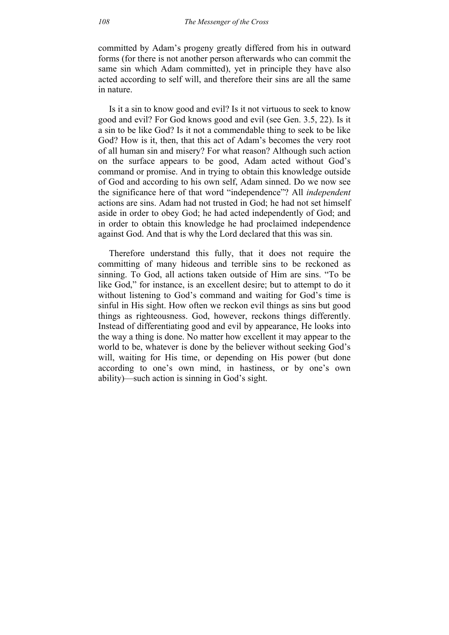committed by Adam's progeny greatly differed from his in outward forms (for there is not another person afterwards who can commit the same sin which Adam committed), yet in principle they have also acted according to self will, and therefore their sins are all the same in nature.

Is it a sin to know good and evil? Is it not virtuous to seek to know good and evil? For God knows good and evil (see Gen. 3.5, 22). Is it a sin to be like God? Is it not a commendable thing to seek to be like God? How is it, then, that this act of Adam's becomes the very root of all human sin and misery? For what reason? Although such action on the surface appears to be good, Adam acted without God's command or promise. And in trying to obtain this knowledge outside of God and according to his own self, Adam sinned. Do we now see the significance here of that word "independence"? All *independent* actions are sins. Adam had not trusted in God; he had not set himself aside in order to obey God; he had acted independently of God; and in order to obtain this knowledge he had proclaimed independence against God. And that is why the Lord declared that this was sin.

Therefore understand this fully, that it does not require the committing of many hideous and terrible sins to be reckoned as sinning. To God, all actions taken outside of Him are sins. "To be like God," for instance, is an excellent desire; but to attempt to do it without listening to God's command and waiting for God's time is sinful in His sight. How often we reckon evil things as sins but good things as righteousness. God, however, reckons things differently. Instead of differentiating good and evil by appearance, He looks into the way a thing is done. No matter how excellent it may appear to the world to be, whatever is done by the believer without seeking God's will, waiting for His time, or depending on His power (but done according to one's own mind, in hastiness, or by one's own ability)—such action is sinning in God's sight.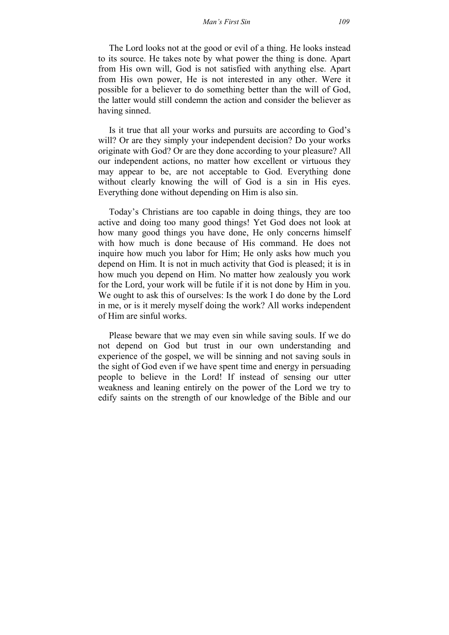The Lord looks not at the good or evil of a thing. He looks instead to its source. He takes note by what power the thing is done. Apart from His own will, God is not satisfied with anything else. Apart from His own power, He is not interested in any other. Were it possible for a believer to do something better than the will of God, the latter would still condemn the action and consider the believer as having sinned.

Is it true that all your works and pursuits are according to God's will? Or are they simply your independent decision? Do your works originate with God? Or are they done according to your pleasure? All our independent actions, no matter how excellent or virtuous they may appear to be, are not acceptable to God. Everything done without clearly knowing the will of God is a sin in His eyes. Everything done without depending on Him is also sin.

Today's Christians are too capable in doing things, they are too active and doing too many good things! Yet God does not look at how many good things you have done, He only concerns himself with how much is done because of His command. He does not inquire how much you labor for Him; He only asks how much you depend on Him. It is not in much activity that God is pleased; it is in how much you depend on Him. No matter how zealously you work for the Lord, your work will be futile if it is not done by Him in you. We ought to ask this of ourselves: Is the work I do done by the Lord in me, or is it merely myself doing the work? All works independent of Him are sinful works.

Please beware that we may even sin while saving souls. If we do not depend on God but trust in our own understanding and experience of the gospel, we will be sinning and not saving souls in the sight of God even if we have spent time and energy in persuading people to believe in the Lord! If instead of sensing our utter weakness and leaning entirely on the power of the Lord we try to edify saints on the strength of our knowledge of the Bible and our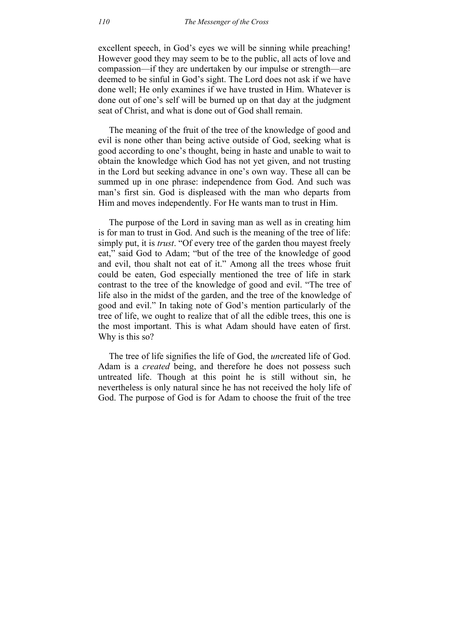excellent speech, in God's eyes we will be sinning while preaching! However good they may seem to be to the public, all acts of love and compassion—if they are undertaken by our impulse or strength—are deemed to be sinful in God's sight. The Lord does not ask if we have done well; He only examines if we have trusted in Him. Whatever is done out of one's self will be burned up on that day at the judgment seat of Christ, and what is done out of God shall remain.

The meaning of the fruit of the tree of the knowledge of good and evil is none other than being active outside of God, seeking what is good according to one's thought, being in haste and unable to wait to obtain the knowledge which God has not yet given, and not trusting in the Lord but seeking advance in one's own way. These all can be summed up in one phrase: independence from God. And such was man's first sin. God is displeased with the man who departs from Him and moves independently. For He wants man to trust in Him.

The purpose of the Lord in saving man as well as in creating him is for man to trust in God. And such is the meaning of the tree of life: simply put, it is *trust*. "Of every tree of the garden thou mayest freely eat," said God to Adam; "but of the tree of the knowledge of good and evil, thou shalt not eat of it." Among all the trees whose fruit could be eaten, God especially mentioned the tree of life in stark contrast to the tree of the knowledge of good and evil. "The tree of life also in the midst of the garden, and the tree of the knowledge of good and evil." In taking note of God's mention particularly of the tree of life, we ought to realize that of all the edible trees, this one is the most important. This is what Adam should have eaten of first. Why is this so?

The tree of life signifies the life of God, the *un*created life of God. Adam is a *created* being, and therefore he does not possess such untreated life. Though at this point he is still without sin, he nevertheless is only natural since he has not received the holy life of God. The purpose of God is for Adam to choose the fruit of the tree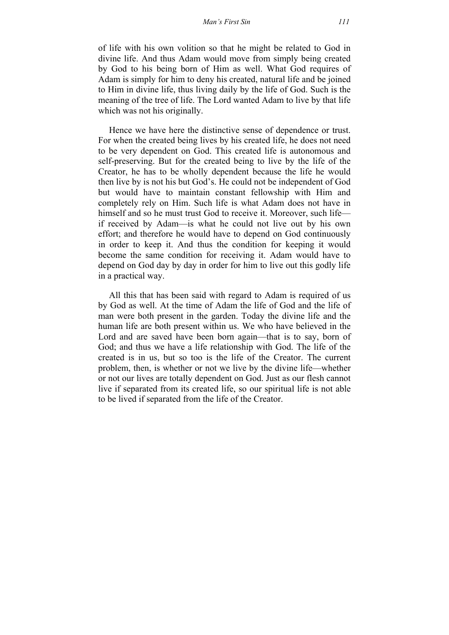of life with his own volition so that he might be related to God in divine life. And thus Adam would move from simply being created by God to his being born of Him as well. What God requires of Adam is simply for him to deny his created, natural life and be joined to Him in divine life, thus living daily by the life of God. Such is the meaning of the tree of life. The Lord wanted Adam to live by that life which was not his originally.

Hence we have here the distinctive sense of dependence or trust. For when the created being lives by his created life, he does not need to be very dependent on God. This created life is autonomous and self-preserving. But for the created being to live by the life of the Creator, he has to be wholly dependent because the life he would then live by is not his but God's. He could not be independent of God but would have to maintain constant fellowship with Him and completely rely on Him. Such life is what Adam does not have in himself and so he must trust God to receive it. Moreover, such life if received by Adam—is what he could not live out by his own effort; and therefore he would have to depend on God continuously in order to keep it. And thus the condition for keeping it would become the same condition for receiving it. Adam would have to depend on God day by day in order for him to live out this godly life in a practical way.

All this that has been said with regard to Adam is required of us by God as well. At the time of Adam the life of God and the life of man were both present in the garden. Today the divine life and the human life are both present within us. We who have believed in the Lord and are saved have been born again—that is to say, born of God; and thus we have a life relationship with God. The life of the created is in us, but so too is the life of the Creator. The current problem, then, is whether or not we live by the divine life—whether or not our lives are totally dependent on God. Just as our flesh cannot live if separated from its created life, so our spiritual life is not able to be lived if separated from the life of the Creator.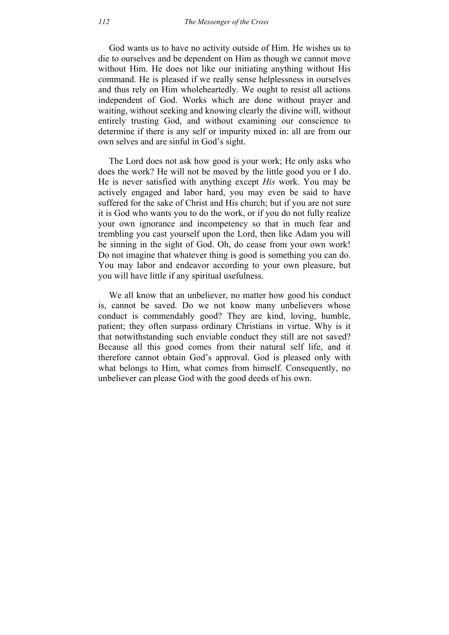God wants us to have no activity outside of Him. He wishes us to die to ourselves and be dependent on Him as though we cannot move without Him. He does not like our initiating anything without His command. He is pleased if we really sense helplessness in ourselves and thus rely on Him wholeheartedly. We ought to resist all actions independent of God. Works which are done without prayer and waiting, without seeking and knowing clearly the divine will, without entirely trusting God, and without examining our conscience to determine if there is any self or impurity mixed in: all are from our own selves and are sinful in God's sight.

The Lord does not ask how good is your work; He only asks who does the work? He will not be moved by the little good you or I do. He is never satisfied with anything except *His* work. You may be actively engaged and labor hard, you may even be said to have suffered for the sake of Christ and His church; but if you are not sure it is God who wants you to do the work, or if you do not fully realize your own ignorance and incompetency so that in much fear and trembling you cast yourself upon the Lord, then like Adam you will be sinning in the sight of God. Oh, do cease from your own work! Do not imagine that whatever thing is good is something you can do. You may labor and endeavor according to your own pleasure, but you will have little if any spiritual usefulness.

We all know that an unbeliever, no matter how good his conduct is, cannot be saved. Do we not know many unbelievers whose conduct is commendably good? They are kind, loving, humble, patient; they often surpass ordinary Christians in virtue. Why is it that notwithstanding such enviable conduct they still are not saved? Because all this good comes from their natural self life, and it therefore cannot obtain God's approval. God is pleased only with what belongs to Him, what comes from himself. Consequently, no unbeliever can please God with the good deeds of his own.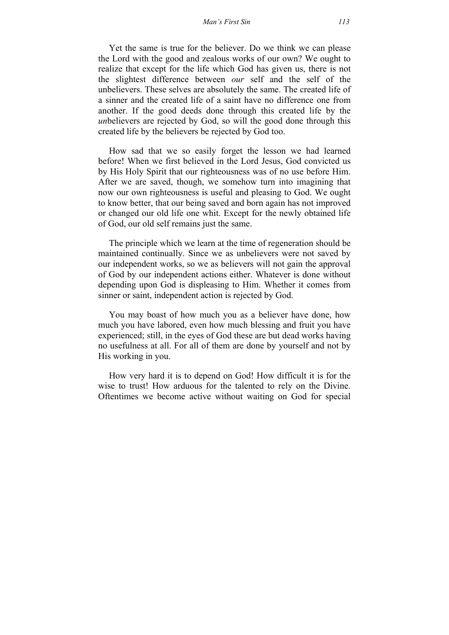Yet the same is true for the believer. Do we think we can please the Lord with the good and zealous works of our own? We ought to realize that except for the life which God has given us, there is not the slightest difference between *our* self and the self of the unbelievers. These selves are absolutely the same. The created life of a sinner and the created life of a saint have no difference one from another. If the good deeds done through this created life by the *unbelievers* are rejected by God, so will the good done through this created life by the believers be rejected by God too.

How sad that we so easily forget the lesson we had learned before! When we first believed in the Lord Jesus, God convicted us by His Holy Spirit that our righteousness was of no use before Him. After we are saved, though, we somehow turn into imagining that now our own righteousness is useful and pleasing to God. We ought to know better, that our being saved and born again has not improved or changed our old life one whit. Except for the newly obtained life of God, our old self remains just the same.

The principle which we learn at the time of regeneration should be maintained continually. Since we as unbelievers were not saved by our independent works, so we as believers will not gain the approval of God by our independent actions either. Whatever is done without depending upon God is displeasing to Him. Whether it comes from sinner or saint, independent action is rejected by God.

You may boast of how much you as a believer have done, how much you have labored, even how much blessing and fruit you have experienced; still, in the eyes of God these are but dead works having no usefulness at all. For all of them are done by yourself and not by His working in you.

How very hard it is to depend on God! How difficult it is for the wise to trust! How arduous for the talented to rely on the Divine. Oftentimes we become active without waiting on God for special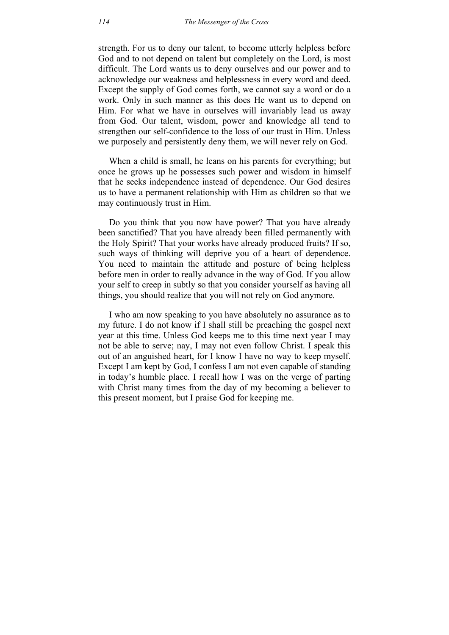strength. For us to deny our talent, to become utterly helpless before God and to not depend on talent but completely on the Lord, is most difficult. The Lord wants us to deny ourselves and our power and to acknowledge our weakness and helplessness in every word and deed. Except the supply of God comes forth, we cannot say a word or do a work. Only in such manner as this does He want us to depend on Him. For what we have in ourselves will invariably lead us away from God. Our talent, wisdom, power and knowledge all tend to strengthen our self-confidence to the loss of our trust in Him. Unless we purposely and persistently deny them, we will never rely on God.

When a child is small, he leans on his parents for everything; but once he grows up he possesses such power and wisdom in himself that he seeks independence instead of dependence. Our God desires us to have a permanent relationship with Him as children so that we may continuously trust in Him.

Do you think that you now have power? That you have already been sanctified? That you have already been filled permanently with the Holy Spirit? That your works have already produced fruits? If so, such ways of thinking will deprive you of a heart of dependence. You need to maintain the attitude and posture of being helpless before men in order to really advance in the way of God. If you allow your self to creep in subtly so that you consider yourself as having all things, you should realize that you will not rely on God anymore.

I who am now speaking to you have absolutely no assurance as to my future. I do not know if I shall still be preaching the gospel next year at this time. Unless God keeps me to this time next year I may not be able to serve; nay, I may not even follow Christ. I speak this out of an anguished heart, for I know I have no way to keep myself. Except I am kept by God, I confess I am not even capable of standing in today's humble place. I recall how I was on the verge of parting with Christ many times from the day of my becoming a believer to this present moment, but I praise God for keeping me.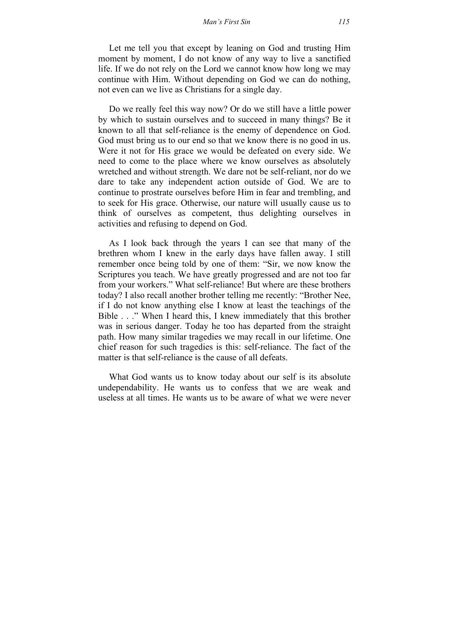Let me tell you that except by leaning on God and trusting Him moment by moment, I do not know of any way to live a sanctified life. If we do not rely on the Lord we cannot know how long we may continue with Him. Without depending on God we can do nothing, not even can we live as Christians for a single day.

Do we really feel this way now? Or do we still have a little power by which to sustain ourselves and to succeed in many things? Be it known to all that self-reliance is the enemy of dependence on God. God must bring us to our end so that we know there is no good in us. Were it not for His grace we would be defeated on every side. We need to come to the place where we know ourselves as absolutely wretched and without strength. We dare not be self-reliant, nor do we dare to take any independent action outside of God. We are to continue to prostrate ourselves before Him in fear and trembling, and to seek for His grace. Otherwise, our nature will usually cause us to think of ourselves as competent, thus delighting ourselves in activities and refusing to depend on God.

As I look back through the years I can see that many of the brethren whom I knew in the early days have fallen away. I still remember once being told by one of them: "Sir, we now know the Scriptures you teach. We have greatly progressed and are not too far from your workers." What self-reliance! But where are these brothers today? I also recall another brother telling me recently: "Brother Nee, if I do not know anything else I know at least the teachings of the Bible . . ." When I heard this, I knew immediately that this brother was in serious danger. Today he too has departed from the straight path. How many similar tragedies we may recall in our lifetime. One chief reason for such tragedies is this: self-reliance. The fact of the matter is that self-reliance is the cause of all defeats.

What God wants us to know today about our self is its absolute undependability. He wants us to confess that we are weak and useless at all times. He wants us to be aware of what we were never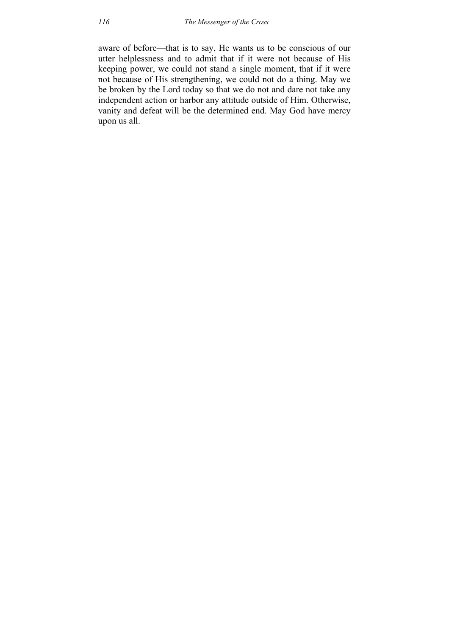aware of before—that is to say, He wants us to be conscious of our utter helplessness and to admit that if it were not because of His keeping power, we could not stand a single moment, that if it were not because of His strengthening, we could not do a thing. May we be broken by the Lord today so that we do not and dare not take any independent action or harbor any attitude outside of Him. Otherwise, vanity and defeat will be the determined end. May God have mercy upon us all.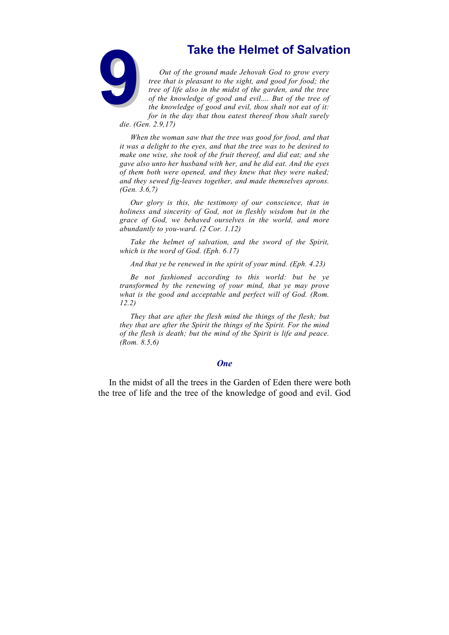

**9Take the Helmet of Salvation**<br>
Out of the ground made Jehovah God to grow every<br>
tree that is pleasant to the sight, and good for food; the<br>
tree of life also in the midst of the garden, and the tree<br>
of the knowledge of *Out of the ground made Jehovah God to grow every tree that is pleasant to the sight, and good for food; the tree of life also in the midst of the garden, and the tree of the knowledge of good and evil.... But of the tree of the knowledge of good and evil, thou shalt not eat of it: for in the day that thou eatest thereof thou shalt surely*

*die. (Gen. 2.9,17)*

*When the woman saw that the tree was good for food, and that it was a delight to the eyes, and that the tree was to be desired to make one wise, she took of the fruit thereof, and did eat; and she gave also unto her husband with her, and he did eat. And the eyes of them both were opened, and they knew that they were naked; and they sewed fig-leaves together, and made themselves aprons. (Gen. 3.6,7)*

*Our glory is this, the testimony of our conscience, that in holiness and sincerity of God, not in fleshly wisdom but in the grace of God, we behaved ourselves in the world, and more abundantly to you-ward. (2 Cor. 1.12)*

*Take the helmet of salvation, and the sword of the Spirit, which is the word of God. (Eph. 6.17)*

*And that ye be renewed in the spirit of your mind. (Eph. 4.23)*

*Be not fashioned according to this world: but be ye transformed by the renewing of your mind, that ye may prove what is the good and acceptable and perfect will of God. (Rom. 12.2)*

*They that are after the flesh mind the things of the flesh; but they that are after the Spirit the things of the Spirit. For the mind of the flesh is death; but the mind of the Spirit is life and peace. (Rom. 8.5,6)*

## *One*

In the midst of all the trees in the Garden of Eden there were both the tree of life and the tree of the knowledge of good and evil. God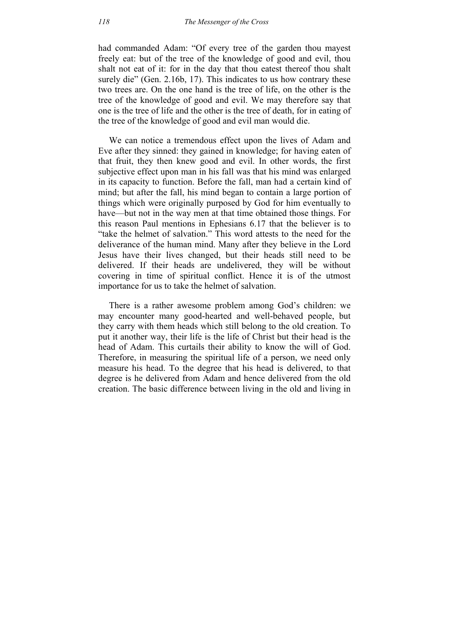had commanded Adam: "Of every tree of the garden thou mayest freely eat: but of the tree of the knowledge of good and evil, thou shalt not eat of it: for in the day that thou eatest thereof thou shalt surely die" (Gen. 2.16b, 17). This indicates to us how contrary these two trees are. On the one hand is the tree of life, on the other is the tree of the knowledge of good and evil. We may therefore say that one is the tree of life and the other is the tree of death, for in eating of the tree of the knowledge of good and evil man would die.

We can notice a tremendous effect upon the lives of Adam and Eve after they sinned: they gained in knowledge; for having eaten of that fruit, they then knew good and evil. In other words, the first subjective effect upon man in his fall was that his mind was enlarged in its capacity to function. Before the fall, man had a certain kind of mind; but after the fall, his mind began to contain a large portion of things which were originally purposed by God for him eventually to have—but not in the way men at that time obtained those things. For this reason Paul mentions in Ephesians 6.17 that the believer is to "take the helmet of salvation." This word attests to the need for the deliverance of the human mind. Many after they believe in the Lord Jesus have their lives changed, but their heads still need to be delivered. If their heads are undelivered, they will be without covering in time of spiritual conflict. Hence it is of the utmost importance for us to take the helmet of salvation.

There is a rather awesome problem among God's children: we may encounter many good-hearted and well-behaved people, but they carry with them heads which still belong to the old creation. To put it another way, their life is the life of Christ but their head is the head of Adam. This curtails their ability to know the will of God. Therefore, in measuring the spiritual life of a person, we need only measure his head. To the degree that his head is delivered, to that degree is he delivered from Adam and hence delivered from the old creation. The basic difference between living in the old and living in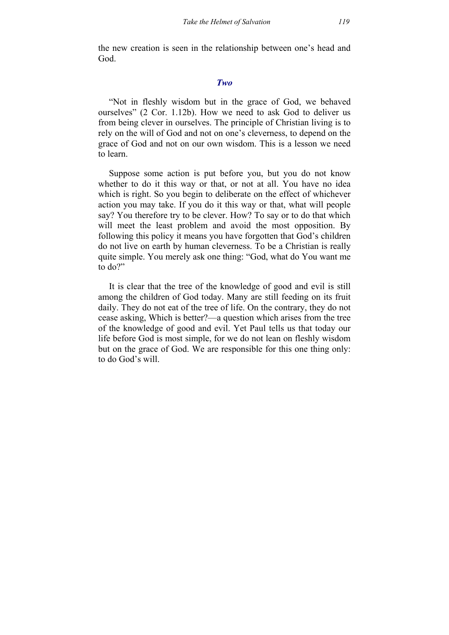the new creation is seen in the relationship between one's head and God.

## *Two*

"Not in fleshly wisdom but in the grace of God, we behaved ourselves" (2 Cor. 1.12b). How we need to ask God to deliver us from being clever in ourselves. The principle of Christian living is to rely on the will of God and not on one's cleverness, to depend on the grace of God and not on our own wisdom. This is a lesson we need to learn.

Suppose some action is put before you, but you do not know whether to do it this way or that, or not at all. You have no idea which is right. So you begin to deliberate on the effect of whichever action you may take. If you do it this way or that, what will people say? You therefore try to be clever. How? To say or to do that which will meet the least problem and avoid the most opposition. By following this policy it means you have forgotten that God's children do not live on earth by human cleverness. To be a Christian is really quite simple. You merely ask one thing: "God, what do You want me to do?"

It is clear that the tree of the knowledge of good and evil is still among the children of God today. Many are still feeding on its fruit daily. They do not eat of the tree of life. On the contrary, they do not cease asking, Which is better?—a question which arises from the tree of the knowledge of good and evil. Yet Paul tells us that today our life before God is most simple, for we do not lean on fleshly wisdom but on the grace of God. We are responsible for this one thing only: to do God's will.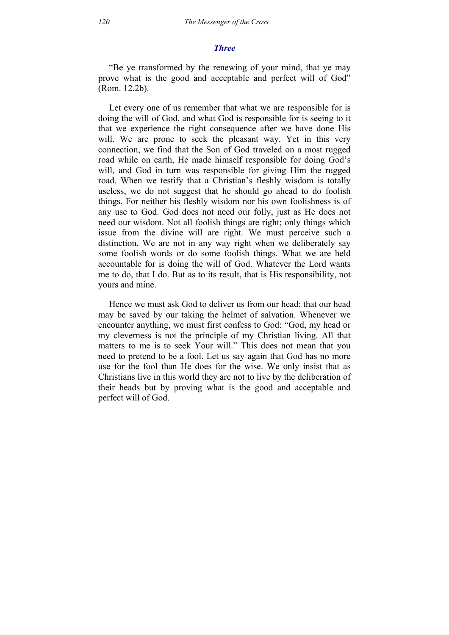# *Three*

"Be ye transformed by the renewing of your mind, that ye may prove what is the good and acceptable and perfect will of God" (Rom. 12.2b).

Let every one of us remember that what we are responsible for is doing the will of God, and what God is responsible for is seeing to it that we experience the right consequence after we have done His will. We are prone to seek the pleasant way. Yet in this very connection, we find that the Son of God traveled on a most rugged road while on earth, He made himself responsible for doing God's will, and God in turn was responsible for giving Him the rugged road. When we testify that a Christian's fleshly wisdom is totally useless, we do not suggest that he should go ahead to do foolish things. For neither his fleshly wisdom nor his own foolishness is of any use to God. God does not need our folly, just as He does not need our wisdom. Not all foolish things are right; only things which issue from the divine will are right. We must perceive such a distinction. We are not in any way right when we deliberately say some foolish words or do some foolish things. What we are held accountable for is doing the will of God. Whatever the Lord wants me to do, that I do. But as to its result, that is His responsibility, not yours and mine.

Hence we must ask God to deliver us from our head: that our head may be saved by our taking the helmet of salvation. Whenever we encounter anything, we must first confess to God: "God, my head or my cleverness is not the principle of my Christian living. All that matters to me is to seek Your will." This does not mean that you need to pretend to be a fool. Let us say again that God has no more use for the fool than He does for the wise. We only insist that as Christians live in this world they are not to live by the deliberation of their heads but by proving what is the good and acceptable and perfect will of God.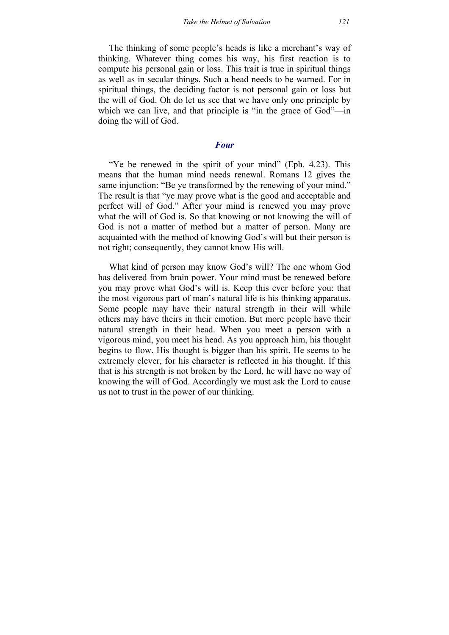The thinking of some people's heads is like a merchant's way of thinking. Whatever thing comes his way, his first reaction is to compute his personal gain or loss. This trait is true in spiritual things as well as in secular things. Such a head needs to be warned. For in spiritual things, the deciding factor is not personal gain or loss but the will of God. Oh do let us see that we have only one principle by which we can live, and that principle is "in the grace of God"—in doing the will of God.

## *Four*

"Ye be renewed in the spirit of your mind" (Eph. 4.23). This means that the human mind needs renewal. Romans 12 gives the same injunction: "Be ye transformed by the renewing of your mind." The result is that "ye may prove what is the good and acceptable and perfect will of God." After your mind is renewed you may prove what the will of God is. So that knowing or not knowing the will of God is not a matter of method but a matter of person. Many are acquainted with the method of knowing God's will but their person is not right; consequently, they cannot know His will.

What kind of person may know God's will? The one whom God has delivered from brain power. Your mind must be renewed before you may prove what God's will is. Keep this ever before you: that the most vigorous part of man's natural life is his thinking apparatus. Some people may have their natural strength in their will while others may have theirs in their emotion. But more people have their natural strength in their head. When you meet a person with a vigorous mind, you meet his head. As you approach him, his thought begins to flow. His thought is bigger than his spirit. He seems to be extremely clever, for his character is reflected in his thought. If this that is his strength is not broken by the Lord, he will have no way of knowing the will of God. Accordingly we must ask the Lord to cause us not to trust in the power of our thinking.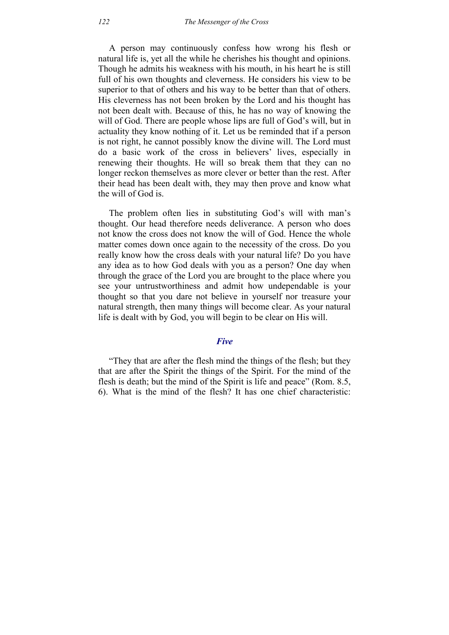A person may continuously confess how wrong his flesh or natural life is, yet all the while he cherishes his thought and opinions. Though he admits his weakness with his mouth, in his heart he is still full of his own thoughts and cleverness. He considers his view to be superior to that of others and his way to be better than that of others. His cleverness has not been broken by the Lord and his thought has not been dealt with. Because of this, he has no way of knowing the will of God. There are people whose lips are full of God's will, but in actuality they know nothing of it. Let us be reminded that if a person is not right, he cannot possibly know the divine will. The Lord must do a basic work of the cross in believers' lives, especially in renewing their thoughts. He will so break them that they can no longer reckon themselves as more clever or better than the rest. After their head has been dealt with, they may then prove and know what the will of God is.

The problem often lies in substituting God's will with man's thought. Our head therefore needs deliverance. A person who does not know the cross does not know the will of God. Hence the whole matter comes down once again to the necessity of the cross. Do you really know how the cross deals with your natural life? Do you have any idea as to how God deals with you as a person? One day when through the grace of the Lord you are brought to the place where you see your untrustworthiness and admit how undependable is your thought so that you dare not believe in yourself nor treasure your natural strength, then many things will become clear. As your natural life is dealt with by God, you will begin to be clear on His will.

## *Five*

"They that are after the flesh mind the things of the flesh; but they that are after the Spirit the things of the Spirit. For the mind of the flesh is death; but the mind of the Spirit is life and peace" (Rom. 8.5, 6). What is the mind of the flesh? It has one chief characteristic: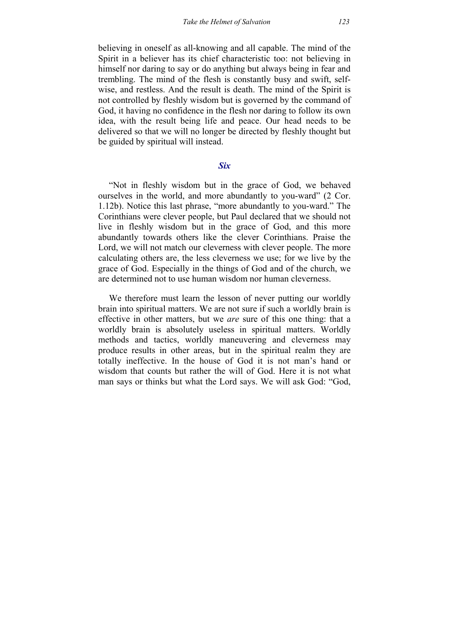believing in oneself as all-knowing and all capable. The mind of the Spirit in a believer has its chief characteristic too: not believing in himself nor daring to say or do anything but always being in fear and trembling. The mind of the flesh is constantly busy and swift, selfwise, and restless. And the result is death. The mind of the Spirit is not controlled by fleshly wisdom but is governed by the command of God, it having no confidence in the flesh nor daring to follow its own idea, with the result being life and peace. Our head needs to be delivered so that we will no longer be directed by fleshly thought but be guided by spiritual will instead.

# *Six*

"Not in fleshly wisdom but in the grace of God, we behaved ourselves in the world, and more abundantly to you-ward" (2 Cor. 1.12b). Notice this last phrase, "more abundantly to you-ward." The Corinthians were clever people, but Paul declared that we should not live in fleshly wisdom but in the grace of God, and this more abundantly towards others like the clever Corinthians. Praise the Lord, we will not match our cleverness with clever people. The more calculating others are, the less cleverness we use; for we live by the grace of God. Especially in the things of God and of the church, we are determined not to use human wisdom nor human cleverness.

We therefore must learn the lesson of never putting our worldly brain into spiritual matters. We are not sure if such a worldly brain is effective in other matters, but we *are* sure of this one thing: that a worldly brain is absolutely useless in spiritual matters. Worldly methods and tactics, worldly maneuvering and cleverness may produce results in other areas, but in the spiritual realm they are totally ineffective. In the house of God it is not man's hand or wisdom that counts but rather the will of God. Here it is not what man says or thinks but what the Lord says. We will ask God: "God,